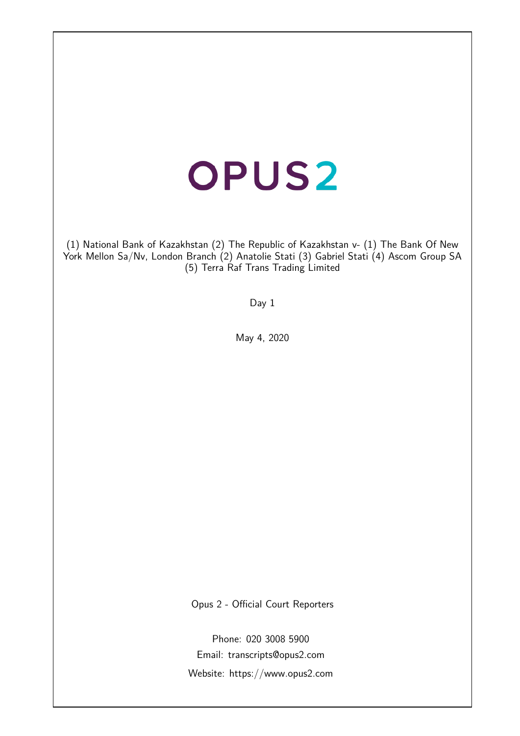# **OPUS2**

(1) National Bank of Kazakhstan (2) The Republic of Kazakhstan v- (1) The Bank Of New York Mellon Sa/Nv, London Branch (2) Anatolie Stati (3) Gabriel Stati (4) Ascom Group SA (5) Terra Raf Trans Trading Limited

Day 1

May 4, 2020

Opus 2 - Official Court Reporters

Phone: 020 3008 5900 Email: transcripts@opus2.com Website: https://www.opus2.com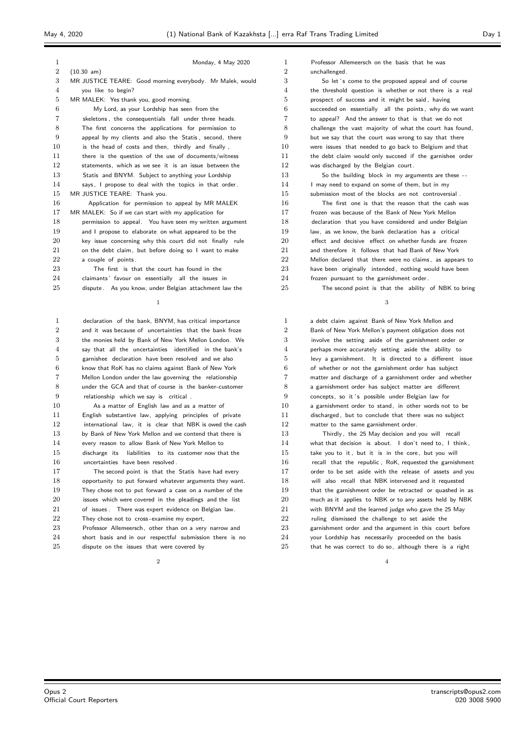|--|--|

| $\mathbf{1}$   | Monday, 4 May 2020                                        |
|----------------|-----------------------------------------------------------|
| $\overline{2}$ | $(10.30 \text{ am})$                                      |
| 3              | MR JUSTICE TEARE: Good morning everybody. Mr Malek, would |
| 4              | you like to begin?                                        |
| 5              | MR MALEK: Yes thank you, good morning.                    |
| 6              | My Lord, as your Lordship has seen from the               |
| 7              | skeletons, the consequentials fall under three heads.     |
| 8              | The first concerns the applications for permission to     |
| 9              | appeal by my clients and also the Statis, second, there   |
| 10             | is the head of costs and then, thirdly and finally,       |
| 11             | there is the question of the use of documents/witness     |
| 12             | statements, which as we see it is an issue between the    |
| 13             | Statis and BNYM. Subject to anything your Lordship        |
| 14             | says, I propose to deal with the topics in that order.    |
| 15             | MR JUSTICE TEARE: Thank you.                              |
| 16             | Application for permission to appeal by MR MALEK          |
| 17             | MR MALEK: So if we can start with my application for      |
| 18             | permission to appeal. You have seen my written argument   |
| 19             | and I propose to elaborate on what appeared to be the     |
| 20             | key issue concerning why this court did not finally rule  |
| 21             | on the debt claim, but before doing so I want to make     |
| 22             | a couple of points.                                       |
| 23             | The first is that the court has found in the              |
| 24             | claimants' favour on essentially all the issues in        |
| 25             | dispute. As you know, under Belgian attachment law the    |
|                |                                                           |

 declaration of the bank, BNYM, has critical importance and it was because of uncertainties that the bank froze the monies held by Bank of New York Mellon London. We say that all the uncertainties identified in the bank's garnishee declaration have been resolved and we also know that RoK has no claims against Bank of New York Mellon London under the law governing the relationship under the GCA and that of course is the banker-customer relationship which we say is critical . As a matter of English law and as a matter of

 English substantive law, applying principles of private international law, it is clear that NBK is owed the cash 13 by Bank of New York Mellon and we contend that there is every reason to allow Bank of New York Mellon to discharge its liabilities to its customer now that the uncertainties have been resolved .

 The second point is that the Statis have had every opportunity to put forward whatever arguments they want. They chose not to put forward a case on a number of the issues which were covered in the pleadings and the list 21 of issues . There was expert evidence on Belgian law. 22 They chose not to cross-examine my expert, 23 Professor Allemeersch, other than on a very narrow and

 short basis and in our respectful submission there is no dispute on the issues that were covered by

 $\overline{2}$ 

 Professor Allemeersch on the basis that he was unchallenged.

 So let ' s come to the proposed appeal and of course the threshold question is whether or not there is a real prospect of success and it might be said , having succeeded on essentially all the points , why do we want to appeal? And the answer to that is that we do not challenge the vast majority of what the court has found, but we say that the court was wrong to say that there were issues that needed to go back to Belgium and that the debt claim would only succeed if the garnishee order was discharged by the Belgian court. 13 So the building block in my arguments are these --14 I may need to expand on some of them, but in my submission most of the blocks are not controversial . The first one is that the reason that the cash was frozen was because of the Bank of New York Mellon declaration that you have considered and under Belgian law, as we know, the bank declaration has a critical effect and decisive effect on whether funds are frozen and therefore it follows that had Bank of New York 22 Mellon declared that there were no claims, as appears to have been originally intended, nothing would have been 24 frozen pursuant to the garnishment order. The second point is that the ability of NBK to bring

| 1              | a debt claim against Bank of New York Mellon and         |
|----------------|----------------------------------------------------------|
| $\overline{2}$ | Bank of New York Mellon's payment obligation does not    |
| 3              | involve the setting aside of the garnishment order or    |
| $\overline{4}$ | perhaps more accurately setting aside the ability to     |
| 5              | levy a garnishment. It is directed to a different issue  |
| 6              | of whether or not the garnishment order has subject      |
| $\overline{7}$ | matter and discharge of a garnishment order and whether  |
| 8              | a garnishment order has subject matter are different     |
| 9              | concepts, so it's possible under Belgian law for         |
| 10             | a garnishment order to stand, in other words not to be   |
| 11             | discharged, but to conclude that there was no subject    |
| 12             | matter to the same garnishment order.                    |
| 13             | Thirdly, the 25 May decision and you will recall         |
| 14             | what that decision is about. I don't need to, I think,   |
| 15             | take you to it, but it is in the core, but you will      |
| 16             | recall that the republic, RoK, requested the garnishment |
| 17             | order to be set aside with the release of assets and you |
| 18             | will also recall that NBK intervened and it requested    |
| 19             | that the garnishment order be retracted or quashed in as |
| 20             | much as it applies to NBK or to any assets held by NBK   |
| 21             | with BNYM and the learned judge who gave the 25 May      |
| 22             | ruling dismissed the challenge to set aside the          |
| 23             | garnishment order and the argument in this court before  |
| 24             | your Lordship has necessarily proceeded on the basis     |
| 25             | that he was correct to do so, although there is a right  |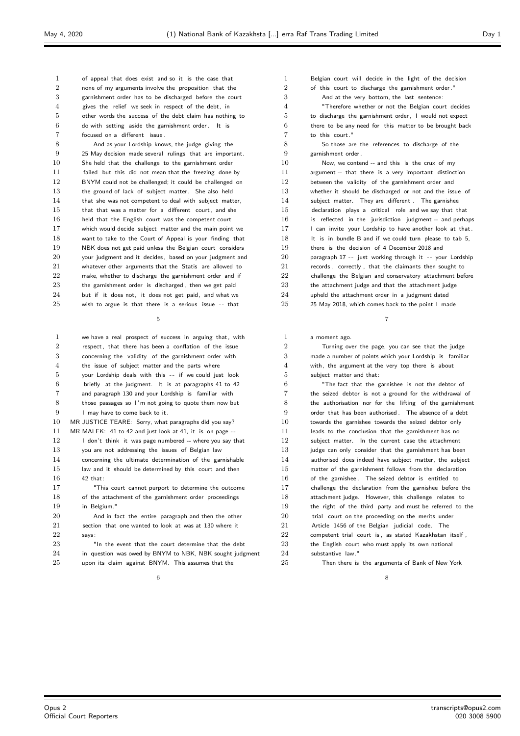of appeal that does exist and so it is the case that none of my arguments involve the proposition that the garnishment order has to be discharged before the court gives the relief we seek in respect of the debt, in other words the success of the debt claim has nothing to do with setting aside the garnishment order . It is focused on a different issue .

8 And as your Lordship knows, the judge giving the 25 May decision made several rulings that are important. She held that the challenge to the garnishment order failed but this did not mean that the freezing done by BNYM could not be challenged; it could be challenged on the ground of lack of subject matter. She also held 14 that she was not competent to deal with subject matter, that that was a matter for a different court, and she held that the English court was the competent court 17 which would decide subject matter and the main point we want to take to the Court of Appeal is your finding that NBK does not get paid unless the Belgian court considers your judgment and it decides , based on your judgment and whatever other arguments that the Statis are allowed to make, whether to discharge the garnishment order and if the garnishment order is discharged , then we get paid but if it does not, it does not get paid, and what we wish to argue is that there is a serious issue - - that

| $\mathbf{1}$   | we have a real prospect of success in arguing that, with |
|----------------|----------------------------------------------------------|
| $\overline{2}$ | respect, that there has been a conflation of the issue   |
| 3              | concerning the validity of the garnishment order with    |
| 4              | the issue of subject matter and the parts where          |
| 5              | your Lordship deals with this -- if we could just look   |
| 6              | briefly at the judgment. It is at paragraphs 41 to 42    |
| $\overline{7}$ | and paragraph 130 and your Lordship is familiar with     |
| 8              | those passages so I'm not going to quote them now but    |
| 9              | I may have to come back to it.                           |
| 10             | MR JUSTICE TEARE: Sorry, what paragraphs did you say?    |
| 11             | MR MALEK: 41 to 42 and just look at 41, it is on page -- |
| 12             | I don't think it was page numbered -- where you say that |
| 13             | you are not addressing the issues of Belgian law         |
| 14             | concerning the ultimate determination of the garnishable |
| 15             | law and it should be determined by this court and then   |
| 16             | $42$ that:                                               |
| 17             | "This court cannot purport to determine the outcome      |
| 18             | of the attachment of the garnishment order proceedings   |
| 19             | in Belgium."                                             |
| 20             | And in fact the entire paragraph and then the other      |
| 21             | section that one wanted to look at was at 130 where it   |
| 22             | says:                                                    |
| 23             | "In the event that the court determine that the debt     |
| 24             | in question was owed by BNYM to NBK, NBK sought judgment |
| 25             | upon its claim against BNYM. This assumes that the       |

 Belgian court will decide in the light of the decision of this court to discharge the garnishment order ." And at the very bottom, the last sentence: "Therefore whether or not the Belgian court decides 5 to discharge the garnishment order I would not expect there to be any need for this matter to be brought back to this court." So those are the references to discharge of the garnishment order . Now, we contend -- and this is the crux of my argument -- that there is a very important distinction between the validity of the garnishment order and whether it should be discharged or not and the issue of subject matter. They are different . The garnishee declaration plays a critical role and we say that that is reflected in the jurisdiction judgment -- and perhaps 17 I can invite your Lordship to have another look at that.

18 It is in bundle B and if we could turn please to tab 5, there is the decision of 4 December 2018 and 20 paragraph 17 -- just working through it -- your Lordship 21 records, correctly, that the claimants then sought to challenge the Belgian and conservatory attachment before 23 the attachment judge and that the attachment judge upheld the attachment order in a judgment dated 25 May 2018, which comes back to the point I made

## a moment ago.

 Turning over the page, you can see that the judge made a number of points which your Lordship is familiar with, the argument at the very top there is about subject matter and that: "The fact that the garnishee is not the debtor of the seized debtor is not a ground for the withdrawal of

 the authorisation nor for the lifting of the garnishment order that has been authorised . The absence of a debt towards the garnishee towards the seized debtor only 11 leads to the conclusion that the garnishment has no subject matter. In the current case the attachment judge can only consider that the garnishment has been authorised does indeed have subject matter, the subject matter of the garnishment follows from the declaration of the garnishee . The seized debtor is entitled to challenge the declaration from the garnishee before the attachment judge. However, this challenge relates to 19 the right of the third party and must be referred to the 20 trial court on the proceeding on the merits under Article 1456 of the Belgian judicial code. The competent trial court is as stated Kazakhstan itself 23 the English court who must apply its own national substantive law."

#### 25 Then there is the arguments of Bank of New York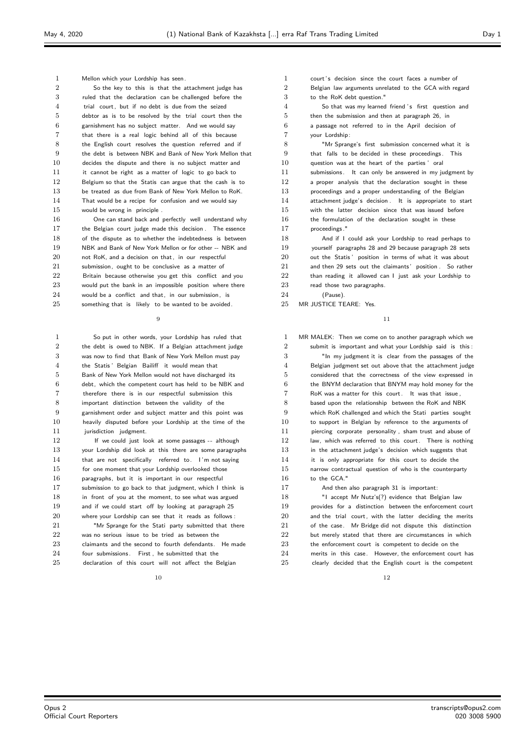Mellon which your Lordship has seen. So the key to this is that the attachment judge has ruled that the declaration can be challenged before the trial court, but if no debt is due from the seized debtor as is to be resolved by the trial court then the garnishment has no subject matter. And we would say that there is a real logic behind all of this because the English court resolves the question referred and if the debt is between NBK and Bank of New York Mellon that decides the dispute and there is no subject matter and it cannot be right as a matter of logic to go back to Belgium so that the Statis can argue that the cash is to be treated as due from Bank of New York Mellon to RoK. That would be a recipe for confusion and we would say would be wrong in principle .

 One can stand back and perfectly well understand why the Belgian court judge made this decision . The essence of the dispute as to whether the indebtedness is between NBK and Bank of New York Mellon or for other -- NBK and 20 not RoK, and a decision on that, in our respectful submission, ought to be conclusive as a matter of Britain because otherwise you get this conflict and you 23 would put the bank in an impossible position where there would be a conflict and that, in our submission, is something that is likely to be wanted to be avoided.

 So put in other words, your Lordship has ruled that 2 the debt is owed to NBK. If a Belgian attachment judge was now to find that Bank of New York Mellon must pay the Statis ' Belgian Bailiff it would mean that Bank of New York Mellon would not have discharged its debt, which the competent court has held to be NBK and therefore there is in our respectful submission this important distinction between the validity of the garnishment order and subject matter and this point was heavily disputed before your Lordship at the time of the 11 iurisdiction judgment. 12 If we could just look at some passages -- although

 your Lordship did look at this there are some paragraphs 14 that are not specifically referred to. I'm not saying for one moment that your Lordship overlooked those paragraphs, but it is important in our respectful submission to go back to that judgment, which I think is in front of you at the moment, to see what was argued and if we could start off by looking at paragraph 25 20 where your Lordship can see that it reads as follows : 21 "Mr Sprange for the Stati party submitted that there 22 was no serious issue to be tried as between the

23 claimants and the second to fourth defendants. He made 24 four submissions. First he submitted that the declaration of this court will not affect the Belgian

1 court's decision since the court faces a number of Belgian law arguments unrelated to the GCA with regard to the RoK debt question." 4 So that was my learned friend 's first question and then the submission and then at paragraph 26, in a passage not referred to in the April decision of your Lordship: "Mr Sprange's first submission concerned what it is that falls to be decided in these proceedings. This question was at the heart of the parties ' oral submissions. It can only be answered in my judgment by a proper analysis that the declaration sought in these proceedings and a proper understanding of the Belgian attachment judge's decision . It is appropriate to start with the latter decision since that was issued before 16 the formulation of the declaration sought in these proceedings ." 18 And if I could ask your Lordship to read perhaps to yourself paragraphs 28 and 29 because paragraph 28 sets out the Statis ' position in terms of what it was about 21 and then 29 sets out the claimants' position . So rather 22 than reading it allowed can I just ask your Lordship to

23 read those two paragraphs.

 (Pause). MR JUSTICE TEARE: Yes.

 MR MALEK: Then we come on to another paragraph which we submit is important and what your Lordship said is this : "In my judgment it is clear from the passages of the Belgian judgment set out above that the attachment judge considered that the correctness of the view expressed in the BNYM declaration that BNYM may hold money for the RoK was a matter for this court. It was that issue , based upon the relationship between the RoK and NBK which RoK challenged and which the Stati parties sought to support in Belgian by reference to the arguments of piercing corporate personality , sham trust and abuse of 12 law, which was referred to this court. There is nothing 13 in the attachment judge's decision which suggests that it is only appropriate for this court to decide the narrow contractual question of who is the counterparty to the GCA." 17 And then also paragraph 31 is important: 18 "I accept Mr Nutz's(?) evidence that Belgian law **provides** for a distinction between the enforcement court 20 and the trial court, with the latter deciding the merits 21 of the case. Mr Bridge did not dispute this distinction 22 but merely stated that there are circumstances in which

23 the enforcement court is competent to decide on the merits in this case. However, the enforcement court has clearly decided that the English court is the competent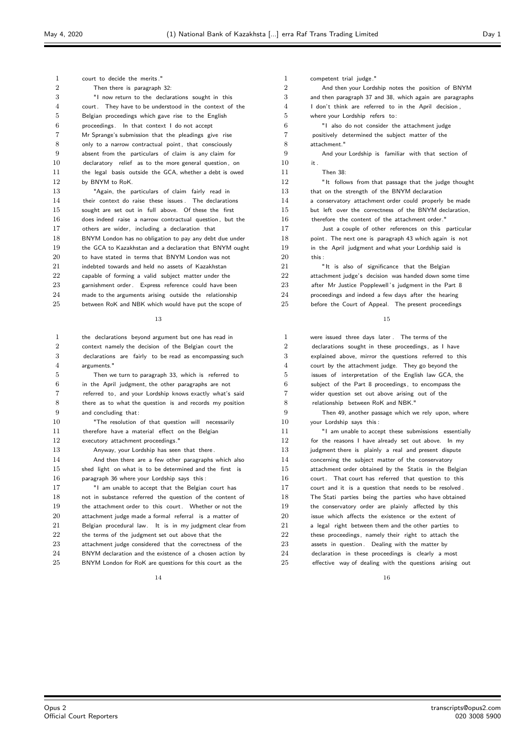| 1                | court to decide the merits."                             | 1  | competent trial judge."                                  |
|------------------|----------------------------------------------------------|----|----------------------------------------------------------|
| $\boldsymbol{2}$ | Then there is paragraph 32:                              | 2  | And then your Lordship notes the position of BNYM        |
| 3                | "I now return to the declarations sought in this         | 3  | and then paragraph 37 and 38, which again are paragraphs |
| 4                | court. They have to be understood in the context of the  | 4  | I don't think are referred to in the April decision,     |
| 5                | Belgian proceedings which gave rise to the English       | 5  | where your Lordship refers to:                           |
| 6                | proceedings. In that context I do not accept             | 6  | "I also do not consider the attachment judge             |
| 7                | Mr Sprange's submission that the pleadings give rise     | 7  | positively determined the subject matter of the          |
| 8                | only to a narrow contractual point, that consciously     | 8  | attachment."                                             |
| 9                | absent from the particulars of claim is any claim for    | 9  | And your Lordship is familiar with that section of       |
| 10               | declaratory relief as to the more general question, on   | 10 | it.                                                      |
| 11               | the legal basis outside the GCA, whether a debt is owed  | 11 | <b>Then 38:</b>                                          |
| 12               | by BNYM to RoK.                                          | 12 | "It follows from that passage that the judge thought     |
| 13               | "Again, the particulars of claim fairly read in          | 13 | that on the strength of the BNYM declaration             |
| 14               | their context do raise these issues. The declarations    | 14 | a conservatory attachment order could properly be made   |
| 15               | sought are set out in full above. Of these the first     | 15 | but left over the correctness of the BNYM declaration,   |
| 16               | does indeed raise a narrow contractual question, but the | 16 | therefore the content of the attachment order."          |
| 17               | others are wider, including a declaration that           | 17 | Just a couple of other references on this particular     |
| 18               | BNYM London has no obligation to pay any debt due under  | 18 | point. The next one is paragraph 43 which again is not   |
| 19               | the GCA to Kazakhstan and a declaration that BNYM ought  | 19 | in the April judgment and what your Lordship said is     |
| 20               | to have stated in terms that BNYM London was not         | 20 | this :                                                   |
| 21               | indebted towards and held no assets of Kazakhstan        | 21 | "It is also of significance that the Belgian             |
| 22               | capable of forming a valid subject matter under the      | 22 | attachment judge's decision was handed down some time    |
| 23               | garnishment order. Express reference could have been     | 23 | after Mr Justice Popplewell's judgment in the Part 8     |
| 24               | made to the arguments arising outside the relationship   | 24 | proceedings and indeed a few days after the hearing      |
| 25               | between RoK and NBK which would have put the scope of    | 25 | before the Court of Appeal. The present proceedings      |
|                  |                                                          |    |                                                          |
|                  | 13                                                       |    | 15                                                       |
| 1                | the declarations beyond argument but one has read in     | 1  | were issued three days later. The terms of the           |
| $\boldsymbol{2}$ | context namely the decision of the Belgian court the     | 2  | declarations sought in these proceedings, as I have      |
| 3                | declarations are fairly to be read as encompassing such  | 3  | explained above, mirror the questions referred to this   |
| 4                | arguments."                                              | 4  | court by the attachment judge. They go beyond the        |
| 5                | Then we turn to paragraph 33, which is referred to       | 5  | issues of interpretation of the English law GCA, the     |
| 6                | in the April judgment, the other paragraphs are not      | 6  | subject of the Part 8 proceedings, to encompass the      |
| 7                | referred to, and your Lordship knows exactly what's said | 7  | wider question set out above arising out of the          |
| 8                | there as to what the question is and records my position | 8  | relationship between RoK and NBK."                       |
| 9                | and concluding that:                                     | 9  | Then 49, another passage which we rely upon, where       |
| 10               | "The resolution of that question will necessarily        | 10 | your Lordship says this:                                 |
| 11               | therefore have a material effect on the Belgian          | 11 | "I am unable to accept these submissions essentially     |
| 12               | executory attachment proceedings."                       | 12 | for the reasons I have already set out above. In my      |
| 13               | Anyway, your Lordship has seen that there.               | 13 | judgment there is plainly a real and present dispute     |
| 14               | And then there are a few other paragraphs which also     | 14 | concerning the subject matter of the conservatory        |
| 15               | shed light on what is to be determined and the first is  | 15 | attachment order obtained by the Statis in the Belgian   |
| 16               | paragraph 36 where your Lordship says this:              | 16 | court. That court has referred that question to this     |
| 17               | "I am unable to accept that the Belgian court has        | 17 | court and it is a question that needs to be resolved.    |
| 18               | not in substance referred the question of the content of | 18 | The Stati parties being the parties who have obtained    |
| 19               | the attachment order to this court. Whether or not the   | 19 | the conservatory order are plainly affected by this      |
| 20               | attachment judge made a formal referral is a matter of   | 20 | issue which affects the existence or the extent of       |
| 21               | Belgian procedural law. It is in my judgment clear from  | 21 | a legal right between them and the other parties to      |
| 22               | the terms of the judgment set out above that the         | 22 | these proceedings, namely their right to attach the      |
| 23               | attachment judge considered that the correctness of the  | 23 | assets in question. Dealing with the matter by           |
| 24               | BNYM declaration and the existence of a chosen action by | 24 | declaration in these proceedings is clearly a most       |
| 25               | BNYM London for RoK are questions for this court as the  | 25 | effective way of dealing with the questions arising out  |
|                  | 14                                                       |    | 16                                                       |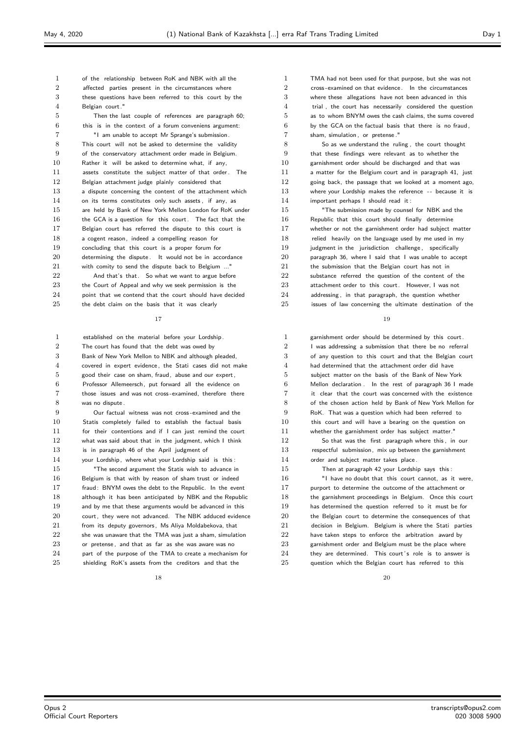of the relationship between RoK and NBK with all the affected parties present in the circumstances where these questions have been referred to this court by the Belgian court." Then the last couple of references are paragraph 60; this is in the context of a forum conveniens argument: "I am unable to accept Mr Sprange's submission. This court will not be asked to determine the validity of the conservatory attachment order made in Belgium. Rather it will be asked to determine what, if any, 11 assets constitute the subject matter of that order. The 12 Belgian attachment judge plainly considered that a dispute concerning the content of the attachment which on its terms constitutes only such assets , if any, as are held by Bank of New York Mellon London for RoK under the GCA is a question for this court. The fact that the Belgian court has referred the dispute to this court is a cogent reason, indeed a compelling reason for concluding that this court is a proper forum for 20 determining the dispute . It would not be in accordance with comity to send the dispute back to Belgium ..." 22 And that's that. So what we want to argue before 23 the Court of Appeal and why we seek permission is the point that we contend that the court should have decided the debt claim on the basis that it was clearly

## 

 established on the material before your Lordship. The court has found that the debt was owed by Bank of New York Mellon to NBK and although pleaded, covered in expert evidence, the Stati cases did not make good their case on sham, fraud, abuse and our expert, Professor Allemeersch, put forward all the evidence on those issues and was not cross -examined, therefore there was no dispute .

 Our factual witness was not cross -examined and the Statis completely failed to establish the factual basis 11 for their contentions and if I can just remind the court what was said about that in the judgment, which I think 13 is in paragraph 46 of the April judgment of

 your Lordship, where what your Lordship said is this : "The second argument the Statis wish to advance in Belgium is that with by reason of sham trust or indeed fraud: BNYM owes the debt to the Republic. In the event although it has been anticipated by NBK and the Republic 19 and by me that these arguments would be advanced in this 20 court, they were not advanced. The NBK adduced evidence 21 from its deputy governors, Ms Aliya Moldabekova, that 22 she was unaware that the TMA was just a sham, simulation 23 or pretense, and that as far as she was aware was no part of the purpose of the TMA to create a mechanism for 25 shielding RoK's assets from the creditors and that the

 TMA had not been used for that purpose, but she was not cross -examined on that evidence. In the circumstances where these allegations have not been advanced in this trial , the court has necessarily considered the question as to whom BNYM owes the cash claims, the sums covered by the GCA on the factual basis that there is no fraud, 7 sham, simulation, or pretense." So as we understand the ruling , the court thought that these findings were relevant as to whether the garnishment order should be discharged and that was 11 a matter for the Belgium court and in paragraph 41, just going back, the passage that we looked at a moment ago, 13 where your Lordship makes the reference -- because it is important perhaps I should read it : "The submission made by counsel for NBK and the Republic that this court should finally determine whether or not the garnishment order had subject matter 18 relied heavily on the language used by me used in my 19 judgment in the jurisdiction challenge, specifically paragraph 36, where I said that I was unable to accept 21 the submission that the Belgian court has not in 22 substance referred the question of the content of the attachment order to this court. However, I was not 24 addressing, in that paragraph, the question whether

issues of law concerning the ultimate destination of the

#### 

 garnishment order should be determined by this court. 2 I was addressing a submission that there be no referral of any question to this court and that the Belgian court had determined that the attachment order did have subject matter on the basis of the Bank of New York Mellon declaration . In the rest of paragraph 36 I made it clear that the court was concerned with the existence of the chosen action held by Bank of New York Mellon for RoK. That was a question which had been referred to 10 this court and will have a bearing on the question on whether the garnishment order has subject matter." 12 So that was the first paragraph where this, in our respectful submission, mix up between the garnishment 14 order and subject matter takes place. Then at paragraph 42 your Lordship says this : "I have no doubt that this court cannot, as it were, purport to determine the outcome of the attachment or the garnishment proceedings in Belgium. Once this court has determined the question referred to it must be for 20 the Belgian court to determine the consequences of that

 decision in Belgium. Belgium is where the Stati parties 22 have taken steps to enforce the arbitration award by garnishment order and Belgium must be the place where 24 they are determined. This court's role is to answer is 25 question which the Belgian court has referred to this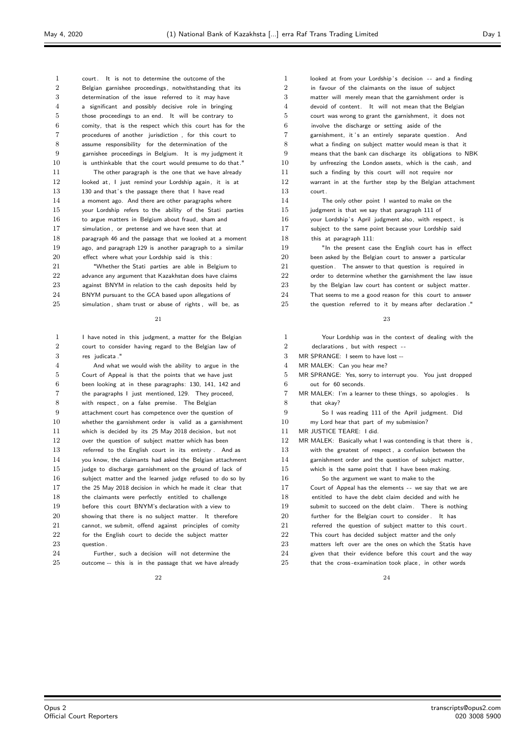court. It is not to determine the outcome of the Belgian garnishee proceedings, notwithstanding that its determination of the issue referred to it may have a significant and possibly decisive role in bringing those proceedings to an end. It will be contrary to comity, that is the respect which this court has for the procedures of another jurisdiction , for this court to assume responsibility for the determination of the garnishee proceedings in Belgium. It is my judgment it 10 is unthinkable that the court would presume to do that." The other paragraph is the one that we have already 12 looked at, I just remind your Lordship again, it is at 13 130 and that's the passage there that I have read a moment ago. And there are other paragraphs where your Lordship refers to the ability of the Stati parties 16 to argue matters in Belgium about fraud, sham and 17 simulation, or pretense and we have seen that at paragraph 46 and the passage that we looked at a moment ago, and paragraph 129 is another paragraph to a similar effect where what your Lordship said is this : "Whether the Stati parties are able in Belgium to 22 advance any argument that Kazakhstan does have claims 23 against BNYM in relation to the cash deposits held by

BNYM pursuant to the GCA based upon allegations of

simulation sham trust or abuse of rights , will be as

## 

 I have noted in this judgment, a matter for the Belgian court to consider having regard to the Belgian law of res judicata ."

 And what we would wish the ability to argue in the Court of Appeal is that the points that we have just been looking at in these paragraphs: 130, 141, 142 and the paragraphs I just mentioned, 129. They proceed, with respect , on a false premise. The Belgian attachment court has competence over the question of whether the garnishment order is valid as a garnishment which is decided by its 25 May 2018 decision, but not over the question of subject matter which has been 13 referred to the English court in its entirety . And as you know, the claimants had asked the Belgian attachment 15 judge to discharge garnishment on the ground of lack of subject matter and the learned judge refused to do so by the 25 May 2018 decision in which he made it clear that 18 the claimants were perfectly entitled to challenge before this court BNYM's declaration with a view to showing that there is no subject matter. It therefore 21 cannot, we submit, offend against principles of comity 22 for the English court to decide the subject matter 23 question .

 Further, such a decision will not determine the 25 outcome -- this is in the passage that we have already

1 looked at from your Lordship's decision -- and a finding 2 in favour of the claimants on the issue of subject matter will merely mean that the garnishment order is devoid of content. It will not mean that the Belgian court was wrong to grant the garnishment, it does not involve the discharge or setting aside of the 7 garnishment, it 's an entirely separate question. And what a finding on subject matter would mean is that it means that the bank can discharge its obligations to NBK by unfreezing the London assets, which is the cash, and such a finding by this court will not require nor warrant in at the further step by the Belgian attachment court. The only other point I wanted to make on the judgment is that we say that paragraph 111 of 16 your Lordship's April judgment also, with respect, is subject to the same point because your Lordship said this at paragraph 111:

 "In the present case the English court has in effect been asked by the Belgian court to answer a particular 21 question. The answer to that question is required in 22 order to determine whether the garnishment the law issue 23 by the Belgian law court has content or subject matter. That seems to me a good reason for this court to answer the question referred to it by means after declaration.

#### 

| 1              | Your Lordship was in the context of dealing with the         |
|----------------|--------------------------------------------------------------|
| $\overline{2}$ | declarations, but with respect --                            |
| 3              | MR SPRANGE: I seem to have lost --                           |
| $\overline{4}$ | MR MALEK: Can you hear me?                                   |
| 5              | MR SPRANGE: Yes, sorry to interrupt you. You just dropped    |
| 6              | out for 60 seconds.                                          |
| 7              | MR MALEK: I'm a learner to these things, so apologies.<br>ls |
| 8              | that okay?                                                   |
| 9              | So I was reading 111 of the April judgment. Did              |
| 10             | my Lord hear that part of my submission?                     |
| 11             | MR JUSTICE TEARE: I did.                                     |
| 12             | MR MALEK: Basically what I was contending is that there is,  |
| 13             | with the greatest of respect, a confusion between the        |
| 14             | garnishment order and the question of subject matter,        |
| 15             | which is the same point that I have been making.             |
| 16             | So the argument we want to make to the                       |
| 17             | Court of Appeal has the elements -- we say that we are       |
| 18             | entitled to have the debt claim decided and with he          |
| 19             | submit to succeed on the debt claim. There is nothing        |
| 20             | further for the Belgian court to consider. It has            |
| 21             | referred the question of subject matter to this court.       |
| 22             | This court has decided subject matter and the only           |
| 23             | matters left over are the ones on which the Statis have      |
| 24             | given that their evidence before this court and the way      |
| 25             | that the cross-examination took place, in other words        |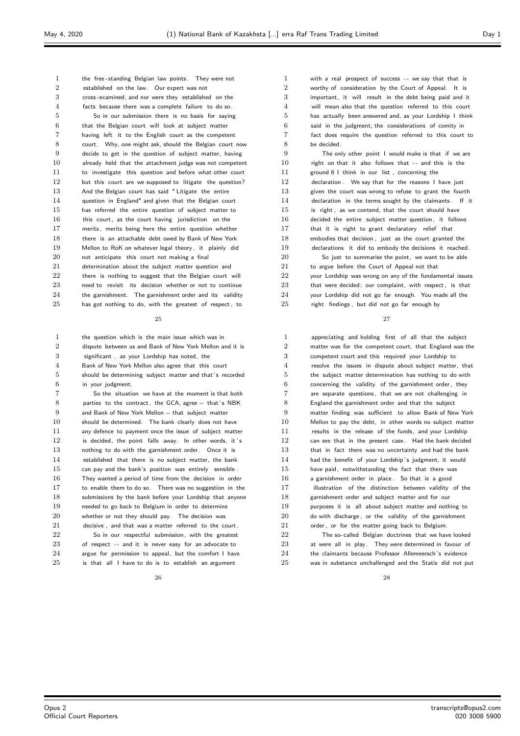| 1              | the free-standing Belgian law points. They were not      |
|----------------|----------------------------------------------------------|
| $\overline{2}$ | established on the law. Our expert was not               |
| 3              | cross-examined, and nor were they established on the     |
| $\overline{4}$ | facts because there was a complete failure to do so.     |
| 5              | So in our submission there is no basis for saying        |
| 6              | that the Belgian court will look at subject matter       |
| 7              | having left it to the English court as the competent     |
| 8              | court. Why, one might ask, should the Belgian court now  |
| 9              | decide to get in the question of subject matter, having  |
| 10             | already held that the attachment judge was not competent |
| 11             | to investigate this question and before what other court |
| 12             | but this court are we supposed to litigate the question? |
| 13             | And the Belgian court has said "Litigate the entire      |
| 14             | question in England" and given that the Belgian court    |
| 15             | has referred the entire question of subject matter to    |
| 16             | this court, as the court having jurisdiction on the      |
| 17             | merits, merits being here the entire question whether    |
| 18             | there is an attachable debt owed by Bank of New York     |
| 19             | Mellon to RoK on whatever legal theory, it plainly did   |
| 20             | not anticipate this court not making a final             |
| 21             | determination about the subject matter question and      |
| 22             | there is nothing to suggest that the Belgian court will  |
| 23             | need to revisit its decision whether or not to continue  |
| 24             | the garnishment. The garnishment order and its validity  |
| 25             | has got nothing to do, with the greatest of respect, to  |

 the question which is the main issue which was in dispute between us and Bank of New York Mellon and it is significant , as your Lordship has noted, the Bank of New York Mellon also agree that this court 5 should be determining subject matter and that's recorded in your judgment. So the situation we have at the moment is that both 8 parties to the contract, the GCA, agree -- that's NBK and Bank of New York Mellon -- that subject matter should be determined. The bank clearly does not have any defence to payment once the issue of subject matter

12 is decided, the point falls away. In other words, it 's 13 nothing to do with the garnishment order. Once it is established that there is no subject matter, the bank can pay and the bank's position was entirely sensible . They wanted a period of time from the decision in order to enable them to do so. There was no suggestion in the submissions by the bank before your Lordship that anyone needed to go back to Belgium in order to determine whether or not they should pay. The decision was 21 decisive , and that was a matter referred to the court. 22 So in our respectful submission, with the greatest 23 of respect -- and it is never easy for an advocate to

 argue for permission to appeal, but the comfort I have is that all I have to do is to establish an argument

 with a real prospect of success - - we say that that is worthy of consideration by the Court of Appeal. It is important, it will result in the debt being paid and it will mean also that the question referred to this court has actually been answered and, as your Lordship I think said in the judgment, the considerations of comity in fact does require the question referred to this court to be decided. The only other point I would make is that if we are right on that it also follows that  $-$  and this is the ground 6 I think in our list , concerning the declaration . We say that for the reasons I have just 13 given the court was wrong to refuse to grant the fourth 14 declaration in the terms sought by the claimants. If it 15 is right, as we contend, that the court should have decided the entire subject matter question , it follows 17 that it is right to grant declaratory relief that embodies that decision , just as the court granted the declarations it did to embody the decisions it reached. So just to summarise the point, we want to be able to argue before the Court of Appeal not that

 your Lordship was wrong on any of the fundamental issues that were decided; our complaint, with respect , is that your Lordship did not go far enough. You made all the right findings , but did not go far enough by

| $\mathbf{1}$   | appreciating and holding first of all that the subject   |
|----------------|----------------------------------------------------------|
| $\overline{2}$ | matter was for the competent court, that England was the |
| 3              | competent court and this required your Lordship to       |
| $\overline{4}$ | resolve the issues in dispute about subject matter, that |
| 5              | the subject matter determination has nothing to do with  |
| 6              | concerning the validity of the garnishment order, they   |
| $\overline{7}$ | are separate questions, that we are not challenging in   |
| 8              | England the garnishment order and that the subject       |
| 9              | matter finding was sufficient to allow Bank of New York  |
| 10             | Mellon to pay the debt, in other words no subject matter |
| 11             | results in the release of the funds, and your Lordship   |
| 12             | can see that in the present case. Had the bank decided   |
| 13             | that in fact there was no uncertainty and had the bank   |
| 14             | had the benefit of your Lordship's judgment, it would    |
| 15             | have paid, notwithstanding the fact that there was       |
| 16             | a garnishment order in place. So that is a good          |
| 17             | illustration of the distinction between validity of the  |
| 18             | garnishment order and subject matter and for our         |
| 19             | purposes it is all about subject matter and nothing to   |
| 20             | do with discharge, or the validity of the garnishment    |
| 21             | order, or for the matter going back to Belgium.          |
| 22             | The so-called Belgian doctrines that we have looked      |
| 23             | at were all in play. They were determined in favour of   |
| 24             | the claimants because Professor Allemeersch's evidence   |
| 25             | was in substance unchallenged and the Statis did not put |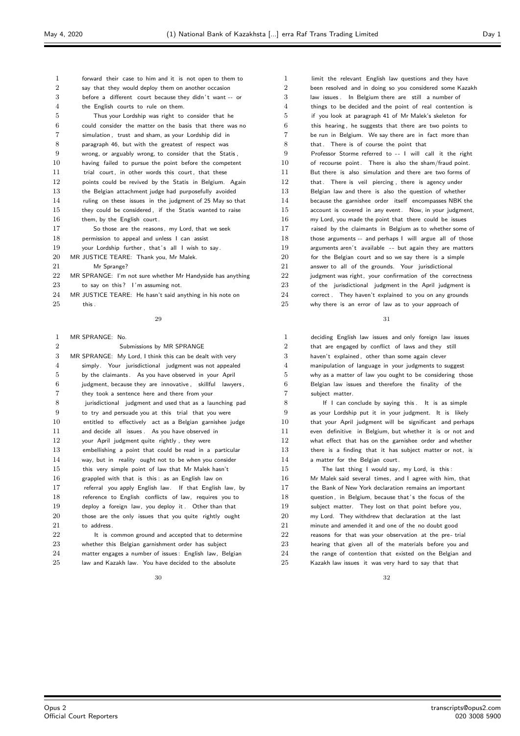| 1              | forward their case to him and it is not open to them to    |
|----------------|------------------------------------------------------------|
| $\overline{2}$ | say that they would deploy them on another occasion        |
| 3              | before a different court because they didn't want -- or    |
| $\overline{4}$ | the English courts to rule on them.                        |
| 5              | Thus your Lordship was right to consider that he           |
| 6              | could consider the matter on the basis that there was no   |
| 7              | simulation, trust and sham, as your Lordship did in        |
| 8              | paragraph 46, but with the greatest of respect was         |
| 9              | wrong, or arguably wrong, to consider that the Statis,     |
| 10             | having failed to pursue the point before the competent     |
| 11             | trial court, in other words this court, that these         |
| 12             | points could be revived by the Statis in Belgium. Again    |
| 13             | the Belgian attachment judge had purposefully avoided      |
| 14             | ruling on these issues in the judgment of 25 May so that   |
| 15             | they could be considered, if the Statis wanted to raise    |
| 16             | them, by the English court.                                |
| 17             | So those are the reasons, my Lord, that we seek            |
| 18             | permission to appeal and unless I can assist               |
| 19             | your Lordship further, that's all I wish to say.           |
| 20             | MR JUSTICE TEARE: Thank you, Mr Malek.                     |
| 21             | Mr Sprange?                                                |
| 22             | MR SPRANGE: I'm not sure whether Mr Handyside has anything |
| 23             | to say on this? I'm assuming not.                          |
| 24             | MR JUSTICE TEARE: He hasn't said anything in his note on   |
| 25             | this.                                                      |
|                |                                                            |

| 1              | MR SPRANGE: No.                                          |
|----------------|----------------------------------------------------------|
| $\overline{2}$ | Submissions by MR SPRANGE                                |
| 3              | MR SPRANGE: My Lord, I think this can be dealt with very |
| $\overline{4}$ | simply. Your jurisdictional judgment was not appealed    |
| 5              | by the claimants. As you have observed in your April     |
| 6              | judgment, because they are innovative, skillful lawyers, |
| $\overline{7}$ | they took a sentence here and there from your            |
| 8              | jurisdictional judgment and used that as a launching pad |
| 9              | to try and persuade you at this trial that you were      |
| 10             | entitled to effectively act as a Belgian garnishee judge |
| 11             | and decide all issues. As you have observed in           |
| 12             | your April judgment quite rightly, they were             |
| 13             | embellishing a point that could be read in a particular  |
| 14             | way, but in reality ought not to be when you consider    |
| 15             | this very simple point of law that Mr Malek hasn't       |
| 16             | grappled with that is this: as an English law on         |
| 17             | referral you apply English law. If that English law, by  |
| 18             | reference to English conflicts of law, requires you to   |
| 19             | deploy a foreign law, you deploy it. Other than that     |
| 20             | those are the only issues that you quite rightly ought   |
| 21             | to address.                                              |
| 22             | It is common ground and accepted that to determine       |
| 23             | whether this Belgian garnishment order has subject       |
| 24             | matter engages a number of issues: English law, Belgian  |

law and Kazakh law. You have decided to the absolute

1 limit the relevant English law questions and they have been resolved and in doing so you considered some Kazakh law issues . In Belgium there are still a number of things to be decided and the point of real contention is if you look at paragraph 41 of Mr Malek's skeleton for this hearing , he suggests that there are two points to be run in Belgium. We say there are in fact more than that. There is of course the point that Professor Storme referred to - - I will call it the right of recourse point. There is also the sham/fraud point. But there is also simulation and there are two forms of 12 that. There is veil piercing, there is agency under Belgian law and there is also the question of whether because the garnishee order itself encompasses NBK the account is covered in any event. Now, in your judgment, my Lord, you made the point that there could be issues raised by the claimants in Belgium as to whether some of 18 those arguments -- and perhaps I will argue all of those 19 arguments aren't available -- but again they are matters 20 for the Belgian court and so we say there is a simple answer to all of the grounds. Your jurisdictional judgment was right, your confirmation of the correctness 23 of the jurisdictional judgment in the April judgment is 24 correct . They haven't explained to you on any grounds why there is an error of law as to your approach of

 deciding English law issues and only foreign law issues that are engaged by conflict of laws and they still haven't explained , other than some again clever manipulation of language in your judgments to suggest why as a matter of law you ought to be considering those Belgian law issues and therefore the finality of the subject matter.

8 If I can conclude by saying this . It is as simple as your Lordship put it in your judgment. It is likely that your April judgment will be significant and perhaps even definitive in Belgium, but whether it is or not and what effect that has on the garnishee order and whether there is a finding that it has subject matter or not, is a matter for the Belgian court.

15 The last thing I would say, my Lord, is this: Mr Malek said several times, and I agree with him, that the Bank of New York declaration remains an important 18 question, in Belgium, because that's the focus of the subject matter. They lost on that point before you, my Lord. They withdrew that declaration at the last minute and amended it and one of the no doubt good 22 reasons for that was your observation at the pre-trial hearing that given all of the materials before you and 24 the range of contention that existed on the Belgian and Kazakh law issues it was very hard to say that that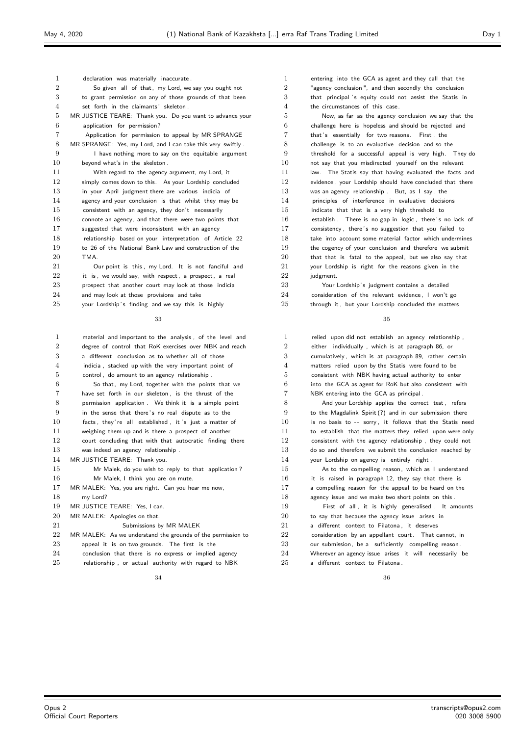| 1              | declaration was materially inaccurate.                      |
|----------------|-------------------------------------------------------------|
| $\overline{2}$ | So given all of that, my Lord, we say you ought not         |
| 3              | to grant permission on any of those grounds of that been    |
| $\overline{4}$ | set forth in the claimants' skeleton.                       |
| 5              | MR JUSTICE TEARE: Thank you. Do you want to advance your    |
| 6              | application for permission?                                 |
| 7              | Application for permission to appeal by MR SPRANGE          |
| 8              | MR SPRANGE: Yes, my Lord, and I can take this very swiftly. |
| 9              | I have nothing more to say on the equitable argument        |
| 10             | beyond what's in the skeleton.                              |
| 11             | With regard to the agency argument, my Lord, it             |
| 12             | simply comes down to this. As your Lordship concluded       |
| 13             | in your April judgment there are various indicia of         |
| 14             | agency and your conclusion is that whilst they may be       |
| 15             | consistent with an agency, they don't necessarily           |
| 16             | connote an agency, and that there were two points that      |
| 17             | suggested that were inconsistent with an agency             |
| 18             | relationship based on your interpretation of Article 22     |
| 19             | to 26 of the National Bank Law and construction of the      |
| 20             | TMA.                                                        |
| 21             | Our point is this, my Lord. It is not fanciful and          |
| 22             | it is, we would say, with respect, a prospect, a real       |
| 23             | prospect that another court may look at those indicia       |
| 24             | and may look at those provisions and take                   |

25 your Lordship's finding and we say this is highly

#### 

| 1              | material and important to the analysis, of the level and    |
|----------------|-------------------------------------------------------------|
| $\overline{2}$ | degree of control that RoK exercises over NBK and reach     |
| 3              | a different conclusion as to whether all of those           |
| $\overline{4}$ | indicia, stacked up with the very important point of        |
| 5              | control, do amount to an agency relationship.               |
| 6              | So that, my Lord, together with the points that we          |
| $\overline{7}$ | have set forth in our skeleton, is the thrust of the        |
| 8              | permission application. We think it is a simple point       |
| 9              | in the sense that there's no real dispute as to the         |
| 10             | facts, they're all established, it's just a matter of       |
| 11             | weighing them up and is there a prospect of another         |
| 12             | court concluding that with that autocratic finding there    |
| 13             | was indeed an agency relationship.                          |
| 14             | MR JUSTICE TEARE: Thank you.                                |
| 15             | Mr Malek, do you wish to reply to that application?         |
| 16             | Mr Malek, I think you are on mute.                          |
| 17             | MR MALEK: Yes, you are right. Can you hear me now,          |
| 18             | my Lord?                                                    |
| 19             | MR JUSTICE TEARE: Yes, I can.                               |
| 20             | MR MALEK: Apologies on that.                                |
| 21             | Submissions by MR MALEK                                     |
| 22             | MR MALEK: As we understand the grounds of the permission to |
| 23             | appeal it is on two grounds. The first is the               |
| 24             | conclusion that there is no express or implied agency       |
| 25             | relationship, or actual authority with regard to NBK        |

 entering into the GCA as agent and they call that the "agency conclusion ", and then secondly the conclusion 3 that principal 's equity could not assist the Statis in the circumstances of this case. Now, as far as the agency conclusion we say that the challenge here is hopeless and should be rejected and that' s essentially for two reasons. First , the challenge is to an evaluative decision and so the threshold for a successful appeal is very high. They do not say that you misdirected yourself on the relevant 11 law. The Statis say that having evaluated the facts and 12 evidence, your Lordship should have concluded that there was an agency relationship . But, as I say, the principles of interference in evaluative decisions indicate that that is a very high threshold to establish . There is no gap in logic, there's no lack of 17 consistency, there's no suggestion that you failed to 18 take into account some material factor which undermines the cogency of your conclusion and therefore we submit that that is fatal to the appeal, but we also say that your Lordship is right for the reasons given in the 22 judgment. 23 Your Lordship's judgment contains a detailed consideration of the relevant evidence, I won't go 25 through it, but your Lordship concluded the matters

#### 

 relied upon did not establish an agency relationship , either individually , which is at paragraph 86, or cumulatively , which is at paragraph 89, rather certain matters relied upon by the Statis were found to be consistent with NBK having actual authority to enter into the GCA as agent for RoK but also consistent with NBK entering into the GCA as principal . 8 And your Lordship applies the correct test, refers to the Magdalink Spirit (?) and in our submission there 10 is no basis to -- sorry, it follows that the Statis need to establish that the matters they relied upon were only consistent with the agency relationship , they could not do so and therefore we submit the conclusion reached by 14 your Lordship on agency is entirely right. 15 As to the compelling reason, which as I understand 16 it is raised in paragraph 12, they say that there is a compelling reason for the appeal to be heard on the agency issue and we make two short points on this . First of all , it is highly generalised . It amounts to say that because the agency issue arises in a different context to Filatona , it deserves 22 consideration by an appellant court. That cannot, in our submission, be a sufficiently compelling reason. Wherever an agency issue arises it will necessarily be a different context to Filatona .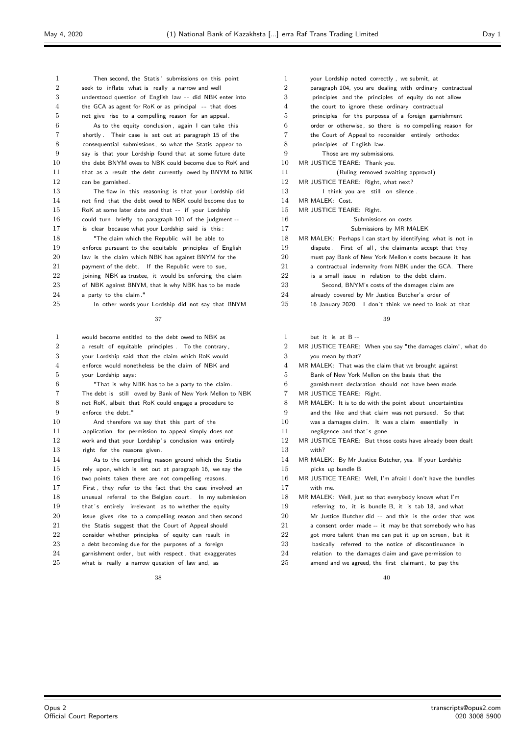seek to inflate what is really a narrow and well 3 understood question of English law -- did NBK enter into 4 the GCA as agent for RoK or as principal -- that does not give rise to a compelling reason for an appeal. As to the equity conclusion , again I can take this shortly . Their case is set out at paragraph 15 of the consequential submissions, so what the Statis appear to say is that your Lordship found that at some future date 10 the debt BNYM owes to NBK could become due to RoK and 11 that as a result the debt currently owed by BNYM to NBK can be garnished . The flaw in this reasoning is that your Lordship did not find that the debt owed to NBK could become due to 15 RoK at some later date and that -- if your Lordship could turn briefly to paragraph 101 of the judgment -- 17 is clear because what your Lordship said is this: **"The claim which the Republic will be able to**  enforce pursuant to the equitable principles of English 20 law is the claim which NBK has against BNYM for the

Then second, the Statis ' submissions on this point

 payment of the debt. If the Republic were to sue, 22 joining NBK as trustee, it would be enforcing the claim of NBK against BNYM, that is why NBK has to be made 24 a party to the claim."

In other words your Lordship did not say that BNYM

## 

| 1              | would become entitled to the debt owed to NBK as         |
|----------------|----------------------------------------------------------|
| $\overline{2}$ | a result of equitable principles. To the contrary,       |
| 3              | your Lordship said that the claim which RoK would        |
| $\overline{4}$ | enforce would nonetheless be the claim of NBK and        |
| 5              | your Lordship says:                                      |
| 6              | "That is why NBK has to be a party to the claim.         |
| 7              | The debt is still owed by Bank of New York Mellon to NBK |
| 8              | not RoK, albeit that RoK could engage a procedure to     |
| 9              | enforce the debt."                                       |
| 10             | And therefore we say that this part of the               |
| 11             | application for permission to appeal simply does not     |
| 12             | work and that your Lordship's conclusion was entirely    |
| 13             | right for the reasons given.                             |
| 14             | As to the compelling reason ground which the Statis      |
| 15             | rely upon, which is set out at paragraph 16, we say the  |
| 16             | two points taken there are not compelling reasons.       |
| 17             | First, they refer to the fact that the case involved an  |
| 18             | unusual referral to the Belgian court. In my submission  |
| 19             | that's entirely irrelevant as to whether the equity      |
| 20             | issue gives rise to a compelling reason and then second  |
| 21             | the Statis suggest that the Court of Appeal should       |
| 22             | consider whether principles of equity can result in      |
| 23             | a debt becoming due for the purposes of a foreign        |
| 24             | garnishment order, but with respect, that exaggerates    |
| 25             | what is really a narrow question of law and, as          |
|                |                                                          |

 your Lordship noted correctly , we submit, at paragraph 104, you are dealing with ordinary contractual principles and the principles of equity do not allow the court to ignore these ordinary contractual principles for the purposes of a foreign garnishment order or otherwise , so there is no compelling reason for the Court of Appeal to reconsider entirely orthodox principles of English law. Those are my submissions. MR JUSTICE TEARE: Thank you. (Ruling removed awaiting approval) MR JUSTICE TEARE: Right, what next? 13 I think you are still on silence. MR MALEK: Cost. MR JUSTICE TEARE: Right. Submissions on costs Submissions by MR MALEK MR MALEK: Perhaps I can start by identifying what is not in 19 dispute . First of all, the claimants accept that they must pay Bank of New York Mellon's costs because it has 21 a contractual indemnity from NBK under the GCA. There 22 is a small issue in relation to the debt claim. Second, BNYM's costs of the damages claim are

- already covered by Mr Justice Butcher's order of
- 16 January 2020. I don't think we need to look at that

#### 

| 1              | but it is at $B -$                                          |
|----------------|-------------------------------------------------------------|
| $\overline{2}$ | MR JUSTICE TEARE: When you say "the damages claim", what do |
| 3              | you mean by that?                                           |
| 4              | MR MALEK: That was the claim that we brought against        |
| 5              | Bank of New York Mellon on the basis that the               |
| 6              | garnishment declaration should not have been made.          |
| 7              | MR JUSTICE TEARE: Right.                                    |
| 8              | MR MALEK: It is to do with the point about uncertainties    |
| 9              | and the like and that claim was not pursued. So that        |
| 10             | was a damages claim. It was a claim essentially in          |
| 11             | negligence and that's gone.                                 |
| 12             | MR JUSTICE TEARE: But those costs have already been dealt   |
| 13             | with?                                                       |
| 14             | MR MALEK: By Mr Justice Butcher, yes. If your Lordship      |
| 15             | picks up bundle B.                                          |
| 16             | MR JUSTICE TEARE: Well, I'm afraid I don't have the bundles |
| 17             | with me.                                                    |
| 18             | MR MALEK: Well, just so that everybody knows what I'm       |
| 19             | referring to, it is bundle B, it is tab 18, and what        |
| 20             | Mr Justice Butcher did -- and this is the order that was    |
| 21             | a consent order made -- it may be that somebody who has     |
| 22             | got more talent than me can put it up on screen, but it     |
| 23             | basically referred to the notice of discontinuance in       |
| 24             | relation to the damages claim and gave permission to        |
| 25             | amend and we agreed, the first claimant, to pay the         |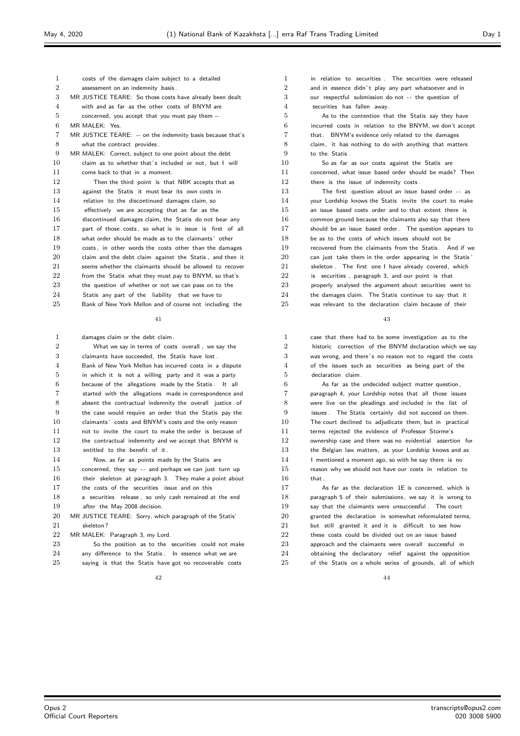| 1              | costs of the damages claim subject to a detailed           |
|----------------|------------------------------------------------------------|
| $\overline{2}$ | assessment on an indemnity basis.                          |
| 3              | MR JUSTICE TEARE: So those costs have already been dealt   |
| $\overline{4}$ | with and as far as the other costs of BNYM are             |
| 5              | concerned, you accept that you must pay them --            |
| 6              | MR MALEK: Yes.                                             |
| 7              | MR JUSTICE TEARE: -- on the indemnity basis because that's |
| 8              | what the contract provides.                                |
| 9              | MR MALEK: Correct, subject to one point about the debt     |
| 10             | claim as to whether that's included or not, but I will     |
| 11             | come back to that in a moment.                             |
| 12             | Then the third point is that NBK accepts that as           |
| 13             | against the Statis it must bear its own costs in           |
| 14             | relation to the discontinued damages claim, so             |
| 15             | effectively we are accepting that as far as the            |
| 16             | discontinued damages claim, the Statis do not bear any     |
| 17             | part of those costs, so what is in issue is first of all   |
| 18             | what order should be made as to the claimants' other       |
| 19             | costs, in other words the costs other than the damages     |
| 20             | claim and the debt claim against the Statis, and then it   |
| 21             | seems whether the claimants should be allowed to recover   |
| 22             | from the Statis what they must pay to BNYM, so that's      |
| 23             | the question of whether or not we can pass on to the       |
| 24             | Statis any part of the liability that we have to           |
| 25             | Bank of New York Mellon and of course not including the    |
|                |                                                            |

| 1              | damages claim or the debt claim.                        |
|----------------|---------------------------------------------------------|
| $\overline{2}$ | What we say in terms of costs overall, we say the       |
| 3              | claimants have succeeded, the Statis have lost.         |
| 4              | Bank of New York Mellon has incurred costs in a dispute |
| 5              | in which it is not a willing party and it was a party   |
| 6              | because of the allegations made by the Statis. It all   |
| $\overline{7}$ | started with the allegations made in correspondence and |
| 8              | absent the contractual indemnity the overall justice of |
| 9              | the case would require an order that the Statis pay the |
| 10             | claimants' costs and BNYM's costs and the only reason   |
| 11             | not to invite the court to make the order is because of |
| 12             | the contractual indemnity and we accept that BNYM is    |
| 13             | entitled to the benefit of it.                          |
| 14             | Now, as far as points made by the Statis are            |
| 15             | concerned, they say -- and perhaps we can just turn up  |
| 16             | their skeleton at paragraph 3. They make a point about  |
| 17             | the costs of the securities issue and on this           |
| 18             | a securities release, so only cash remained at the end  |
| 19             | after the May 2008 decision.                            |
| 20             | MR JUSTICE TEARE: Sorry, which paragraph of the Statis' |
| 21             | skeleton?                                               |
| 22             | MR MALEK: Paragraph 3, my Lord.                         |
| 23             | So the position as to the securities could not make     |
| 24             | any difference to the Statis. In essence what we are    |
| 25             | saying is that the Statis have got no recoverable costs |

 in relation to securities . The securities were released 2 and in essence didn't play any part whatsoever and in our respectful submission do not - - the question of securities has fallen away. As to the contention that the Statis say they have incurred costs in relation to the BNYM, we don't accept that. BNYM's evidence only related to the damages claim, it has nothing to do with anything that matters to the Statis . So as far as our costs against the Statis are concerned, what issue based order should be made? Then 12 there is the issue of indemnity costs. 13 The first question about an issue based order -- as your Lordship knows the Statis invite the court to make an issue based costs order and to that extent there is common ground because the claimants also say that there 17 should be an issue based order. The question appears to be as to the costs of which issues should not be recovered from the claimants from the Statis . And if we can just take them in the order appearing in the Statis ' 21 skeleton . The first one I have already covered, which is securities , paragraph 3, and our point is that **properly** analysed the argument about securities went to 24 the damages claim. The Statis continue to say that it was relevant to the declaration claim because of their

 case that there had to be some investigation as to the historic correction of the BNYM declaration which we say was wrong, and there' s no reason not to regard the costs of the issues such as securities as being part of the declaration claim. As far as the undecided subject matter question ,

 paragraph 4, your Lordship notes that all those issues were live on the pleadings and included in the list of issues . The Statis certainly did not succeed on them. The court declined to adjudicate them, but in practical terms rejected the evidence of Professor Storme's ownership case and there was no evidential assertion for the Belgian law matters, as your Lordship knows and as 14 I mentioned a moment ago, so with he say there is no reason why we should not have our costs in relation to that. As far as the declaration 1E is concerned, which is paragraph 5 of their submissions, we say it is wrong to say that the claimants were unsuccessful . The court

 granted the declaration in somewhat reformulated terms, 21 but still granted it and it is difficult to see how these costs could be divided out on an issue based approach and the claimants were overall successful in obtaining the declaratory relief against the opposition of the Statis on a whole series of grounds, all of which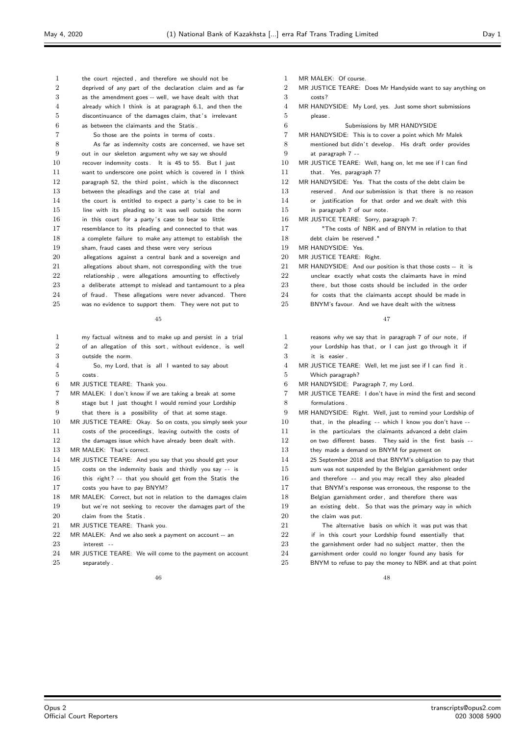| 1              | the court rejected, and therefore we should not be       |
|----------------|----------------------------------------------------------|
| $\overline{2}$ | deprived of any part of the declaration claim and as far |
| 3              | as the amendment goes -- well, we have dealt with that   |
| $\overline{4}$ | already which I think is at paragraph 6.1, and then the  |
| 5              | discontinuance of the damages claim, that's irrelevant   |
| 6              | as between the claimants and the Statis.                 |
| 7              | So those are the points in terms of costs.               |
| 8              | As far as indemnity costs are concerned, we have set     |
| 9              | out in our skeleton argument why we say we should        |
| 10             | recover indemnity costs. It is 45 to 55. But I just      |
| 11             | want to underscore one point which is covered in I think |
| 12             | paragraph 52, the third point, which is the disconnect   |
| 13             | between the pleadings and the case at trial and          |
| 14             | the court is entitled to expect a party's case to be in  |
| 15             | line with its pleading so it was well outside the norm   |
| 16             | in this court for a party's case to bear so little       |
| 17             | resemblance to its pleading and connected to that was    |
| 18             | a complete failure to make any attempt to establish the  |
| 19             | sham, fraud cases and these were very serious            |
| 20             | allegations against a central bank and a sovereign and   |
| 21             | allegations about sham, not corresponding with the true  |
| 22             | relationship, were allegations amounting to effectively  |
| 23             | a deliberate attempt to mislead and tantamount to a plea |
| 24             | of fraud. These allegations were never advanced. There   |
| 25             | was no evidence to support them. They were not put to    |
|                |                                                          |

| 1              | my factual witness and to make up and persist in a trial    |
|----------------|-------------------------------------------------------------|
| $\overline{2}$ | of an allegation of this sort, without evidence, is well    |
| 3              | outside the norm.                                           |
| $\overline{4}$ | So, my Lord, that is all I wanted to say about              |
| 5              | costs.                                                      |
| 6              | MR JUSTICE TEARE: Thank you.                                |
| 7              | MR MALEK: I don't know if we are taking a break at some     |
| 8              | stage but I just thought I would remind your Lordship       |
| 9              | that there is a possibility of that at some stage.          |
| 10             | MR JUSTICE TEARE: Okay. So on costs, you simply seek your   |
| 11             | costs of the proceedings, leaving outwith the costs of      |
| 12             | the damages issue which have already been dealt with.       |
| 13             | MR MALEK: That's correct.                                   |
| 14             | MR JUSTICE TEARE: And you say that you should get your      |
| 15             | costs on the indemnity basis and thirdly you say -- is      |
| 16             | this right? -- that you should get from the Statis the      |
| 17             | costs you have to pay BNYM?                                 |
| 18             | MR MALEK: Correct, but not in relation to the damages claim |
| 19             | but we're not seeking to recover the damages part of the    |
| 20             | claim from the Statis.                                      |
| 21             | MR JUSTICE TEARE: Thank you.                                |
| 22             | MR MALEK: And we also seek a payment on account -- an       |
| 23             | interest --                                                 |
| 24             | MR JUSTICE TEARE: We will come to the payment on account    |
| 25             | separately.                                                 |

- MR MALEK: Of course.
- MR JUSTICE TEARE: Does Mr Handyside want to say anything on
- costs?
- MR HANDYSIDE: My Lord, yes. Just some short submissions please .
- Submissions by MR HANDYSIDE
- MR HANDYSIDE: This is to cover a point which Mr Malek
- 8 mentioned but didn't develop. His draft order provides at paragraph 7 - -
- MR JUSTICE TEARE: Well, hang on, let me see if I can find
- 11 that. Yes, paragraph 7?
- MR HANDYSIDE: Yes. That the costs of the debt claim be
- reserved . And our submission is that there is no reason
- or justification for that order and we dealt with this
- in paragraph 7 of our note.
- MR JUSTICE TEARE: Sorry, paragraph 7:
- "The costs of NBK and of BNYM in relation to that
- debt claim be reserved ."
- MR HANDYSIDE: Yes.
- MR JUSTICE TEARE: Right.
- MR HANDYSIDE: And our position is that those costs -- it is
- unclear exactly what costs the claimants have in mind
- there , but those costs should be included in the order
- 24 for costs that the claimants accept should be made in
- BNYM's favour. And we have dealt with the witness

## 

| 1              | reasons why we say that in paragraph 7 of our note, if        |
|----------------|---------------------------------------------------------------|
| $\overline{2}$ | your Lordship has that, or I can just go through it if        |
| 3              | it is easier.                                                 |
| 4              | MR JUSTICE TEARE: Well, let me just see if I can find it.     |
| 5              | Which paragraph?                                              |
| 6              | MR HANDYSIDE: Paragraph 7, my Lord.                           |
| 7              | MR JUSTICE TEARE: I don't have in mind the first and second   |
| 8              | formulations.                                                 |
| 9              | MR HANDYSIDE: Right. Well, just to remind your Lordship of    |
| 10             | that, in the pleading $-$ - which I know you don't have $-$ - |
| 11             | in the particulars the claimants advanced a debt claim        |
| 12             | on two different bases. They said in the first basis --       |
| 13             | they made a demand on BNYM for payment on                     |
| 14             | 25 September 2018 and that BNYM's obligation to pay that      |
| 15             | sum was not suspended by the Belgian garnishment order        |
| 16             | and therefore -- and you may recall they also pleaded         |
| 17             | that BNYM's response was erroneous, the response to the       |
| 18             | Belgian garnishment order, and therefore there was            |
| 19             | an existing debt. So that was the primary way in which        |
| 20             | the claim was put.                                            |
| 21             | The alternative basis on which it was put was that            |
| 22             | if in this court your Lordship found essentially that         |
| 23             | the garnishment order had no subject matter, then the         |
| 24             | garnishment order could no longer found any basis for         |
| 25             | BNYM to refuse to pay the money to NBK and at that point      |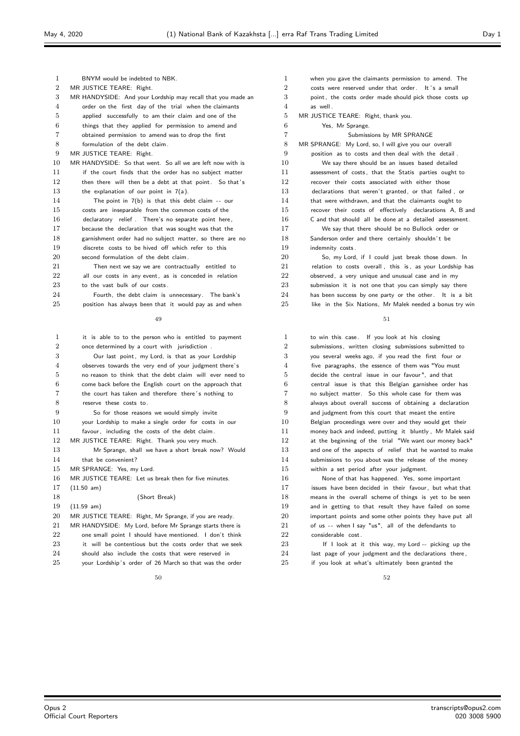| 1                | BNYM would be indebted to NBK.                              | 1              | when you gave the claimants permission to amend. The     |
|------------------|-------------------------------------------------------------|----------------|----------------------------------------------------------|
| $\boldsymbol{2}$ | MR JUSTICE TEARE: Right.                                    | $\overline{2}$ | costs were reserved under that order. It's a small       |
| 3                | MR HANDYSIDE: And your Lordship may recall that you made an | 3              | point, the costs order made should pick those costs up   |
| 4                | order on the first day of the trial when the claimants      | 4              | as well.                                                 |
| 5                | applied successfully to am their claim and one of the       | 5              | MR JUSTICE TEARE: Right, thank you.                      |
| 6                | things that they applied for permission to amend and        | 6              | Yes, Mr Sprange.                                         |
| 7                | obtained permission to amend was to drop the first          | 7              | Submissions by MR SPRANGE                                |
| 8                | formulation of the debt claim.                              | $\,8\,$        | MR SPRANGE: My Lord, so, I will give you our overall     |
| 9                | MR JUSTICE TEARE: Right.                                    | 9              | position as to costs and then deal with the detail.      |
| 10               | MR HANDYSIDE: So that went. So all we are left now with is  | 10             | We say there should be an issues based detailed          |
| 11               | if the court finds that the order has no subject matter     | 11             | assessment of costs, that the Statis parties ought to    |
| 12               | then there will then be a debt at that point. So that's     | 12             | recover their costs associated with either those         |
| 13               | the explanation of our point in $7(a)$ .                    | 13             | declarations that weren't granted, or that failed, or    |
| 14               | The point in $7(b)$ is that this debt claim -- our          | 14             | that were withdrawn, and that the claimants ought to     |
| 15               | costs are inseparable from the common costs of the          | 15             | recover their costs of effectively declarations A, B and |
| 16               | declaratory relief. There's no separate point here,         | 16             | C and that should all be done at a detailed assessment.  |
| 17               | because the declaration that was sought was that the        | 17             | We say that there should be no Bullock order or          |
| 18               | garnishment order had no subject matter, so there are no    | 18             | Sanderson order and there certainly shouldn't be         |
| 19               | discrete costs to be hived off which refer to this          | 19             | indemnity costs.                                         |
| 20               | second formulation of the debt claim.                       | 20             | So, my Lord, if I could just break those down. In        |
| 21               | Then next we say we are contractually entitled to           | 21             | relation to costs overall, this is, as your Lordship has |
| 22               | all our costs in any event, as is conceded in relation      | 22             | observed, a very unique and unusual case and in my       |
| 23               | to the vast bulk of our costs.                              | 23             | submission it is not one that you can simply say there   |
| 24               | Fourth, the debt claim is unnecessary. The bank's           | 24             | has been success by one party or the other. It is a bit  |
| 25               | position has always been that it would pay as and when      | 25             | like in the Six Nations, Mr Malek needed a bonus try win |
|                  |                                                             |                |                                                          |
|                  | 49                                                          |                | 51                                                       |
| 1                | it is able to to the person who is entitled to payment      | 1              | to win this case. If you look at his closing             |
| $\boldsymbol{2}$ | once determined by a court with jurisdiction.               | $\overline{2}$ | submissions, written closing submissions submitted to    |
| 3                | Our last point, my Lord, is that as your Lordship           | 3              | you several weeks ago, if you read the first four or     |
| 4                | observes towards the very end of your judgment there's      | 4              | five paragraphs, the essence of them was "You must       |
| 5                | no reason to think that the debt claim will ever need to    | 5              | decide the central issue in our favour", and that        |
| 6                | come back before the English court on the approach that     | 6              | central issue is that this Belgian garnishee order has   |
| 7                | the court has taken and therefore there's nothing to        | 7              | no subject matter. So this whole case for them was       |
| 8                | reserve these costs to.                                     | 8              | always about overall success of obtaining a declaration  |
| 9                | So for those reasons we would simply invite                 | 9              | and judgment from this court that meant the entire       |
| 10               | your Lordship to make a single order for costs in our       | 10             | Belgian proceedings were over and they would get their   |
| 11               | favour, including the costs of the debt claim.              | 11             | money back and indeed, putting it bluntly, Mr Malek said |
| 12               | MR JUSTICE TEARE: Right. Thank you very much.               | 12             | at the beginning of the trial "We want our money back"   |
| 13               | Mr Sprange, shall we have a short break now? Would          | 13             | and one of the aspects of relief that he wanted to make  |
| 14               | that be convenient?                                         | 14             | submissions to you about was the release of the money    |
| 15               | MR SPRANGE: Yes, my Lord.                                   | $15\,$         | within a set period after your judgment.                 |
| 16               | MR JUSTICE TEARE: Let us break then for five minutes.       | 16             | None of that has happened. Yes, some important           |
| 17               | $(11.50 \text{ am})$                                        | 17             | issues have been decided in their favour, but what that  |
| 18               | (Short Break)                                               | 18             | means in the overall scheme of things is yet to be seen  |
| 19               | $(11.59 \, \text{am})$                                      | 19             | and in getting to that result they have failed on some   |
| 20               | MR JUSTICE TEARE: Right, Mr Sprange, if you are ready.      | 20             | important points and some other points they have put all |
| 21               | MR HANDYSIDE: My Lord, before Mr Sprange starts there is    | 21             | of us -- when I say "us", all of the defendants to       |
| 22               | one small point I should have mentioned. I don't think      | 22             | considerable cost.                                       |
| 23               | it will be contentious but the costs order that we seek     | 23             | If I look at it this way, my Lord -- picking up the      |
| 24               | should also include the costs that were reserved in         | 24             | last page of your judgment and the declarations there,   |
| 25               | vour Lordship's order of 26 March so that was the order     | 25             | if you look at what's ultimately been granted the        |

 when you gave the claimants permission to amend. The 2 costs were reserved under that order. It's a small point, the costs order made should pick those costs up  $4 \qquad \qquad$  as well MR JUSTICE TEARE: Right, thank you. Yes, Mr Sprange. Submissions by MR SPRANGE MR SPRANGE: My Lord, so, I will give you our overall position as to costs and then deal with the detail . We say there should be an issues based detailed assessment of costs , that the Statis parties ought to recover their costs associated with either those declarations that weren't granted, or that failed , or 14 that were withdrawn, and that the claimants ought to recover their costs of effectively declarations A, B and C and that should all be done at a detailed assessment. We say that there should be no Bullock order or 18 Sanderson order and there certainly shouldn't be 19 indemnity costs. So, my Lord, if I could just break those down. In 21 relation to costs overall, this is, as your Lordship has observed, a very unique and unusual case and in my submission it is not one that you can simply say there

| $\mathbf{1}$   | to win this case. If you look at his closing                  |
|----------------|---------------------------------------------------------------|
| $\overline{2}$ | submissions, written closing submissions submitted to         |
| 3              | you several weeks ago, if you read the first four or          |
| $\overline{4}$ | five paragraphs, the essence of them was "You must            |
| 5              | decide the central issue in our favour", and that             |
| 6              | central issue is that this Belgian garnishee order has        |
| $\overline{7}$ | no subject matter. So this whole case for them was            |
| 8              | always about overall success of obtaining a declaration       |
| 9              | and judgment from this court that meant the entire            |
| 10             | Belgian proceedings were over and they would get their        |
| 11             | money back and indeed, putting it bluntly, Mr Malek said      |
| 12             | at the beginning of the trial "We want our money back"        |
| 13             | and one of the aspects of relief that he wanted to make       |
| 14             | submissions to you about was the release of the money         |
| 15             | within a set period after your judgment.                      |
| 16             | None of that has happened. Yes, some important                |
| 17             | issues have been decided in their favour, but what that       |
| 18             | means in the overall scheme of things is yet to be seen       |
| 19             | and in getting to that result they have failed on some        |
| 20             | important points and some other points they have put all      |
| 21             | of us -- when I say "us", all of the defendants to            |
| 22             | considerable cost.                                            |
| າາ             | ومطفرون سوباماها المسمانيون بمبرز والطاف الجامع بالمواط أراكل |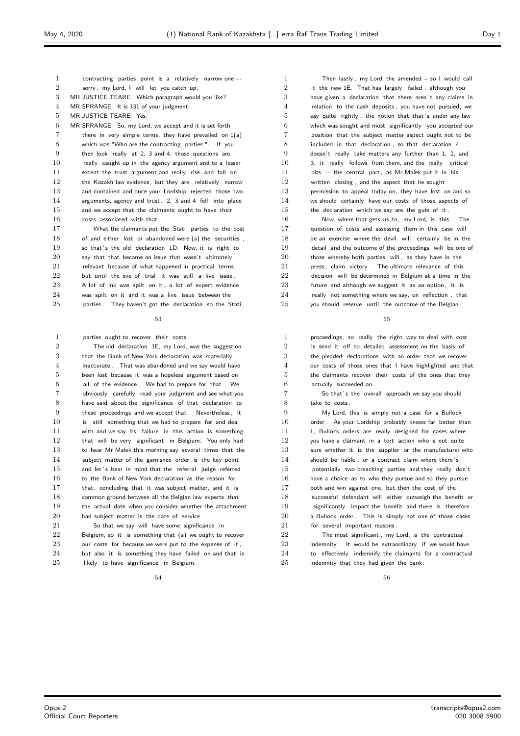- contracting parties point is a relatively narrow one - sorry , my Lord, I will let you catch up. MR JUSTICE TEARE: Which paragraph would you like? MR SPRANGE: It is 131 of your judgment. MR JUSTICE TEARE: Yes. MR SPRANGE: So, my Lord, we accept and it is set forth there in very simple terms, they have prevailed on 1(a) which was "Who are the contracting parties ". If you then look really at 2, 3 and 4, those questions are 10 really caught up in the agency argument and to a lesser extent the trust argument and really rise and fall on 12 the Kazakh law evidence, but they are relatively narrow and contained and once your Lordship rejected those two arguments, agency and trust , 2, 3 and 4 fell into place 15 and we accept that the claimants ought to have their
- costs associated with that. What the claimants put the Stati parties to the cost of and either lost or abandoned were (a) the securities , 19 so that's the old declaration 1D. Now, it is right to 20 say that that became an issue that wasn't ultimately 21 relevant because of what happened in practical terms, 22 but until the eve of trial it was still a live issue A lot of ink was spilt on it , a lot of expert evidence was spilt on it and it was a live issue between the 25 parties . They haven't got the declaration so the Station

- parties ought to recover their costs . The old declaration 1E, my Lord, was the suggestion that the Bank of New York declaration was materially inaccurate . That was abandoned and we say would have been lost because it was a hopeless argument based on all of the evidence. We had to prepare for that. We obviously carefully read your judgment and see what you have said about the significance of that declaration to these proceedings and we accept that. Nevertheless , it is still something that we had to prepare for and deal with and we say its failure in this action is something that will be very significant in Belgium. You only had to hear Mr Malek this morning say several times that the subject matter of the garnishee order is the key point 15 and let 's bear in mind that the referral judge referred 16 to the Bank of New York declaration as the reason for that, concluding that it was subject matter, and it is common ground between all the Belgian law experts that the actual date when you consider whether the attachment had subject matter is the date of service . 21 So that we say will have some significance in Belgium, so it is something that (a) we ought to recover
- 23 our costs for because we were put to the expense of it, 24 but also it is something they have failed on and that is 25 likely to have significance in Belgium

 Then lastly , my Lord, the amended -- so I would call it the new 1E. That has largely failed , although you 3 have given a declaration that there aren't any claims in relation to the cash deposits , you have not pursued, we 5 say quite rightly, the notion that that's under any law which was sought and most significantly you accepted our position that the subject matter aspect ought not to be included in that declaration , so that declaration 4 doesn't really take matters any further than 1, 2, and 3, it really follows from them, and the really critical bits - - the central part , as Mr Malek put it in his written closing , and the aspect that he sought permission to appeal today on, they have lost on and so we should certainly have our costs of those aspects of the declaration which we say are the guts of it . Now, where that gets us to, my Lord, is this . The 17 auestion of costs and assessing them in this case will be an exercise where the devil will certainly be in the detail and the outcome of the proceedings will be one of those whereby both parties will , as they have in the 21 press, claim victory . The ultimate relevance of this 22 decision will be determined in Belgium at a time in the 23 future and although we suggest it as an option, it is really not something where we say, on reflection, that

25 vou should reserve until the outcome of the Belgian

#### 

 proceedings, so really the right way to deal with cost is send it off to detailed assessment on the basis of the pleaded declarations with an order that we recover our costs of those ones that I have highlighted and that the claimants recover their costs of the ones that they actually succeeded on.

 So that' s the overall approach we say you should take to costs .

 My Lord, this is simply not a case for a Bullock 10 order. As your Lordship probably knows far better than 11 I, Bullock orders are really designed for cases where you have a claimant in a tort action who is not quite 13 sure whether it is the supplier or the manufacturer who 14 should be liable, or a contract claim where there's potentially two breaching parties and they really don't have a choice as to who they pursue and so they pursue 17 both and win against one, but then the cost of the successful defendant will either outweigh the benefit or significantly impact the benefit and there is therefore 20 a Bullock order. This is simply not one of those cases 21 for several important reasons. The most significant  $\mu$  and is the contractual 23 indemnity. It would be extraordinary if we would have to effectively indemnify the claimants for a contractual

**indemnity that they had given the bank**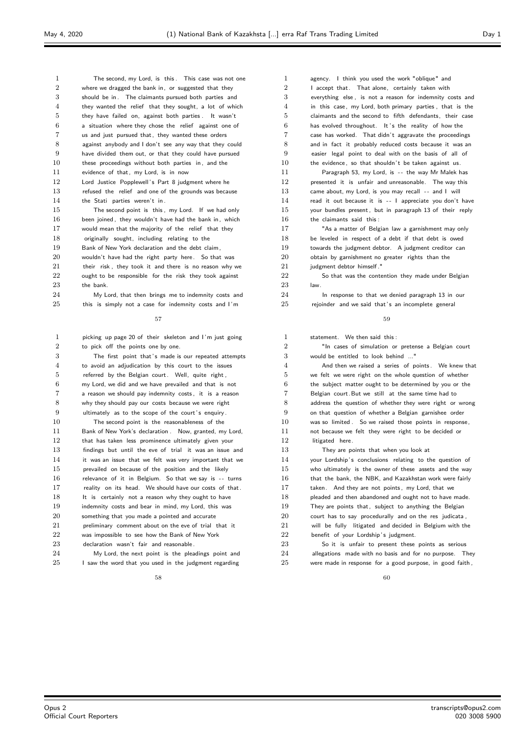| 1              | The second, my Lord, is this. This case was not one     |
|----------------|---------------------------------------------------------|
| $\overline{2}$ | where we dragged the bank in, or suggested that they    |
| 3              | should be in. The claimants pursued both parties and    |
| $\overline{4}$ | they wanted the relief that they sought, a lot of which |
| 5              | they have failed on, against both parties. It wasn't    |
| 6              | a situation where they chose the relief against one of  |
| $\overline{7}$ | us and just pursued that, they wanted these orders      |
| 8              | against anybody and I don't see any way that they could |
| 9              | have divided them out, or that they could have pursued  |
| 10             | these proceedings without both parties in, and the      |
| 11             | evidence of that, my Lord, is in now                    |
| 12             | Lord Justice Popplewell's Part 8 judgment where he      |
| 13             | refused the relief and one of the grounds was because   |
| 14             | the Stati parties weren't in.                           |
| 15             | The second point is this, my Lord. If we had only       |
| 16             | been joined, they wouldn't have had the bank in, which  |
| 17             | would mean that the majority of the relief that they    |
| 18             | originally sought, including relating to the            |
| 19             | Bank of New York declaration and the debt claim,        |
| 20             | wouldn't have had the right party here. So that was     |
| 21             | their risk, they took it and there is no reason why we  |
| 22             | ought to be responsible for the risk they took against  |
| 23             | the bank.                                               |
|                |                                                         |

24 My Lord, that then brings me to indemnity costs and 25 this is simply not a case for indemnity costs and I'm

#### 

 picking up page 20 of their skeleton and I 'm just going to pick off the points one by one.

| 3              | The first point that's made is our repeated attempts    |
|----------------|---------------------------------------------------------|
| 4              | to avoid an adjudication by this court to the issues    |
| 5              | referred by the Belgian court. Well, quite right,       |
| 6              | my Lord, we did and we have prevailed and that is not   |
| $\overline{7}$ | a reason we should pay indemnity costs, it is a reason  |
| 8              | why they should pay our costs because we were right     |
| 9              | ultimately as to the scope of the court's enquiry.      |
| 10             | The second point is the reasonableness of the           |
| 11             | Bank of New York's declaration. Now, granted, my Lord,  |
| 12             | that has taken less prominence ultimately given your    |
| 13             | findings but until the eve of trial it was an issue and |
| 14             | it was an issue that we felt was very important that we |
| 15             | prevailed on because of the position and the likely     |
| 16             | relevance of it in Belgium. So that we say is -- turns  |
| 17             | reality on its head. We should have our costs of that.  |
| 18             | It is certainly not a reason why they ought to have     |
| 19             | indemnity costs and bear in mind, my Lord, this was     |
| 20             | something that you made a pointed and accurate          |
| 21             | preliminary comment about on the eve of trial that it   |
| 22             | was impossible to see how the Bank of New York          |
|                |                                                         |

declaration wasn't fair and reasonable .

 My Lord, the next point is the pleadings point and 25 I saw the word that you used in the judgment regarding

 agency. I think you used the work "oblique" and 2 I accept that. That alone, certainly taken with everything else , is not a reason for indemnity costs and in this case, my Lord, both primary parties , that is the claimants and the second to fifth defendants, their case 6 has evolved throughout. It's the reality of how the case has worked. That didn't aggravate the proceedings and in fact it probably reduced costs because it was an easier legal point to deal with on the basis of all of 10 the evidence, so that shouldn't be taken against us. Paragraph 53, my Lord, is - - the way Mr Malek has presented it is unfair and unreasonable. The way this 13 came about, my Lord, is you may recall -- and I will 14 read it out because it is -- I appreciate you don't have your bundles present , but in paragraph 13 of their reply the claimants said this : "As a matter of Belgian law a garnishment may only be leveled in respect of a debt if that debt is owed towards the judgment debtor. A judgment creditor can obtain by garnishment no greater rights than the judgment debtor himself ." 22 So that was the contention they made under Belgian law.

24 In response to that we denied paragraph 13 in our 25 rejoinder and we said that's an incomplete general

#### 

| 1              | statement. We then said this:                            |
|----------------|----------------------------------------------------------|
| $\overline{2}$ | "In cases of simulation or pretense a Belgian court      |
| 3              | would be entitled to look behind "                       |
| 4              | And then we raised a series of points. We knew that      |
| 5              | we felt we were right on the whole question of whether   |
| 6              | the subject matter ought to be determined by you or the  |
| $\overline{7}$ | Belgian court. But we still at the same time had to      |
| 8              | address the question of whether they were right or wrong |
| 9              | on that question of whether a Belgian garnishee order    |
| 10             | was so limited. So we raised those points in response,   |
| 11             | not because we felt they were right to be decided or     |
| 12             | litigated here.                                          |
| 13             | They are points that when you look at                    |
| 14             | your Lordship's conclusions relating to the question of  |
| 15             | who ultimately is the owner of these assets and the way  |
| 16             | that the bank, the NBK, and Kazakhstan work were fairly  |
| 17             | taken. And they are not points, my Lord, that we         |
| 18             | pleaded and then abandoned and ought not to have made.   |
| 19             | They are points that, subject to anything the Belgian    |
| 20             | court has to say procedurally and on the res judicata,   |
| 21             | will be fully litigated and decided in Belgium with the  |
| 22             | benefit of your Lordship's judgment.                     |
| 23             | So it is unfair to present these points as serious       |
| 24             | allegations made with no basis and for no purpose. They  |
| 25             | were made in response for a good purpose, in good faith, |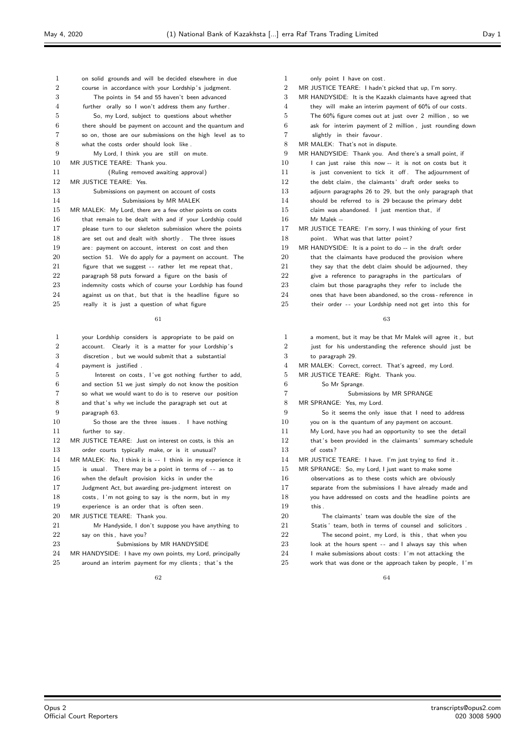| 1              | on solid grounds and will be decided elsewhere in due    |
|----------------|----------------------------------------------------------|
| $\overline{2}$ | course in accordance with your Lordship's judgment.      |
| 3              | The points in 54 and 55 haven't been advanced            |
| 4              | further orally so I won't address them any further.      |
| 5              | So, my Lord, subject to questions about whether          |
| 6              | there should be payment on account and the quantum and   |
| 7              | so on, those are our submissions on the high level as to |
| 8              | what the costs order should look like.                   |
| 9              | My Lord, I think you are still on mute.                  |
| 10             | MR JUSTICE TEARE: Thank you.                             |
| 11             | (Ruling removed awaiting approval)                       |
| 12             | MR JUSTICE TEARE: Yes.                                   |
| 13             | Submissions on payment on account of costs               |
| 14             | Submissions by MR MALEK                                  |
| 15             | MR MALEK: My Lord, there are a few other points on costs |
| 16             | that remain to be dealt with and if your Lordship could  |
| 17             | please turn to our skeleton submission where the points  |
| 18             | are set out and dealt with shortly. The three issues     |
| 19             | are: payment on account, interest on cost and then       |
| 20             | section 51. We do apply for a payment on account. The    |
| 21             | figure that we suggest -- rather let me repeat that,     |
| 22             | paragraph 58 puts forward a figure on the basis of       |
| 23             | indemnity costs which of course your Lordship has found  |
| 24             | against us on that, but that is the headline figure so   |
| 25             | really it is just a question of what figure              |

| 1              | your Lordship considers is appropriate to be paid on       |
|----------------|------------------------------------------------------------|
| $\overline{2}$ | account. Clearly it is a matter for your Lordship's        |
| 3              | discretion, but we would submit that a substantial         |
| $\overline{4}$ | payment is justified.                                      |
| 5              | Interest on costs, I've got nothing further to add,        |
| 6              | and section 51 we just simply do not know the position     |
| 7              | so what we would want to do is to reserve our position     |
| 8              | and that's why we include the paragraph set out at         |
| 9              | paragraph 63.                                              |
| 10             | So those are the three issues . I have nothing             |
| 11             | further to say.                                            |
| 12             | MR JUSTICE TEARE: Just on interest on costs, is this an    |
| 13             | order courts typically make, or is it unusual?             |
| 14             | MR MALEK: No, I think it is -- I think in my experience it |
| 15             | is usual. There may be a point in terms of -- as to        |
| 16             | when the default provision kicks in under the              |
| 17             | Judgment Act, but awarding pre-judgment interest on        |
| 18             | costs, I'm not going to say is the norm, but in my         |
| 19             | experience is an order that is often seen.                 |
| 20             | MR JUSTICE TEARE: Thank you.                               |
| 21             | Mr Handyside, I don't suppose you have anything to         |
| 22             | say on this, have you?                                     |
| 23             | Submissions by MR HANDYSIDE                                |
| 24             | MR HANDYSIDE: I have my own points, my Lord, principally   |
|                |                                                            |

# 25 around an interim payment for my clients; that's the

| 1              | only point I have on cost.                                |
|----------------|-----------------------------------------------------------|
| $\overline{2}$ | MR JUSTICE TEARE: I hadn't picked that up, I'm sorry.     |
| 3              | MR HANDYSIDE: It is the Kazakh claimants have agreed that |
| $\overline{4}$ | they will make an interim payment of 60% of our costs.    |
| 5              | The 60% figure comes out at just over 2 million, so we    |
| 6              | ask for interim payment of 2 million, just rounding down  |
| 7              | slightly in their favour.                                 |
| 8              | MR MALEK: That's not in dispute.                          |
| 9              | MR HANDYSIDE: Thank you. And there's a small point, if    |
| 10             | I can just raise this now -- it is not on costs but it    |
| 11             | is just convenient to tick it off. The adjournment of     |
| 12             | the debt claim, the claimants' draft order seeks to       |
| 13             | adjourn paragraphs 26 to 29, but the only paragraph that  |
| 14             | should be referred to is 29 because the primary debt      |
| 15             | claim was abandoned. I just mention that, if              |
| 16             | Mr Malek --                                               |
| 17             | MR JUSTICE TEARE: I'm sorry, I was thinking of your first |
| 18             | point. What was that latter point?                        |
| 19             | MR HANDYSIDE: It is a point to do -- in the draft order   |
| 20             | that the claimants have produced the provision where      |
| 21             | they say that the debt claim should be adjourned, they    |
| 22             | give a reference to paragraphs in the particulars of      |
| 23             | claim but those paragraphs they refer to include the      |
| 24             | ones that have been abandoned, so the cross-reference in  |
| 25             | their order -- your Lordship need not get into this for   |

## 

| 1              | a moment, but it may be that Mr Malek will agree it, but |
|----------------|----------------------------------------------------------|
| $\overline{2}$ | just for his understanding the reference should just be  |
| 3              | to paragraph 29.                                         |
| 4              | MR MALEK: Correct, correct. That's agreed, my Lord.      |
| 5              | MR JUSTICE TEARE: Right. Thank you.                      |
| 6              | So Mr Sprange.                                           |
| 7              | Submissions by MR SPRANGE                                |
| 8              | MR SPRANGE: Yes, my Lord.                                |
| 9              | So it seems the only issue that I need to address        |
| 10             | you on is the quantum of any payment on account.         |
| 11             | My Lord, have you had an opportunity to see the detail   |
| 12             | that's been provided in the claimants' summary schedule  |
| 13             | of costs?                                                |
| 14             | MR JUSTICE TEARE: I have. I'm just trying to find it.    |
| 15             | MR SPRANGE: So, my Lord, I just want to make some        |
| 16             | observations as to these costs which are obviously       |
| 17             | separate from the submissions I have already made and    |
| 18             | you have addressed on costs and the headline points are  |
| 19             | this.                                                    |
| 20             | The claimants' team was double the size of the           |
| 21             | Statis' team, both in terms of counsel and solicitors.   |
| 22             | The second point, my Lord, is this, that when you        |
| 23             | look at the hours spent -- and I always say this when    |
| 24             | I make submissions about costs: I'm not attacking the    |
| 25             | work that was done or the approach taken by people, I'm  |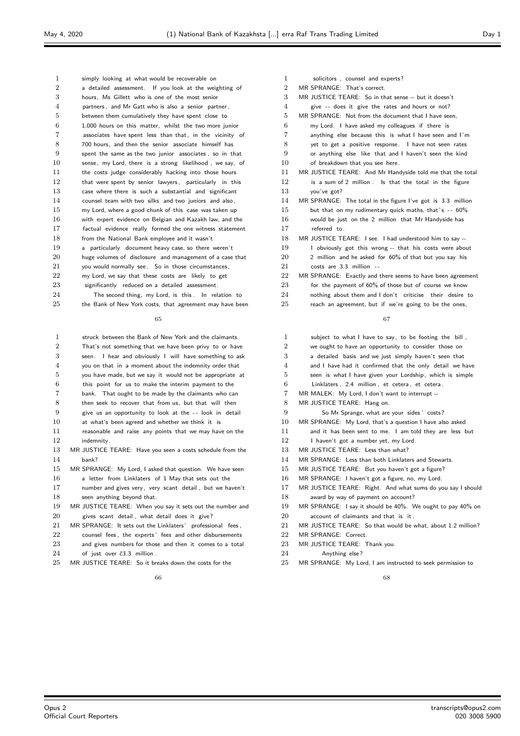simply looking at what would be recoverable on a detailed assessment. If you look at the weighting of hours, Ms Gillett who is one of the most senior partners , and Mr Gatt who is also a senior partner , between them cumulatively they have spent close to 1,000 hours on this matter, whilst the two more junior associates have spent less than that, in the vicinity of 700 hours, and then the senior associate himself has spent the same as the two junior associates , so in that sense, my Lord, there is a strong likelihood , we say, of 11 the costs judge considerably hacking into those hours 12 that were spent by senior lawyers, particularly in this case where there is such a substantial and significant counsel team with two silks and two juniors and also , my Lord, where a good chunk of this case was taken up with expert evidence on Belgian and Kazakh law, and the factual evidence really formed the one witness statement 18 from the National Bank employee and it wasn't a particularly document heavy case, so there weren't huge volumes of disclosure and management of a case that you would normally see. So in those circumstances, 22 my Lord, we say that these costs are likely to get significantly reduced on a detailed assessment. 24 The second thing, my Lord, is this . In relation to 25 the Bank of New York costs, that agreement may have been

## 

- struck between the Bank of New York and the claimants.
- That's not something that we have been privy to or have seen. I hear and obviously I will have something to ask
- you on that in a moment about the indemnity order that
- you have made, but we say it would not be appropriate at
- this point for us to make the interim payment to the
- bank. That ought to be made by the claimants who can
- then seek to recover that from us, but that will then
- give us an opportunity to look at the  $-$  look in detail at what's been agreed and whether we think it is
- 11 reasonable and raise any points that we may have on the indemnity.
- MR JUSTICE TEARE: Have you seen a costs schedule from the bank?
- MR SPRANGE: My Lord, I asked that question. We have seen
- a letter from Linklaters of 1 May that sets out the
- number and gives very, very scant detail , but we haven't 18 seen anything beyond that.
- MR JUSTICE TEARE: When you say it sets out the number and gives scant detail , what detail does it give?
- MR SPRANGE: It sets out the Linklaters' professional fees ,
- 22 counsel fees the experts' fees and other disbursements
- 23 and gives numbers for those and then it comes to a total
- 24 of just over č3.3 million
- MR JUSTICE TEARE: So it breaks down the costs for the

4 give -- does it give the rates and hours or not? MR SPRANGE: Not from the document that I have seen, my Lord. I have asked my colleagues if there is anything else because this is what I have seen and I 'm yet to get a positive response. I have not seen rates or anything else like that and I haven't seen the kind 10 of breakdown that you see here. MR JUSTICE TEARE: And Mr Handyside told me that the total is a sum of 2 million . Is that the total in the figure you've got? MR SPRANGE: The total in the figure I've got is 3.3 million 15 but that on my rudimentary quick maths, that's -- 60% would be just on the 2 million that Mr Handyside has referred to. MR JUSTICE TEARE: I see. I had understood him to say --

 solicitors , counsel and experts? 2 MR SPRANGE: That's correct.

MR JUSTICE TEARE: So in that sense -- but it doesn't

- 
- 19 I obviously got this wrong -- that his costs were about
- 2 million and he asked for 60% of that but you say his
- 21 costs are 3.3 million --
- MR SPRANGE: Exactly and there seems to have been agreement 23 for the payment of 60% of those but of course we know
- 24 nothing about them and I don't criticise their desire to
- reach an agreement, but if we're going to be the ones,

#### 

- subject to what I have to say, to be footing the bill , we ought to have an opportunity to consider those on a detailed basis and we just simply haven't seen that and I have had it confirmed that the only detail we have seen is what I have given your Lordship, which is simple Linklaters , 2.4 million , et cetera , et cetera . MR MALEK: My Lord, I don't want to interrupt -- 8 MR JUSTICE TEARE: Hang on. So Mr Sprange, what are your sides ' costs? MR SPRANGE: My Lord, that's a question I have also asked 11 and it has been sent to me. I am told they are less but 12 I haven't got a number yet, my Lord. 13 MR JUSTICE TEARE: Less than what? MR SPRANGE: Less than both Linklaters and Stewarts. MR JUSTICE TEARE: But you haven't got a figure? MR SPRANGE: I haven't got a figure, no, my Lord. MR JUSTICE TEARE: Right. And what sums do you say I should award by way of payment on account? MR SPRANGE: I say it should be 40%. We ought to pay 40% on account of claimants and that is it .
- MR JUSTICE TEARE: So that would be what, about 1.2 million?
- 22 MR SPRANGE: Correct.
- MR JUSTICE TEARE: Thank you.
- 24 Anything else?
- 25 MR SPRANGE: My Lord, Lam instructed to seek permission to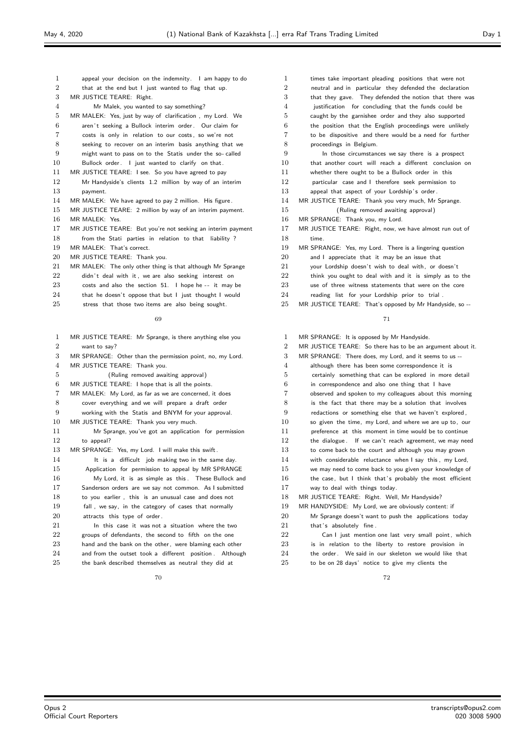| $\mathbf{1}$   | appeal your decision on the indemnity. I am happy to do                    |
|----------------|----------------------------------------------------------------------------|
| $\overline{2}$ | that at the end but I just wanted to flag that up.                         |
| 3              | MR JUSTICE TEARE: Right.                                                   |
| 4              | Mr Malek, you wanted to say something?                                     |
| 5              | MR MALEK: Yes, just by way of clarification, my Lord. We                   |
| 6              | aren't seeking a Bullock interim order. Our claim for                      |
| 7              | costs is only in relation to our costs, so we're not                       |
| 8              | seeking to recover on an interim basis anything that we                    |
| 9              | might want to pass on to the Statis under the so-called                    |
| 10             | Bullock order. I just wanted to clarify on that.                           |
| 11             | MR JUSTICE TEARE: I see. So you have agreed to pay                         |
| 12             | Mr Handyside's clients 1.2 million by way of an interim                    |
| 13             | payment.                                                                   |
| 14             | MR MALEK: We have agreed to pay 2 million. His figure.                     |
| 15             | MR JUSTICE TEARE: 2 million by way of an interim payment.                  |
| 16             | MR MALEK: Yes.                                                             |
| 17             | MR JUSTICE TEARE: But you're not seeking an interim payment                |
| 18             | from the Stati parties in relation to that liability?                      |
| 19             | MR MALEK: That's correct.                                                  |
| 20             | MR JUSTICE TEARE: Thank you.                                               |
| 21             | MR MALEK: The only other thing is that although Mr Sprange                 |
| 22             | didn't deal with it, we are also seeking interest on                       |
| 23             | costs and also the section 51. I hope he -- it may be                      |
| 24             | that he doesn't oppose that but I just thought I would                     |
| 25             | stress that those two items are also being sought.                         |
|                | 69                                                                         |
| 1.             | MD HICTICE<br>المتواجب ومناوله ومراجل ومتحولها والمتناور ومراوين<br>TEADE. |

| $\mathbf{1}$   | MR JUSTICE TEARE: Mr Sprange, is there anything else you  |
|----------------|-----------------------------------------------------------|
| $\overline{2}$ | want to sav?                                              |
| 3              | MR SPRANGE: Other than the permission point, no, my Lord. |
| 4              | MR JUSTICE TEARE: Thank you.                              |
| 5              | (Ruling removed awaiting approval)                        |
| 6              | MR JUSTICE TEARE: I hope that is all the points.          |
| 7              | MR MALEK: My Lord, as far as we are concerned, it does    |
| 8              | cover everything and we will prepare a draft order        |
| 9              | working with the Statis and BNYM for your approval.       |
| 10             | MR JUSTICE TEARE: Thank you very much.                    |
| 11             | Mr Sprange, you've got an application for permission      |
| 12             | to appeal?                                                |
| 13             | MR SPRANGE: Yes, my Lord. I will make this swift.         |
| 14             | It is a difficult job making two in the same day.         |
| 15             | Application for permission to appeal by MR SPRANGE        |
| 16             | My Lord, it is as simple as this. These Bullock and       |
| 17             | Sanderson orders are we say not common. As I submitted    |
| 18             | to you earlier, this is an unusual case and does not      |
| 19             | fall, we say, in the category of cases that normally      |
| 20             | attracts this type of order.                              |
| 21             | In this case it was not a situation where the two         |
| 22             | groups of defendants, the second to fifth on the one      |
| 23             | hand and the bank on the other, were blaming each other   |
| 24             | and from the outset took a different position. Although   |
| 25             | the bank described themselves as neutral they did at      |

| 1              | times take important pleading positions that were not   |
|----------------|---------------------------------------------------------|
| 2              | neutral and in particular they defended the declaration |
| 3              | that they gave. They defended the notion that there was |
| $\overline{4}$ | justification for concluding that the funds could be    |
| 5              | caught by the garnishee order and they also supported   |
| 6              | the position that the English proceedings were unlikely |
| 7              | to be dispositive and there would be a need for further |
| 8              | proceedings in Belgium.                                 |
| 9              | In those circumstances we say there is a prospect       |
| 10             | that another court will reach a different conclusion on |
| 11             | whether there ought to be a Bullock order in this       |
| 12             | particular case and I therefore seek permission to      |
| 13             | appeal that aspect of your Lordship's order.            |
| 14             | MR JUSTICE TEARE: Thank you very much, Mr Sprange.      |
| 15             | (Ruling removed awaiting approval)                      |
| 16             | MR SPRANGE: Thank you, my Lord.                         |
| 17             | MR JUSTICE TEARE: Right, now, we have almost run out of |
| 18             | time.                                                   |
| 19             | MR SPRANGE: Yes, my Lord. There is a lingering question |
| 20             | and I appreciate that it may be an issue that           |
| 21             | your Lordship doesn't wish to deal with, or doesn't     |
| 22             | think you ought to deal with and it is simply as to the |
| 23             | use of three witness statements that were on the core   |
| 24             | reading list for your Lordship prior to trial.          |

MR JUSTICE TEARE: That's opposed by Mr Handyside, so --

| 1              | MR SPRANGE: It is opposed by Mr Handyside.                 |
|----------------|------------------------------------------------------------|
| $\overline{2}$ | MR JUSTICE TEARE: So there has to be an argument about it. |
| 3              | MR SPRANGE: There does, my Lord, and it seems to us --     |
| 4              | although there has been some correspondence it is          |
| 5              | certainly something that can be explored in more detail    |
| 6              | in correspondence and also one thing that I have           |
| 7              | observed and spoken to my colleagues about this morning    |
| 8              | is the fact that there may be a solution that involves     |
| 9              | redactions or something else that we haven't explored,     |
| 10             | so given the time, my Lord, and where we are up to, our    |
| 11             | preference at this moment in time would be to continue     |
| 12             | the dialogue. If we can't reach agreement, we may need     |
| 13             | to come back to the court and although you may grown       |
| 14             | with considerable reluctance when I say this, my Lord,     |
| 15             | we may need to come back to you given your knowledge of    |
| 16             | the case, but I think that's probably the most efficient   |
| 17             | way to deal with things today.                             |
| 18             | MR JUSTICE TEARE: Right. Well, Mr Handyside?               |
| 19             | MR HANDYSIDE: My Lord, we are obviously content: if        |
| 20             | Mr Sprange doesn't want to push the applications today     |
| 21             | that's absolutely fine.                                    |
| 22             | Can I just mention one last very small point, which        |
| 23             | is in relation to the liberty to restore provision in      |
| 24             | the order. We said in our skeleton we would like that      |
| 25             | to be on 28 days' notice to give my clients the            |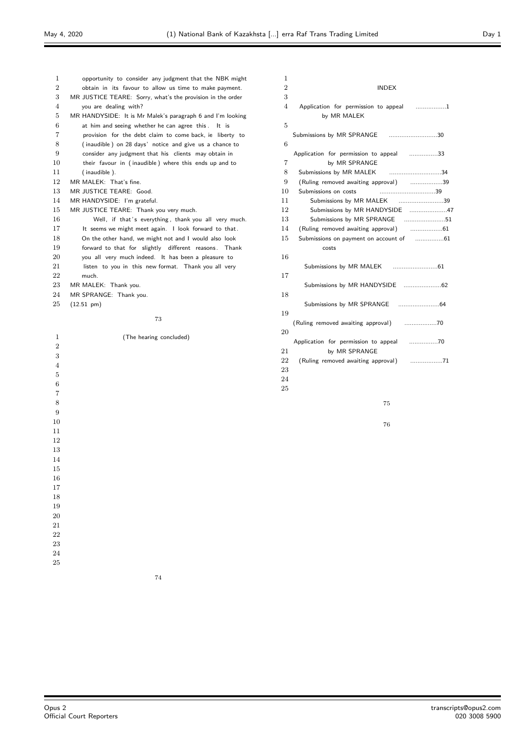| 1              | opportunity to consider any judgment that the NBK might    |
|----------------|------------------------------------------------------------|
| $\overline{2}$ | obtain in its favour to allow us time to make payment.     |
| 3              | MR JUSTICE TEARE: Sorry, what's the provision in the order |
| $\overline{4}$ | you are dealing with?                                      |
| 5              | MR HANDYSIDE: It is Mr Malek's paragraph 6 and I'm looking |
| 6              | at him and seeing whether he can agree this. It is         |
| 7              | provision for the debt claim to come back, ie liberty to   |
| 8              | (inaudible) on 28 days' notice and give us a chance to     |
| 9              | consider any judgment that his clients may obtain in       |
| 10             | their favour in (inaudible) where this ends up and to      |
| 11             | (inaudible).                                               |
| 12             | MR MALEK: That's fine.                                     |
| 13             | MR JUSTICE TEARE: Good.                                    |
| 14             | MR HANDYSIDE: I'm grateful.                                |
| 15             | MR JUSTICE TEARE: Thank you very much.                     |
| 16             | Well, if that's everything, thank you all very much.       |
| 17             | It seems we might meet again. I look forward to that.      |
| 18             | On the other hand, we might not and I would also look      |
| 19             | forward to that for slightly different reasons. Thank      |
| 20             | you all very much indeed. It has been a pleasure to        |
| 21             | listen to you in this new format. Thank you all very       |
| 22             | much.                                                      |
| 23             | MR MALEK: Thank you.                                       |
| 24             | MR SPRANGE: Thank you.                                     |
| 25             | $(12.51 \text{ pm})$                                       |
|                |                                                            |
|                | 73                                                         |
| 1              | (The hearing concluded)                                    |
| $\overline{2}$ |                                                            |
|                |                                                            |

| 1              |                                                               |
|----------------|---------------------------------------------------------------|
| $\overline{2}$ | INDEX                                                         |
| 3              |                                                               |
| 4              | Application for permission to appeal 1                        |
|                | by MR MALEK                                                   |
| 5              |                                                               |
|                | Submissions by MR SPRANGE 30                                  |
| 6              |                                                               |
|                | Application for permission to appeal 33                       |
| 7              | by MR SPRANGE                                                 |
| 8<br>9         | Submissions by MR MALEK 34                                    |
| 10             | (Ruling removed awaiting approval) 39<br>Submissions on costs |
| 11             | Submissions by MR MALEK 39                                    |
| 12             | Submissions by MR HANDYSIDE 47                                |
| 13             | Submissions by MR SPRANGE 51                                  |
| 14             |                                                               |
| 15             |                                                               |
|                | costs                                                         |
| 16             |                                                               |
|                |                                                               |
| 17             |                                                               |
|                |                                                               |
| 18             |                                                               |
|                |                                                               |
| 19             |                                                               |
|                |                                                               |
| 20             |                                                               |
|                | Application for permission to appeal 70                       |
| 21             | by MR SPRANGE                                                 |
| 22             |                                                               |
| 23             |                                                               |
| 24             |                                                               |
| 25             |                                                               |
|                | 75                                                            |
|                |                                                               |
|                |                                                               |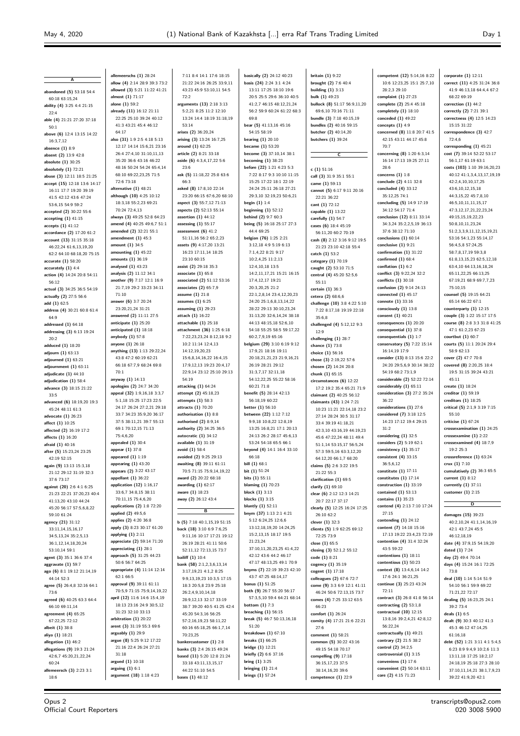**A**

**corporate (1)** 12:11

**abandoned (5)** 53:18 54:4 60:18 63:15,24 **ability (4)** 3:25 4:4 21:15 22:4 **able (4)** 21:21 27:20 37:18 50:1 **above (6)** 12:4 13:15 14:22 16:3,7,12 **absence (1)** 8:9 **absent (2)** 13:9 42:8 **absolute (1)** 30:25 **absolutely (1)** 72:21 **abuse (3)** 12:11 18:5 21:25 **accept (15)** 12:18 13:6 14:17 16:11 17:7 19:20 39:19 41:5 42:12 43:6 47:24 53:6,15 54:9 59:2 **accepted (2)** 30:22 55:6 **accepting (1)** 41:15 **accepts (1)** 41:12 **accordance (2)** 17:20 61:2 **account (13)** 31:15 35:18 46:22,24 61:6,13,19,20 62:2 64:10 68:18,20 75:15 **accurate (1)** 58:20 **accurately (1)** 4:4 **action (4)** 14:24 20:8 54:11 56:12 **actual (3)** 34:25 36:5 54:19 **actually (2)** 27:5 56:6 **add (1)** 62:5 **address (4)** 30:21 60:8 61:4 64:9 **addressed (1)** 64:18 **addressing (3)** 6:13 19:24 20:2 **adduced (1)** 18:20 **adjourn (1)** 63:13 **adjourned (1)** 63:21 **adjournment (1)** 63:11 **adjudicate (1)** 44:10 **adjudication (1)** 58:4 **advance (3)** 18:15 21:22 33:5 **advanced (6)** 18:19,20 19:3 45:24 48:11 61:3 **advocate (1)** 26:23 **affect (1)** 10:25 **affected (2)** 16:19 17:2 **affects (1)** 16:20 **afraid (1)** 40:16 **after (5)** 15:23,24 23:25  $42.19$  52:15 **again (9)** 13:13 15:3,18 21:12 29:12 31:19 32:3 37:6 73:17 **against (20)** 2:6 4:1 6:25 21:23 22:21 37:20,23 40:4 41:13,20 43:10 44:24 45:20 56:17 57:5,6,8,22 59:10 61:24 **agency (21)** 31:12 33:11,14,15,16,17 34:5,13,24 35:2,5,13 36:1,12,14,18,20,24 53:10,14 59:1 **agent (3)** 35:1 36:6 37:4 **aggravate (1)** 59:7 **ago (6)** 8:1 19:12 21:14,19 44:14 52:3 **agree (5)** 26:4,8 32:16 64:1 73:6 **agreed (6)** 40:25 63:3 64:4 66:10 69:11,14 **agreement (4)** 65:25 67:22,25 72:12 **albeit (1)** 38:8 **aliya (1)** 18:21 **allegation (1)** 46:2 **allegations (9)** 19:3 21:24 42:6,7 45:20,21,22,24 60:24 **allemeersch (3)** 2:23 3:1 18:6

**allemeerschs (1)** 28:24 **allow (4)** 2:14 28:9 39:3 73:2 **allowed (3)** 5:21 11:22 41:21 **almost (1)** 71:17 **alone (1)** 59:2 **already (11)** 16:12 21:11 22:25 25:10 39:24 40:12 41:3 43:21 45:4 46:12 64:17 **also (31)** 1:9 2:5 4:18 5:13 12:17 14:14 15:6,21 23:16 26:4 27:4,10 31:10,11,13 35:20 36:6 43:16 46:22 48:16 50:24 54:24 65:4,14 68:10 69:22,23,25 71:5 72:6 73:18 **alternative (1)** 48:21 **although (10)** 4:25 10:12 18:3,18 55:2,23 69:21 70:24 72:4,13 **always (3)** 49:25 52:8 64:23 **amend (4)** 40:25 49:6,7 51:1 **amended (2)** 32:21 55:1 **ament (1)** 45:3 **amount (1)** 34:5 **amounting (1)** 45:22 **amounts (1)** 36:19 **analysed (1)** 43:23 **analysis (2)** 11:12 34:1 **another (9)** 7:17 12:1 16:9 21:7,19 29:2 33:23 34:11 71:10 **answer (6)** 3:7 20:24 23:20,21,24 31:21 **answered (2)** 11:11 27:5 **anticipate (1)** 25:20 **anticipated (1)** 18:18 **anybody (1)** 57:8 **anyone (1)** 26:18 **anything (13)** 1:13 29:22,24 43:8 47:2 60:19 62:21 66:18 67:7,9 68:24 69:8 70:1 **anyway (1)** 14:13 **apologies (2)** 24:7 34:20 **appeal (32)** 1:9,16,18 3:3,7 5:1,18 15:25 17:23 22:5 24:17 26:24 27:2,21 29:18 33:7 34:23 35:9,20 36:17 37:5 38:11,21 39:7 55:13 69:1 70:12,15 71:13 75:4,6,20 **appealed (1)** 30:4 **appear (1)** 37:8 **appeared (1)** 1:19 **appearing (1)** 43:20 **appears (2)** 3:22 43:17 **appellant (1)** 36:22 **application (12)** 1:16,17  $33.67$   $34.8$  15  $38.11$ 70:11,15 75:4,6,20 **applications (2)** 1:8 72:20 **applied (2)** 49:5,6 **applies (2)** 4:20 36:8 **apply (3)** 8:23 30:17 61:20 **applying (1)** 2:11 **appreciate (2)** 59:14 71:20 **appreciating (1)** 28:1 **approach (5)** 31:25 44:23 50:6 56:7 64:25 **appropriate (4)** 11:14 12:14 62:1 66:5 **approval (9)** 39:11 61:11 70:5,9 71:15 75:9,14,19,22 **april (12)** 11:6 14:6 15:4,19 18:13 23:16 24:9 30:5,12 31:23 32:10 33:13 **arbitration (1)** 20:22 **arent (3)** 31:19 55:3 69:6 **arguably (1)** 29:9 **argue (8)** 5:25 9:12 17:22 21:16 22:4 26:24 27:21 31:18 **argued (1)** 10:18 **arguing (1)** 6:1 **argument (18)** 1:18 4:23

21:22 24:16 26:25 33:9,11 43:23 45:9 53:10,11 54:5 72:2 **arguments (13)** 2:18 3:13 5:2,21 8:25 11:2 12:10 13:24 14:4 18:19 31:18,19 53:14 **arises (2)** 36:20,24 **arising (3)** 13:24 16:7,25 **around (1)** 62:25 **article (2)** 8:21 33:18 **aside (6)** 4:3,4,17,22 5:6  $23:6$ **ask (5)** 11:18,22 25:8 63:6 66:3 **asked (8)** 17:8,10 22:14 23:20 66:15 67:6,20 68:10 **aspect (3)** 55:7,12 71:13 **aspects (2)** 52:13 55:14 **assertion (1)** 44:12 **assessing (1)** 55:17 **ment (6)** 41:2 51:11,16 56:2 65:2,23 **assets (9)** 4:17,20 13:21 16:23 17:11,14 18:25 23:10 60:15 **assist (2)** 29:18 35:3 **associate (1)** 65:8 **associated (2)** 51:12 53:16 **associates (2)** 65:7,9 **assume (1)** 21:8 **mes** (1) 6:25 **assuming (1)** 29:23 **attach (1)** 16:22 **attachable (1)** 25:18 **attachment (36)** 1:25 6:18 7:22,23,23,24 8:12,18 9:2 10:2 11:14 12:4,13 14:12,19,20,23 15:6,8,14,16,22 16:4,15 17:9,12,13 19:23 20:4,17 22:9,14 23:12 25:10 29:13 54:19 **attacking (1)** 64:24 **attempt (2)** 45:18,23 **attempts (1)** 58:3 **attracts (1)** 70:20 **authorisation (1)** 8:8 **authorised (2)** 8:9,14 **authority (2)** 34:25 36:5 **autocratic (1)** 34:12 **available (1)** 31:19 **avoid (1)** 58:4 **avoided (2)** 9:25 29:13 **awaiting (8)** 39:11 61:11 70:5 71:15 75:9,14,19,22 **award (2)** 20:22 68:18 **awarding (1)** 62:17 **aware (1)** 18:23 **away (2)** 26:12 43:4 **B b (5)** 7:18 40:1,15,19 51:15 **back (18)** 3:10 6:9 7:6,25 9:11,16 10:17 17:21 19:12 26:19 28:21 41:11 50:6 52:11,12 72:13,15 73:7 **bailiff (1)** 10:4 **bank (58)** 2:1,2,3,6,13,14  $3:17,19,21,4:1,2.8:25$ 9:9,13,19,23 10:3,5 17:15 18:3 20:5,8 23:9 25:18 26:2,4,9,10,14,18 28:9,12,13 32:17 33:19 38:7 39:20 40:5 41:25 42:4 45:20 54:3,16 56:25 57:2,16,19,23 58:11,22 60:16 65:18,25 66:1,7,14 70:23,25 **bankercustomer (1)** 2:8 **banks (3)** 2:4 26:15 49:24 **based (11)** 5:20 12:8 21:24 33:18 43:11,13,15,17 44:22 51:10 54:5 **bases (1)** 48:12

7:11 8:4 14:1 17:6 18:15

**basically (2)** 24:12 40:23 **basis (24)** 2:24 3:1 4:24 13:11 17:25 18:10 19:6 20:5 25:5 29:6 36:10 40:5 41:2,7 46:15 48:12,21,24 56:2 59:9 60:24 61:22 68:3 69:8 **bear (5)** 41:13,16 45:16 54:15 58:19 **bearing (1)** 20:10 **became (1)** 53:20 **become (3)** 37:10,14 38:1 **becoming (1)** 38:23 **before (22)** 1:21 4:23 5:3 7:22 8:17 9:3 10:10 11:15 15:25 17:22 18:1 22:19 24:24 25:11 26:18 27:21 29:3,10 32:19,23 50:6,21 **begin (1)** 1:4 **beginning (1)** 52:12 **behind (2)** 9:7 60:3 **being (5)** 16:18 25:17 27:3 44:4 69:25 **belgian (76)** 1:25 2:21 3:12,18 4:9 5:19 6:13 7:1,4,22 8:21 9:17 10:2,4,25 11:2,13 12:4,10,18 13:5 14:2,11,17,21 15:21 16:15 17:4,12,17 19:21 20:3,20,25 21:2 22:1,2,8,14 23:4,12,20,23 24:20 25:1,6,8,13,14,22 28:22 29:13 30:10,23,24 31:13,20 32:6,14,24 38:18 44:13 48:15,18 52:6,10 54:18 55:25 58:5 59:17,22 60:2,7,9,19 65:16 **belgium (29)** 3:10 6:19 9:12 17:9,21 18:16 19:11 20:18,21,21,23 21:9,16,21 26:19 28:21 29:12 31:3,7,17 32:11,18 54:12,22,25 55:22 58:16 60:21 71:8 **benefit (5)** 28:14 42:13 56:18,19 60:22 **better (1)** 56:10 **between (22)** 1:12 7:12 9:9,18 10:8,22 12:8,19 13:25 16:8,21 17:1 20:13 24:13 26:2 28:17 45:6,13 53:24 54:18 65:5 66:1 **beyond (4)** 14:1 16:4 33:10 .<br>66:18 **bill (1)** 68:1 **bit (1)** 51:24 **bits (1)** 55:11 **blaming (1)** 70:23 **block (1)** 3:13 **blocks (1)** 3:15 **bluntly (1)** 52:11 **bnym (37)** 1:13 2:1 4:21 5:12 6:24,25 12:6,6 13:12,18,19,20 14:24,25 15:2,13,15 18:17 19:5 21:23,24 37:10,11,20,23,25 41:4,22 42:12 43:6 44:2 46:17 47:17 48:13,25 49:1 70:9 **bnyms (7)** 22:19 39:23 42:10 43:7 47:25 48:14,17 **bonus (1)** 51:25 **both (9)** 26:7 55:20 56:17 57:3,5,10 59:4 64:21 68:14 **bottom (1)** 7:3 **breaching (1)** 56:15 **break (5)** 46:7 50:13,16,18 51:20 **breakdown (1)** 67:10 **breaks (1)** 66:25 **bridge (1)** 12:21 **briefly (2)** 6:6 37:16 **bring (1)** 3:25 **bringing (1)** 21:4 **brings (1)** 57:24

**britain (1)** 9:22 **brought (2)** 7:6 40:4 **building (1)** 3:13 **bulk (1)** 49:23 **bullock (8)** 51:17 56:9,11,20 69:6,10 70:16 71:11 **bundle (3)** 7:18 40:15,19 **bundles (2)** 40:16 59:15 **butcher (2)** 40:14,20 **butchers (1)** 39:24 **C c (1)** 51:16 **call (3)** 31:9 35:1 55:1 **came (1)** 59:13 **cannot (5)** 6:17 9:11 20:16 22:21 36:22 **cant (1)** 72:12 **capable (1)** 13:22 **carefully (1)** 54:7 **cases (6)** 18:4 45:19 56:11,20 60:2 70:19 **cash (8)** 2:12 3:16 9:12 19:5 21:23 23:10 42:18 55:4 **catch (1)** 53:2 **category (1)** 70:19 **caught (2)** 53:10 71:5 **central (4)** 45:20 52:5,6 55:11 **certain (1)** 36:3 **cetera (2)** 68:6,6 **challenge (10)** 3:8 4:22 5:10 7:22 8:17,18 19:19 22:18 35:6,8 **challenged (4)** 5:12,12 9:3 12:9 **challenging (1)** 28:7 **chance (1)** 73:8 **choice (1)** 56:16 **chose (3)** 2:19,22 57:6 **chosen (2)** 14:24 20:8 **chunk (1)** 65:15 **circumstances (6)** 12:22 17:2 19:2 35:4 65:21 71:9 **claimant (2)** 40:25 56:12 **claimants (43)** 1:24 7:21 10:23 11:21 22:14,18 23:2 27:14 28:24 30:5 31:17 33:4 39:19 41:18,21 42:3,10 43:16,19 44:19,23 45:6 47:22,24 48:11 49:4 51:1,14 53:15,17 56:5,24 57:3 59:5,16 63:3,12,20 64:12,20 66:1,7 68:20 **claims (5)** 2:6 3:22 19:5 21:22 55:3 **clarification (1)** 69:5 **clarify (1)** 69:10 **clear (6)** 2:12 12:3 14:21 20:7 22:17 37:17 **clearly (5)** 12:25 16:24 17:25 26:10 62:2 **clever (1)** 32:3 **clients (5)** 1:9 62:25 69:12 72:25 73:9 **close (1)** 65:5 **closing (3)** 52:1,2 55:12 **code (1)** 8:21 **cogency (1)** 35:19 **cogent (1)** 17:18 **colleagues (2)** 67:6 72:7 **come (9)** 3:3 6:9 12:1 41:11 46:24 50:6 72:13,15 73:7 **comes (4)** 7:25 33:12 63:5 66:23 **comfort (1)** 26:24 **comity (4)** 17:21 21:6 22:21  $27.6$ **comment (1)** 58:21 **common (5)** 30:22 43:16 49:15 54:18 70:17 **compelling (9)** 17:18 36:15,17,23 37:5 38:14,16,20 39:6

**competence (1)** 22:9

10:6 12:23,25 15:1 25:7,10 28:2,3 29:10 **complaint (1)** 27:23 **complete (2)** 25:4 45:18 **completely (1)** 18:10 **conceded (1)** 49:22 **concepts (1)** 4:9 **concerned (8)** 11:8 20:7 41:5 42:15 43:11 44:17 45:8 70:7 **concerning (8)** 1:20 6:3,14 16:14 17:13 19:25 27:11 28:6 **concerns (1)** 1:8 **conclude (2)** 4:11 32:8 **concluded (4)** 33:12 35:12,25 74:1 **concluding (5)** 14:9 17:19 34:12 54:17 71:4 **conclusion (12)** 8:11 33:14 34:3,24 35:2,2,5,19 36:13 37:6 38:12 71:10 **conclusions (1)** 60:14 **conclusive (1)** 9:21 **confirmation (1)** 31:22 **confirmed (1)** 68:4 **conflation (1)** 6:2 **conflict (3)** 9:22,24 32:2 **conflicts (1)** 30:18 **confusion (2)** 9:14 24:13 **connected (1)** 45:17 **connote (1)** 33:16 **consciously (1)** 13:8 **consent (1)** 40:21 **consequences (1)** 20:20 **consequential (1)** 37:8 **consequentials (1)** 1:7 **conservatory (5)** 7:22 15:14 16:14,19 17:9 **consider (13)** 8:13 15:6 22:2 24:20 29:5,6,9 30:14 38:22 54:19 68:2 73:1,9 **considerable (2)** 52:22 72:14 **considerably (1)** 65:11 **consideration (3)** 27:2 35:24 36:22 **considerations (1)** 27:6 **considered (7)** 3:18 12:5 14:23 17:12 19:4 29:15  $31.2$ **considering (1)** 32:5 **considers (2)** 5:19 62:1 **consistency (1)** 35:17 **consistent (4)** 33:15 36:5,6,12 **constitute (1)** 17:11 **constitutes (1)** 17:14 **construction (1)** 33:19 **contained (1)** 53:13 **contains (1)** 35:23 **contend (4)** 2:13 7:10 17:24 27:15 **contending (1)** 24:12 **content (7)** 14:18 15:16 17:13 19:22 23:4,23 72:19 **contention (4)** 31:4 32:24 43:5 59:22 **contentions (1)** 18:11 **contentious (1)** 50:23 **context (8)** 13:4,6,14 14:2 17:6 24:1 36:21,25 **continue (3)** 25:23 43:24 72:11 **contract (3)** 26:8 41:8 56:14 **contracting (2)** 53:1,8 **contractual (10)** 12:15 13:8,16 39:2,4,21 42:8,12 56:22,24 **contractually (1)** 49:21 **contrary (2)** 21:5 38:2 **control (2)** 34:2,5 **controversial (1)** 3:15 **conveniens (1)** 17:6 **convenient (2)** 50:14 63:11 **core (2)** 4:15 71:23

**competent (12)** 5:14,16 8:22

**correct (11)** 4:25 31:24 36:8 41:9 46:13,18 64:4,4 67:2 68:22 69:19 **correction (1)** 44:2 **correctly (2)** 7:21 39:1 **correctness (4)** 12:5 14:23 15:15 31:22 **correspondence (3)** 42:7  $72.46$ **corresponding (1)** 45:21 **cost (7)** 39:14 52:22 53:17 56:1,17 61:19 63:1 **costs (103)** 1:10 39:16,20,23 40:12 41:1,3,4,13,17,19,19 42:2,4,10,10,17,25 43:6,10,12,15,18 44:3,15,22 45:7,8,10 46:5,10,11,11,15,17 47:3,12,17,21,22,23,24 49:15,15,19,22,23 50:8,10,11,23,24 51:2,3,3,9,11,12,15,19,21 53:16 54:1,23 55:14,17 56:4,5,8 57:24,25 58:7,8,17,19 59:3,8 61:8,13,15,23 62:5,12,18 63:4,10 64:13,16,18,24 65:11,22,25 66:13,25 67:19,21 68:9 69:7,7,23 75:10,15 **counsel (5)** 19:15 64:21 65:14 66:22 67:1 **counterparty (1)** 12:15 **couple (3)** 1:22 15:17 17:5 **course (8)** 2:8 3:3 31:8 41:25 47:1 61:2,23 67:23 **courtbut (1)** 60:7 **courts (5)** 11:1 20:24 29:4 58:9 62:13 **cover (2)** 47:7 70:8 **covered (8)** 2:20,25 18:4 19:5 31:15 39:24 43:21 45:11 **create (1)** 18:24 **creditor (1)** 59:19 **creditors (1)** 18:25 **critical (5)** 2:1,9 3:19 7:15 55:10 **criticise (1)** 67:24 **crossexamination (1)** 24:25 **crossexamine (1)** 2:22 **crossexamined (4)** 18:7,9 19:2 25:3 **crossreference (1)** 63:24 **crux (1)** 7:10 **cumulatively (2)** 36:3 65:5 **current (1)** 8:12 **currently (1)** 37:11 **customer (1)** 2:15 **D damages (15)** 39:23 40:2,10,24 41:1,14,16,19 42:1 43:7,24 45:5 46:12,18,19 **date (4)** 37:9,15 54:19,20 **dated (1)** 7:24 **day (2)** 49:4 70:14 **days (4)** 15:24 16:1 72:25 73:8 **deal (10)** 1:14 5:14 51:9 54:10 56:1 59:9 69:22 71:21,22 72:17 **dealing (5)** 16:23,25 24:1 39:2 73:4 **deals (1)** 6:5 **dealt (9)** 30:3 40:12 41:3 45:3 46:12 47:14,25 61:16,18 **debt (52)** 1:21 3:11 4:1 5:4,5 6:23 8:9 9:4,9 10:2,6 11:3 13:11,18 17:25 18:2,17 24:18,19 25:18 27:3 28:10 37:10,11,14,21 38:1,7,9,23 39:22 41:9,20 42:1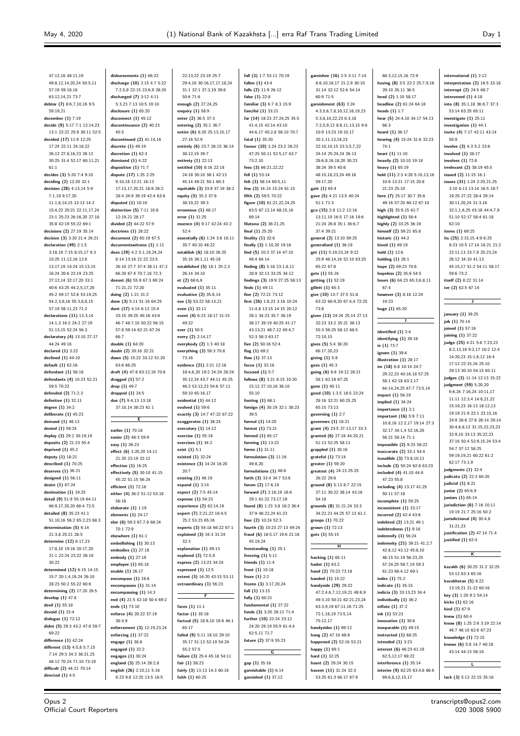**international (1)** 2:12 **interpretation (2)** 16:5 33:18

47:12,18 48:11,19 49:8,12,14,20,24 50:5,11 57:19 59:18,18 63:12,14,21 73:7 **debtor (7)** 8:6,7,10,16 9:5 59:19,21 **december (1)** 7:19 **decide (9)** 5:17 7:1 12:14,23 13:1 22:22 25:9 30:11 52:5 **decided (17)** 11:9 12:25 17:24 22:11 24:18,22 26:12 27:8,16,23 28:12 30:25 31:4 52:17 60:11,21 61:1 **decides (3)** 5:20 7:4 9:10 **deciding (2)** 12:20 32:1 **decision (28)** 4:13,14 5:9 7:1,19 9:17,20 11:1,6,14,15 12:13 14:2 15:4,22 20:21 22:11,17,24 23:1 25:23 26:16,20 27:18 35:8 42:19 55:22 69:1 **decisions (2)** 27:19 35:14 **decisive (3)** 3:20 21:4 26:21 **declaration (49)** 2:1,5 3:18,19 7:15 8:15,17 9:3 10:25 11:12,16 12:6 13:17,19 14:24 15:13,15 16:24 20:6 22:19 23:25 27:12,14 32:17,20 33:1 40:6 43:25 44:2,5,17,20 45:2 49:17 52:8 53:19,25 54:2,3,8,16 55:3,8,8,15 57:19 58:11,23 71:2 **declarations (11)** 13:3,14 14:1,3 16:2 24:2 27:19 51:13,15 52:24 56:3 **declaratory (4)** 13:10 27:17 44:24 49:16 **declared (1)** 3:22 **declined (1)** 44:10 **default (1)** 62:16 **defendant (1)** 56:18 **defendants (4)** 10:23 52:21 59:5 70:22 **defended (2)** 71:2,3 **definitive (1)** 32:11 **degree (1)** 34:2 **deliberate (1)** 45:23 **demand (1)** 48:13 **denied (1)** 59:24 **deploy (3)** 29:2 30:19,19 **deposits (2)** 21:23 55:4 **deprived (1)** 45:2 **deputy (1)** 18:21 **described (1)** 70:25 **deserves (1)** 36:21 **designed (1)** 56:11 **desire (1)** 67:24 **destination (1)** 19:25 **detail (9)** 51:9 55:19 64:11 66:9,17,20,20 68:4 72:5 **detailed (8)** 35:23 41:1 51:10,16 56:2 65:2,23 68:3 **determination (5)** 6:14 21:3,8 25:21 28:5 **determine (12)** 6:17,23 17:8,10 19:16 20:17,20 21:1 22:24 23:22 26:19 30:22 **determined (12)** 6:15 14:15 15:7 20:1,4,19,24 26:10 28:23 50:2 55:22 60:6 **determining (2)** 17:20 26:5 **develop (1)** 47:8 **devil (1)** 55:18 **devoid (1)** 23:4 **dialogue (1)** 72:12 **didnt (5)** 29:3 43:2 47:8 59:7 69:22 **difference (1)** 42:24 **different (13)** 4:5,8 5:7,15 7:14 29:3 34:3 36:21,25 48:12 70:24 71:10 73:19 **difficult (2)** 44:21 70:14 **directed (1)** 4:5

**disbursements (1)** 66:22 **discharge (10)** 2:15 4:7 5:22 7:2,5,8 22:15 23:6,9 28:20 **discharged (7)** 3:12 4:11 5:3,23 7:13 10:5 19:10 **disclosure (1)** 65:20 **disconnect (1)** 45:12 **discontinuance (2)** 40:23 45:5 **discontinued (2)** 41:14,16 **discrete (1)** 49:19 **discretion (1)** 62:3 **dismissed (1)** 4:22 **dispositive (1)** 71:7 **dispute (17)** 1:25 2:25 9:10,18 12:21 16:13 17:13,17,20,21 18:8 26:2 28:4 34:9 39:19 42:4 63:8 **disputed (1)** 10:10 **distinction (5)** 7:11 10:8 12:19,21 28:17 **divided (2)** 44:22 57:9 **doctrines (1)** 28:22 **document (2)** 65:19 67:5 **documentswitness (1)** 1:11 **does (19)** 4:2 5:1,19,24,24 8:14 13:16 21:22 23:5 26:10 27:7 37:4 38:11 47:2 66:20 67:4 70:7,18 72:3 **doesnt (6)** 55:9 67:3 69:24 71:21,21 72:20 **doing (2)** 1:21 31:2 **done (3)** 5:11 51:16 64:25 **dont (17)** 4:14 6:12 15:4 33:15 39:25 40:16 43:6 46:7 48:7,10 50:22 56:15 57:8 59:14 62:21 67:24 68:7 **double (1)** 64:20 **doubt (2)** 20:16 32:21 **down (5)** 15:22 33:12 51:20 63:6 66:25 **draft (4)** 47:8 63:12,19 70:8 **dragged (1)** 57:2 **drop (1)** 49:7 **dropped (1)** 24:5 **due (7)** 9:4,13 13:18 37:10,14 38:23 61:1 **E earlier (1)** 70:18 **easier (2)** 48:3 59:9 **easy (1)** 26:23 **effect (6)** 3:20,20 14:11 21:20 23:19 32:12 **effective (1)** 16:25 **effectively (5)** 30:10 41:15 45:22 51:15 56:24 **efficient (1)** 72:16 **either (4)** 36:2 51:12 53:18 56:18 **elaborate (1)** 1:19 **elements (1)** 24:17 **else (6)** 59:3 67:7,9 68:24 70:1 72:9 **elsewhere (1)** 61:1 **embellishing (1)** 30:13 **embodies (1)** 27:18 **embody (1)** 27:19 **employee (1)** 65:18 **enable (1)** 26:17 **encompass (1)** 16:6 **encompasses (1)** 31:14 **encompassing (1)** 14:3 **end (4)** 21:5 42:18 50:4 69:2 **ends (1)** 73:10 **enforce (4)** 20:22 37:19 38:4,9 **enforcement (3)** 12:19,23,24 **enforcing (1)** 37:22 **engage (1)** 38:8 **engaged (1)** 32:2 **engages (1)** 30:24 **england (3)** 25:14 28:2,8 **english (26)** 2:10,11 5:16 8:23 9:8 12:25 13:5 16:5

22:13,22 23:19 25:7 29:4,16 30:16,17,17,18,24 31:1 32:1 37:3,19 39:8 50:6 71:6 **enough (2)** 27:24,25 **enquiry (1)** 58:9 **enter (2)** 36:5 37:3 **entering (2)** 35:1 36:7 **entire (6)** 6:20 25:13,15,17  $27.16520$ **entirely (6)** 23:7 26:15 36:14 38:12,19 39:7 **entirety (1)** 22:13 **entitled (10)** 8:16 22:18 24:18 30:10 38:1 42:13 45:14 49:21 50:1 60:3 **equitable (3)** 33:9 37:19 38:2 **equity (5)** 35:3 37:6 38:19,22 39:3 **erroneous (1)** 48:17 **error (1)** 31:25 **essence (4)** 9:17 42:24 43:2 52:4 **essentially (6)** 1:24 3:6 16:11 35:7 40:10 48:22 **establish (6)** 18:10 26:25 35:16 36:1,11 45:18 **established (5)** 18:1 25:2,3 26:14 34:10 **et (2)** 68:6,6 **evaluated (1)** 35:11 **evaluative (2)** 35:8,14 **eve (3)** 53:22 58:13,21 **even (1)** 32:11 **event (4)** 6:23 18:17 31:15 49:22 **ever (1)** 50:5 **every (2)** 2:14,17 **everybody (2)** 1:3 40:18 **everything (3)** 59:3 70:8 73:16 **evidence (21)** 2:21 12:18 18:4,6,20 19:2 24:24 28:24 35:12,24 43:7 44:11 45:25 46:2 53:12,23 54:6 57:11 59:10 65:16,17 **evidential (1)** 44:12 **evolved (1)** 59:6 **exactly (3)** 14:7 47:22 67:22 **exaggerates (1)** 38:24 **executory (1)** 14:12 **exercise (1)** 55:18 **exercises (1)** 34:2 **exist (1)** 5:1 **existed (1)** 32:24 **existence (3)** 14:24 16:20 20:7 **existing (1)** 48:19 **expand (1)** 3:14 **expect (2)** 7:5 45:14 **expense (1)** 54:23 **experience (2)** 62:14,19 **expert (7)** 2:21,22 18:4,5 25:2 53:23 65:16 **experts (3)** 54:18 66:22 67:1 **explained (3)** 16:3 31:24  $32.3$ **explanation (1)** 49:13 **explored (2)** 72:5,9 **express (2)** 13:23 34:24 **expressed (1)** 12:5 **extent (3)** 16:20 43:15 53:11 **extraordinary (1)** 56:23 **F faces (1)** 11:1 **factor (1)** 35:18 **factual (5)** 18:9,10 19:6 46:1 65:17 **failed (9)** 5:11 18:10 29:10 35:17 51:13 52:19 54:24 55:2 57:5 **failure (3)** 25:4 45:18 54:11 **fair (1)** 58:23

**fairly (3)** 13:13 14:3 60:16 **faith (1)** 60:25

**garnished (1)** 37:12

**fall (3)** 1:7 53:11 70:19 **fallen (1)** 43:4 **falls (2)** 11:9 26:12 **false (1)** 22:8 **familiar (3)** 6:7 8:3 15:9 **fanciful (1)** 33:21 **far (14)** 18:23 27:24,25 35:5 41:4,15 42:14 43:10 44:6,17 45:2,8 56:10 70:7 **fatal (1)** 35:20 **favour (10)** 1:24 23:2 28:23 47:25 50:11 52:5,17 63:7 73:2,10 **fees (3)** 66:21,22,22 **fell (1)** 53:14 **felt (3)** 58:14 60:5,11 **few (3)** 14:14 15:24 61:15 **fifth (2)** 59:5 70:22 **figure (10)** 61:21,22,24,25 63:5 67:12,14 68:15,16 69:14 **filatona (2)** 36:21,25 **final (1)** 25:20 **finality (1)** 32:6 **finally (3)** 1:10,20 19:16 **find (5)** 10:3 37:14 47:10 48:4 64:14 **finding (8)** 5:18 23:1,8,11 28:9 32:13 33:25 34:12 **findings (3)** 19:9 27:25 58:13 **finds (1)** 49:11 **fine (2)** 72:21 73:12 **first (26)** 1:8,23 3:16 10:24 11:4,8 13:15 14:15 20:12 28:1 34:23 35:7 36:19 38:17 39:19 40:25 41:17 43:13,21 48:7,12 49:4,7 52:3 58:3 63:17 **five (2)** 50:16 52:4 **flag (1)** 69:2 **flaw (1)** 37:13 **focus (1)** 32:18 **focused (1)** 5:7 **follows (8)** 3:21 8:15 10:20 15:12 27:10,16 36:10 55:10 **footing (1)** 68:1 **foreign (4)** 30:19 32:1 38:23 39:5 **formal (1)** 14:20 **format (1)** 73:21 **formed (1)** 65:17 **forming (1)** 13:22 **forms (1)** 31:11 **formulation (3)** 11:16 49:8,20 **formulations (1)** 48:8 **forth (3)** 33:4 34:7 53:6 **forum (2)** 17:6,19 **forward (7)** 2:18,19 18:6 29:1 61:22 73:17,19 **found (8)** 1:23 3:8 18:2 36:4 37:9 48:22,24 61:23 **four (2)** 10:24 52:3 **fourth (3)** 10:23 27:13 49:24 **fraud (6)** 18:5,17 19:6 21:16 45:19,24 **freestanding (1)** 25:1 **freezing (1)** 5:11 **friends (1)** 11:4 **front (1)** 10:18 **froze (1)** 2:2 **frozen (3)** 3:17,20,24 **full (1)** 13:15 **fully (1)** 60:21 **fundamental (1)** 27:22 **funds (3)** 3:20 28:11 71:4 **further (10)** 22:24 23:12 24:20 29:19 55:9 61:4,4 62:5,11 71:7 **future (2)** 37:9 55:23 **G gap (1)** 35:16 **garnishable (1)** 6:14

**garnishee (16)** 2:5 3:11 7:14 8:6,10,16,17 21:2,9 30:10 31:14 32:12 52:6 54:14 60:9 71:5 **garnishment (63)** 3:24 4:3,5,6,7,8,10,12,16,19,23 5:3,6,10,22,23 6:3,18 7:2,5,9,12 8:8,11,13,15 9:6 10:9 13:23 19:10,17 20:1,11,13,18,23 22:10,10,15 23:3,5,7,22 24:14 25:24,24 26:13 28:6,8,16,18,20 30:23 38:24 39:5 40:6 48:15,18,23,24 49:18 59:17,20 **gatt (1)** 65:4 **gave (5)** 4:21 13:5 40:24 51:1 71:3 **gca (15)** 2:8 11:2 12:16 13:11,19 16:5 17:16 19:6 21:24 26:8 35:1 36:6,7 37:4 39:21 **general (2)** 13:10 59:25 **generalised (1)** 36:19 **get (11)** 5:19,23,24 9:22 25:9 46:14,16 52:10 63:25 65:22 67:8 **gets (1)** 55:16 **getting (1)** 52:19 **gillett (1)** 65:3 **give (10)** 13:7 37:5 51:8 63:22 66:9,20 67:4,4 72:25 73:8 **given (13)** 24:24 25:14 27:13 32:23 33:2 35:21 38:13 55:3 56:25 58:12 68:5 72:10,15 **gives (5)** 5:4 38:20 66:17,20,23 **giving (1)** 5:8 **goes (1)** 45:3 **going (6)** 6:8 19:12 28:21 58:1 62:18 67:25 **gone (1)** 40:11 **good (10)** 1:3,5 18:5 23:24 28:16 32:21 60:25,25 65:15 73:13 **governing (1)** 2:7 **governors (1)** 18:21 **grant (4)** 23:5 27:13,17 33:3 **granted (6)** 27:18 44:20,21 51:13 52:25 58:11 **grappled (1)** 30:16 **grateful (1)** 73:14 **greater (1)** 59:20 **greatest (4)** 24:13 25:25 26:22 29:8 **ground (8)** 5:13 8:7 22:15 27:11 30:22 38:14 43:16 54:18 **grounds (8)** 31:21,24 33:3 34:22,23 44:25 57:13 61:1 **groups (1)** 70:22 **grown (1)** 72:13 **guts (1)** 55:15 **H hacking (1)** 65:11 **hadnt (1)** 63:2 **hand (2)** 70:23 73:18 **handed (1)** 15:22 **handyside (29)** 29:22 47:2,4,6,7,12,19,21,48:6,9 49:3,10 50:21 62:21,23,24 63:3,9,19 67:11,16 71:25 72:1,18,19 73:5,14 75:12,17 **handysides (1)** 69:12 **hang (2)** 47:10 68:8 **happened (2)** 52:16 53:21 **happy (1)** 69:1 **hard (1)** 32:25 **hasnt (2)** 29:24 30:15 **havent (11)** 31:24 32:3

53:25 61:3 66:17 67:9

**having (8)** 3:5 22:2 25:7,9,16 29:10 35:11 36:5 **head (2)** 1:10 58:17 **headline (2)** 61:24 64:18 **heads (1)** 1:7 **hear (5)** 24:4,10 34:17 54:13 66:3 **heard (1)** 36:17 **hearing (4)** 15:24 31:6 32:23 74:1 **heart (1)** 11:10 **heavily (2)** 10:10 19:18 **heavy (1)** 65:19 **held (11)** 2:3 4:20 5:10,13,16 10:6 13:21 17:15 20:8 21:23 25:10 **here (7)** 25:17 30:7 35:6 49:16 57:20 60:12 67:10 **high (3)** 35:9,15 61:7 **highlighted (1)** 56:4 **highly (2)** 33:25 36:19 **himself (2)** 59:21 65:8 **historic (1)** 44:2 **hived (1)** 49:19 **hold (1)** 12:6 **holding (1)** 28:1 **hope (2)** 69:23 70:6 **hopeless (2)** 35:6 54:5 **hours (6)** 64:23 65:3,6,8,11 67:4 **however (3)** 8:18 12:24 19:23 **huge (1)** 65:20 **I identified (1)** 2:4 **identifying (1)** 39:18 **ie (1)** 73:7 **ignore (1)** 39:4 **illustration (1)** 28:17 **im (18)** 6:8 10:14 24:7 29:22,23 40:16,18 57:25 58:1 62:18 63:2,17 64:14,24,25 67:7 73:5,14 **impact (1)** 56:19 **implied (1)** 34:24 **importance (1)** 2:1 **important (16)** 5:9 7:11 10:8,16 12:2,17 19:14 27:3 32:17 34:1,4 52:16,20 56:21 58:14 71:1 **impossible (2)** 9:23 58:22 **inaccurate (2)** 33:1 54:4 **inaudible (3)** 73:8,10,11 **include (3)** 50:24 62:8 63:23 **included (4)** 41:10 44:8 47:23 55:8 **including (4)** 13:17 41:25 50:11 57:18 **incomplete (1)** 59:25 **inconsistent (1)** 33:17 **incurred (2)** 42:4 43:6 **indebted (2)** 13:21 49:1 **indebtedness (1)** 9:18 **indemnify (1)** 56:24 **indemnity (21)** 39:21 41:2,7 42:8,12 43:12 45:8,10 46:15 51:19 56:23,25 57:24,25 58:7,19 59:3 61:23 66:4,12 69:1 **index (1)** 75:2 **indicate (1)** 35:15 **indicia (3)** 33:13,23 34:4 **individually (1)** 36:2 **inflate (1)** 37:2 **ink (1)** 53:23 **innovative (1)** 30:6 **inseparable (1)** 49:15 **instructed (1)** 68:25 **intended (1)** 3:23 **interest (6)** 46:23 61:19 62:5,12,17 69:22 **interference (1)** 35:14 **interim (9)** 62:25 63:4,6 66:6 69:6,8,12,15,17

68:3,12,15,16 72:9

**interrupt (2)** 24:5 68:7 **intervened (1)** 4:18 **into (8)** 35:1,18 36:6,7 37:3 53:14 63:25 65:11 **investigate (1)** 25:11 **investigation (1)** 44:1 **invite (4)** 7:17 42:11 43:14  $50.9$ **involve (3)** 4:3 5:2 23:6 **involved (1)** 38:17 **involves (1)** 72:8 **irrelevant (2)** 38:19 45:5 **issued (2)** 11:15 16:1 **issues (31)** 1:24 2:20,21,25 3:10 6:13 13:14 16:5 18:7 19:25 27:22 28:4 29:14 30:11,20,24 31:3,16 32:1,1,6,25 43:18 44:4,7,9 51:10 52:17 58:4 61:18 62:10 **items (1)** 69:25 **its (25)** 2:15,15 4:9 6:25 8:23 10:5 17:14 18:21 21:2 22:11,13 23:7,9 25:23,24 26:12 34:10 41:13 45:15,17 51:2 54:11 58:17 59:6 73:2 **itself (2)** 8:22 31:14 **ive (2)** 62:5 67:14 **J january (1)** 39:25 **job (1)** 70:14 **joined (1)** 57:16 **joining (1)** 37:22 **judge (25)** 4:21 5:8 7:23,23 8:2,13,18 9:2,17 10:2 12:4 14:20,23 15:1,6,12 16:4 17:12 22:15,16 25:10 29:13 30:10 54:15 65:11 **judges (3)** 11:14 12:13 15:22 **judgment (59)** 5:20,20 6:6,24 7:16,24 10:11,17 11:11 12:3,4 14:6,21,22 15:19,23 16:13 18:12,13 19:19 21:9 22:1 23:15,16 24:9 26:6 27:6 28:14 29:14 30:4,6,8,12 31:15,22,23,23 32:9,10 33:13 35:22,23 37:16 50:4 52:9,15,24 53:4 54:7 57:12 58:25 59:19,19,21 60:22 61:2 62:17 73:1,9 **judgments (1)** 32:4 **judicata (2)** 22:3 60:20 **judicial (1)** 8:21 **junior (2)** 65:6,9 **juniors (1)** 65:14 **jurisdiction (6)** 7:16 10:11 19:19 21:7 25:16 50:2 **jurisdictional (4)** 30:4,8 31:21,23 **justification (2)** 47:14 71:4 **justified (1)** 62:4 **K kazakh (6)** 30:25 31:2 32:25 53:12 63:3 65:16 **kazakhstan (5)** 8:22 13:19,21 21:22 60:16

**key (3)** 1:20 9:2 54:14 **kicks (1)** 62:16 **kind (1)** 67:9 **knew (1)** 60:4 **know (8)** 1:25 2:6 3:19 22:14 46:7 48:10 62:6 67:23 **knowledge (1)** 72:15 **knows (6)** 5:8 14:7 40:18 43:14 44:13 56:10 **L**

**lack (3)** 5:13 22:15 35:16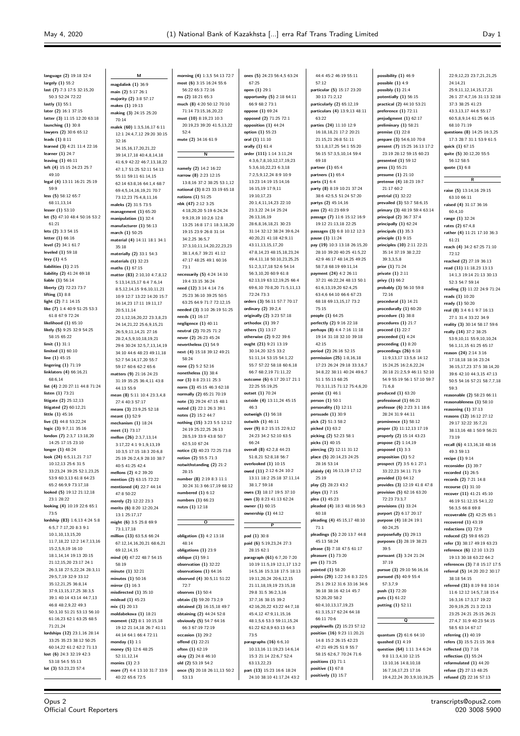22:9,12,23 23:7,21,21,25 24:14,21

**language (2)** 19:18 32:4 **largely (1)** 55:2 **last (7)** 7:3 17:5 32:15,20 50:3 52:24 72:22 **lastly (1)** 55:1 **later (2)** 16:1 37:15 **latter (3)** 11:15 12:20 63:18 **launching (1)** 30:8 **lawyers (2)** 30:6 65:12 **leads (1)** 8:11 **learned (3)** 4:21 11:4 22:16 **learner (1)** 24:7 **leaving (1)** 46:11 **left (4)** 15:15 24:23 25:7 49:10 **legal (4)** 13:11 16:21 25:19 59:9 **less (5)** 58:12 65:7 68:11,13,14 **lesser (1)** 53:10 **let (5)** 47:10 48:4 50:16 53:2  $61:21$ **lets (2)** 3:3 54:15 **letter (1)** 66:16 **level (2)** 34:1 61:7 **leveled (1)** 59:18 **levy (1)** 4:5 **liabilities (1)** 2:15 **liability (2)** 41:24 69:18 **liable (1)** 56:14 **liberty (2)** 72:23 73:7 **lifting (1)** 8:8 **light (2)** 7:1 14:15 **like (7)** 1:4 40:9 51:25 53:3 61:8 67:9 72:24 **likelihood (1)** 65:10 **likely (5)** 9:25 32:9 54:25 58:15 65:22 **limit (1)** 31:1 **limited (1)** 60:10 **line (1)** 45:15 **lingering (1)** 71:19 **linklaters (4)** 66:16,21 68:6,14 **list (4)** 2:20 27:11 44:8 71:24 **listen (1)** 73:21 **litigate (2)** 25:12,13 **litigated (2)** 60:12,21 **little (1)** 45:16 **live (3)** 44:8 53:22,24 **logic (3)** 9:7,11 35:16 **london (7)** 2:3,7 13:18,20 14:25 17:15 23:10 **longer (1)** 48:24 **look (24)** 6:5,11,21 7:17 10:12,13 25:6 31:5 33:23,24 39:25 52:1,23,25 53:9 60:3,13 61:8 64:23 65:2 66:9,9 73:17,18 **looked (5)** 19:12 21:12,18 23:1 28:22 **looking (4)** 10:19 22:6 65:1 73:5 **lordship (83)** 1:6,13 4:24 5:8 6:5,7 7:17,20 8:3 9:1 10:1,10,13,15,20 11:7,18,22 12:2 14:7,13,16 15:2,5,9,19 16:10 18:1,14,14 19:13 20:15 21:12,15,20 23:17 24:1 26:3,18 27:5,22,24 28:3,11 29:5,7,19 32:9 33:12 35:12,21,25 36:8,14 37:9,13,15,17,25 38:3,5 39:1 40:14 43:14 44:7,13 46:8,48:2,9,22,49:3 50:3,10 51:21 53:13 56:10 61:16,23 62:1 63:25 68:5 71:21,24 **lordships (12)** 23:1,16 28:14 33:25 35:23 38:12 50:25 60:14,22 61:2 62:2 71:13 **lost (6)** 24:3 32:19 42:3 53:18 54:5 55:13 **lot (3)** 53:23,23 57:4

**M magdalink (1)** 36:9 **main (2)** 5:17 26:1 **majority (2)** 3:8 57:17 **makes (1)** 19:13 **making (3)** 24:15 25:20 70:14 **malek (60)** 1:3,5,16,17 6:11 12:1 24:4,7,12 29:20 30:15 32:16 34:15,16,17,20,21,22 39:14,17,18 40:4,8,14,18 41:6,9 42:22 46:7,13,18,22 47:1,7 51:25 52:11 54:13 55:11 59:11 61:14,15 62:14 63:8,16 64:1,4 68:7 69:4,5,14,16,19,21 70:7 73:12,23 75:4,8,11,16 **maleks (2)** 31:5 73:5 **management (1)** 65:20 **manipulation (1)** 32:4 **manufacturer (1)** 56:13 **march (1)** 50:25 **material (4)** 14:11 18:1 34:1 35:18 **materially (2)** 33:1 54:3 **materials (1)** 32:23 **maths (1)** 67:15 **matter (83)** 2:10,10 4:7,8,12 5:13,14,15,17 6:4 7:6,14 8:5,12,14,15 9:6,10,11,21 10:9 12:7 13:22 14:20 15:7 16:14,23 17:11 19:11,17 20:5,11,14 22:1,12,16,20,22 23:3,8,23 24:14,21,22 25:6,9,15,21 26:5,9,11,14,21 27:16 28:2,4,5,9,10,18,19,21 29:6 30:24 32:5,7,13,14,19 34:10 44:6 48:23 49:11,18 52:7 54:14,17,20 55:7 59:17 60:6 62:2 65:6 **matters (9)** 21:16 24:23 31:19 35:25 36:4,11 43:8 44:13 55:9 **mean (8)** 5:11 10:4 23:3,4,8 27:4 40:3 57:17 **means (3)** 23:9,25 52:18 **meant (1)** 52:9 **mechanism (1)** 18:24 **meet (1)** 73:17 **mellon (26)** 2:3,7,13,14 3:17,22 4:1 9:1,9,13,19 10:3,5 17:15 18:3 20:6,8 25:19 26:2,4,9 28:10 38:7 40:5 41:25 42:4 **mellons (2)** 4:2 39:20 **mention (2)** 63:15 72:22 **mentioned (4)** 22:7 44:14 47:8 50:22 **merely (2)** 12:22 23:3 **merits (6)** 8:20 12:20,24 13:1 25:17,17 **might (6)** 3:5 25:8 69:9 73:1,17,18 **million (13)** 63:5,6 66:24 67:12,14,16,20,21 68:6,21 69:12,14,15 **mind (4)** 47:22 48:7 54:15 58:19 **minute (1)** 32:21 **minutes (1)** 50:16 **mirror (1)** 16:3 **misdirected (1)** 35:10 **mislead (1)** 45:23 **mix (1)** 20:13 **moldabekova (1)** 18:21 **moment (12)** 8:1 10:15,18 19:12 21:14,18 26:7 41:11 44:14 64:1 66:4 72:11 **monday (1)** 1:1 **money (5)** 12:6 48:25 52:11,12,14 **monies (1)** 2:3 **more (7)** 4:4 13:10 31:7 33:9 40:22 65:6 72:5

**morning (4)** 1:3,5 54:13 72:7 **most (6)** 3:15 16:24 55:6 56:22 65:3 72:16 **ms (2)** 18:21 65:3 **much (8)** 4:20 50:12 70:10 71:14 73:15,16,20,22 **must (10)** 8:19,23 10:3 20:19,23 39:20 41:5,13,22 52:4 **mute (2)** 34:16 61:9 **N namely (2)** 14:2 16:22 **narrow (8)** 2:23 12:15 13:8,16 37:2 38:25 53:1,12 **national (3)** 8:23 33:19 65:18 **nations (1)** 51:25 **nbk (47)** 2:12 3:25 4:18,20,20 5:19 6:24,24 9:9,19,19 10:2,6 12:8 13:25 16:8 17:1 18:3,18,20 19:15 23:9 26:8 31:14 34:2,25 36:5,7 37:3,10,11,14,20,22,23,23 38:1,4,6,7 39:21 41:12 47:17 48:25 49:1 60:16 73:1 **necessarily (5)** 4:24 14:10 19:4 33:15 36:24 **need (12)** 3:14 4:14 7:6 25:23 36:10 39:25 50:5 63:25 64:9 71:7 72:12,15 **needed (3)** 3:10 26:19 51:25 **needs (1)** 16:17 **negligence (1)** 40:11 **neutral (2)** 70:25 71:2 **never (2)** 26:23 45:24 **nevertheless (1)** 54:9 **next (4)** 15:18 39:12 49:21 58:24 **none (2)** 5:2 52:16 **nonetheless (1)** 38:4 **nor (3)** 8:8 23:11 25:3 **norm (3)** 45:15 46:3 62:18 **normally (2)** 65:21 70:19 **note (3)** 29:24 47:15 48:1 **noted (3)** 22:1 26:3 39:1 **notes (2)** 15:2 44:7 **nothing (15)** 3:23 5:5 12:12 24:19 25:22,25 26:13 28:5,19 33:9 43:8 50:7 62:5,10 67:24 **notice (3)** 40:23 72:25 73:8 **notion (2)** 55:5 71:3 **notwithstanding (2)** 21:2 28:15 **number (8)** 2:19 8:3 11:1 30:24 31:3 66:17,19 68:12 **numbered (1)** 6:12 **numbers (1)** 66:23 **nutzs (1)** 12:18 **O obligation (3)** 4:2 13:18 48:14 **obligations (1)** 23:9 **oblique (1)** 59:1 **observation (1)** 32:22 **observations (1)** 64:16 **observed (4)** 30:5,11 51:22 72:7 **observes (1)** 50:4 **obtain (3)** 59:20 73:2,9 **obtained (3)** 16:15,18 49:7 **obtaining (2)** 44:24 52:8 **obviously (5)** 54:7 64:16 66:3 67:19 72:19 **occasion (1)** 29:2 **offend (1)** 22:21 **often (1)** 62:19 **okay (2)** 24:8 46:10 **old (2)** 53:19 54:2 **once (5)** 20:18 26:11,13 50:2

53:13

**ones (5)** 24:23 56:4,5 63:24 67:25 **open (1)** 29:1 **opportunity (5)** 2:18 64:11 66:9 68:2 73:1 **oppose (1)** 69:24 **opposed (2)** 71:25 72:1 **opposition (1)** 44:24 **option (1)** 55:23 **oral (1)** 11:10 **orally (1)** 61:4 **order (111)** 1:14 3:11,24 4:3,6,7,8,10,12,17,19,23 5:3,6,10,22,23 6:3,18 7:2,5,9,12,24 8:9 10:9 13:23 14:19 15:14,16 16:15,19 17:9,11 19:10,17,23 20:1,4,11,14,23 22:10 23:3,22 24:14 25:24 26:13,16,19 28:6,8,16,18,21 30:23 31:14 32:12 38:24 39:6,24 40:20,21 41:18 42:9,11 43:11,13,15,17,20 47:8,14,23 48:15,18,23,24 49:4,11,18 50:10,23,25,25 51:2,3,17,18 52:6 54:14 56:3,10,20 60:9 61:8 62:13,19 63:12,19,25 66:4 69:6,10 70:8,20 71:5,11,13 72:24 73:3 **orders (3)** 56:11 57:7 70:17 **ordinary (2)** 39:2,4 **originally (2)** 3:23 57:18 **orthodox (1)** 39:7 **others (1)** 13:17 **otherwise (2)** 9:22 39:6 **ought (21)** 9:21 13:19 30:14,20 32:5 33:2 51:11,14 53:15 54:1,22 55:7 57:22 58:18 60:6,18 66:7 68:2,19 71:11,22 **outcome (6)** 6:17 20:17 21:1 22:25 55:19,25 **outset (1)** 70:24 **outside (4)** 13:11,24 45:15 46:3 **outweigh (1)** 56:18 **outwith (1)** 46:11 **over (9)** 8:2 15:15 22:9,12 24:23 34:2 52:10 63:5 66:24 **overall (8)** 42:2,8 44:23 51:8,21 52:8,18 56:7 **overlooked (1)** 10:15 **owed (11)** 2:12 6:24 10:2 13:11 18:2 25:18 37:11,14 38:1,7 59:18 **owes (3)** 18:17 19:5 37:10 **own (3)** 8:23 41:13 62:24 **owner (1)** 60:15 **ownership (1)** 44:12 **P pad (1)** 30:8 **paid (6)** 5:19,23,24 27:3 28:15 62:1 **paragraph (61)** 6:7,20 7:20 10:19 11:5,19 12:1,17 13:2 14:5,16 15:3,18 17:5 18:13 19:11,20,24 20:6,12,15 21:11,18,19,19 23:15,18 29:8 31:5 36:2,3,16 37:7,16 38:15 39:2 42:16,20,22 43:22 44:7,18 45:4,12 47:9,11,15,16 48:1,5,6 53:3 59:11,15,24 61:22 62:8,9 63:13 64:3 73:5 **paragraphs (16)** 6:6,10 10:13,16 11:19,23 14:6,14 15:3 21:14 22:6,7 52:4 63:13,22,23 **part (13)** 15:23 16:6 18:24

24:10 38:10 41:17,24 43:2

44:4 45:2 46:19 55:11 57:12 **particular (5)** 15:17 23:20 30:13 71:2,12 **particularly (2)** 65:12,19 **particulars (4)** 13:9,13 48:11 63:22 **parties (24)** 11:10 12:9 16:18,18,21 17:2 20:21 21:15,21 26:8 51:11 53:1,8,17,25 54:1 55:20 56:15 57:3,5,10,14 59:4 69:18 **partner (1)** 65:4 **partners (1)** 65:4 **parts (1)** 6:4 **party (8)** 8:19 10:21 37:24 38:6 42:5,5 51:24 57:20 **partys (2)** 45:14,16 **pass (2)** 41:23 69:9 **passage (7)** 11:6 15:12 16:9 19:12 21:13,18 22:25 **passages (3)** 6:8 10:12 12:3 **pause (1)** 11:24 **pay (19)** 10:3 13:18 26:15,20 28:10 39:20 40:25 41:5,22 42:9 46:17 48:14,25 49:25 58:7,8 68:19 69:11,14 **payment (24)** 4:2 26:11 37:21 46:22,24 48:13 50:1 61:6,13,19,20 62:4,25 63:4,6 64:10 66:6 67:23 68:18 69:13,15,17 73:2 75:15 **people (1)** 64:25 **perfectly (2)** 9:16 22:18 **perhaps (8)** 4:4 7:16 11:18 19:14 31:18 32:10 39:18 42:15 **period (2)** 26:16 52:15 **permission (25)** 1:8,16,18 17:23 26:24 29:18 33:3,6,7 34:8,22 38:11 40:24 49:6,7 51:1 55:13 68:25 70:3,11,15 71:12 75:4,6,20 **persist (1)** 46:1 **person (1)** 50:1 **personality (1)** 12:11 **persuade (1)** 30:9 **pick (2)** 51:3 58:2 **picked (1)** 63:2 **picking (2)** 52:23 58:1 **picks (1)** 40:15 **piercing (2)** 12:11 31:12 **place (5)** 20:14,23 24:25 28:16 53:14 **plainly (4)** 16:13,19 17:12 25:19 **play (2)** 28:23 43:2 **plays (1)** 7:15 **plea (1)** 45:23 **pleaded (4)** 18:3 48:16 56:3 60:18 **pleading (4)** 45:15,17 48:10 71:1 **pleadings (5)** 2:20 13:7 44:8 45:13 58:24 **please (3)** 7:18 47:5 61:17 **pleasure (1)** 73:20 **pm (1)** 73:25 **pointed (1)** 58:20 **points (29)** 1:22 3:6 8:3 22:5 25:1 29:12 31:6 33:16 34:6 36:18 38:16 42:14 45:7 52:20,20 58:2 60:4,10,13,17,19,23 61:3,15,17 62:24 64:18 66:11 70:6 **popplewells (2)** 15:23 57:12 **position (16)** 9:23 11:20,21 14:8 15:2 26:15 42:23 47:21 49:25 51:9 55:7 58:15 62:6,7 70:24 71:6 **positions (1)** 71:1 **positive (1)** 67:8 **positively (1)** 15:7

**possibility (1)** 46:9 **possible (1)** 4:9 **possibly (1)** 21:4 **potentially (1)** 56:15 **practical (2)** 44:10 53:21 **preference (1)** 72:11 **prejudgment (1)** 62:17 **preliminary (1)** 58:21 **premise (1)** 22:8 **prepare (3)** 54:6,10 70:8 **present (7)** 15:25 16:13 17:2 23:19 28:12 59:15 60:23 **presented (1)** 59:12 **press (1)** 55:21 **presume (1)** 21:10 **pretense (4)** 18:23 19:7 21:17 60:2 **pretrial (1)** 32:22 **prevailed (3)** 53:7 58:6,15 **primary (3)** 48:19 59:4 63:14 **principal (2)** 36:7 37:4 **principally (1)** 62:24 **principals (1)** 35:3 **principle (1)** 9:15 **principles (10)** 2:11 22:21 35:14 37:19 38:2,22 39:3,3,5,8 **prior (1)** 71:24 **private (1)** 2:11 **privy (1)** 66:2 **probably (3)** 56:10 59:8 72:16 **procedural (1)** 14:21 **procedurally (1)** 60:20 **procedure (1)** 38:8 **procedures (1)** 21:7 **proceed (1)** 22:7 **proceeded (1)** 4:24 **proceeding (1)** 8:20 **proceedings (26)** 6:18 11:9,13,17 13:5,6 14:12 15:24,25 16:2,6,22,24 20:18 21:2,5,9 46:11 52:10 54:9 55:19 56:1 57:10 59:7 71:6,8 **produced (1)** 63:20 **professional (1)** 66:21 **professor (6)** 2:23 3:1 18:6 28:24 31:9 44:11 **prominence (1)** 58:12 **proper (3)** 11:12,13 17:19 **properly (2)** 15:14 43:23 **propose (2)** 1:14,19 **proposed (1)** 3:3 **proposition (1)** 5:2 **prospect (7)** 3:5 6:1 27:1 33:22,23 34:11 71:9 **provided (1)** 64:12 **provides (3)** 12:19 41:8 47:8 **provision (5)** 62:16 63:20 72:23 73:3,7 **provisions (1)** 33:24 **purport (2)** 6:17 20:17 **purpose (4)** 18:24 19:1  $60:24.25$ **purposefully (1)** 29:13 **purposes (3)** 28:19 38:23 39:5 **pursuant (3)** 3:24 21:24 37:19 **pursue (3)** 29:10 56:16,16 **pursued (5)** 40:9 55:4 57:3,7,9 **push (1)** 72:20 **puts (1)** 61:22 **putting (1)** 52:11 **Q quantum (2)** 61:6 64:10 **quashed (1)** 4:19 **question (64)** 1:11 3:4 6:24 9:8 11:3,4,10 12:15 13:10,16 14:8,10,18 16:7,16,17,23 17:16

25:9,11,12,14,15,17,21 26:1 27:4,7,16 31:13 32:18 37:3 38:25 41:23 43:3,13,17 44:6 55:17 60:5,8,9,14 61:25 66:15 68:10 71:19 **questions (8)** 14:25 16:3,25 17:3 28:7 31:1 53:9 61:5 **quick (1)** 67:15 **quite (5)** 30:12,20 55:5 56:12 58:5 **quote (1)** 6:8 **R raise (5)** 13:14,16 29:15 63:10 66:11 **raised (4)** 31:17 36:16  $60:4,10$ **range (1)** 32:24 **rates (2)** 67:4,8 **rather (4)** 11:21 17:10 36:3 61:21 **reach (4)** 34:2 67:25 71:10 72:12 **reached (2)** 27:19 36:13 **read (11)** 11:18,23 13:13 14:1,3 19:14 21:13 30:13 52:3 54:7 59:14 **reading (3)** 11:22 24:9 71:24 **reads (1)** 10:20 **ready (1)** 50:20 **real (8)** 3:4 6:1 9:7 16:13 27:1 31:4 33:22 34:9 **reality (3)** 30:14 58:17 59:6 **really (14)** 37:2 38:25 53:9,10,11 55:9,10,10,24 56:1,11,15 61:25 65:17 **reason (24)** 2:14 3:16 17:18,18 18:16 23:24 36:15,17,23 37:5 38:14,20 39:6 42:10 44:3,15 47:13 50:5 54:16 57:21 58:7,7,18 59:3 **reasonable (2)** 58:23 66:11 **reasonableness (1)** 58:10 **reasoning (1)** 37:13 **reasons (12)** 16:12 27:12 29:17 32:22 35:7,21 38:13,16 48:1 50:9 56:21 73:19 **recall (6)** 4:13,16,18 48:16 49:3 59:13 **recipe (1)** 9:14 **reconsider (1)** 39:7 **recorded (1)** 26:5 **records (2)** 7:21 14:8 **recourse (1)** 31:10 **recover (11)** 41:21 45:10 46:19 51:12,15 54:1,22 56:3,5 66:8 69:8 **recoverable (2)** 42:25 65:1 **recovered (1)** 43:19 **redactions (1)** 72:9 **reduced (2)** 59:8 65:23 **refer (3)** 38:17 49:19 63:23 **reference (6)** 12:10 13:23 19:13 30:18 63:22 64:2 **references (3)** 7:8 15:17 17:5 **referral (5)** 14:20 20:2 30:17 38:18 54:15 **referred (31)** 8:19 9:8 10:14 11:6 12:12 14:5,7,18 15:4 16:3,16 17:3,17 19:22 20:9,19,25 21:3 22:13 23:25 24:21 25:15 26:21 27:4,7 31:9 40:23 54:15 58:5 63:14 67:17 **referring (1)** 40:19 **refers (3)** 15:5 21:15 36:8 **reflected (1)** 7:16 **reflection (1)** 55:24 **reformulated (1)** 44:20 **refuse (2)** 27:13 48:25 **refused (2)** 22:16 57:13

19:4,22,24 20:3,9,10,19,25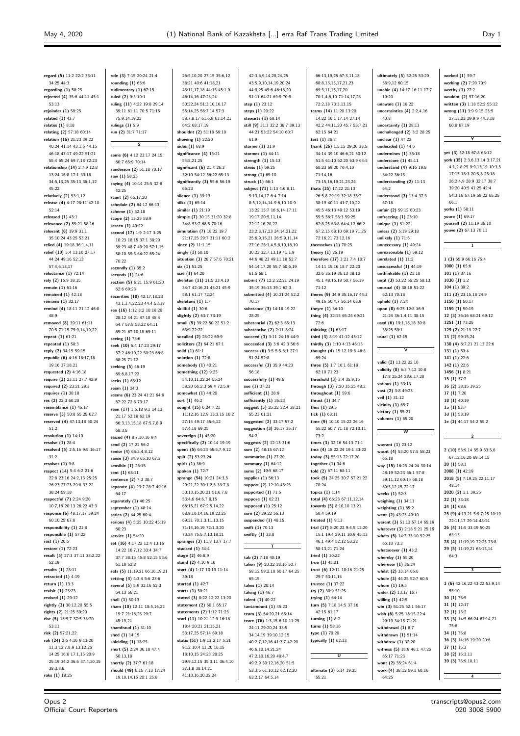**regard (5)** 11:2 22:2 33:11 34:25 44:3 **regarding (1)** 58:25 **rejected (4)** 35:6 44:11 45:1  $53.13$ **rejoinder (1)** 59:25 **related (1)** 43:7 **relates (1)** 8:18 **relating (2)** 57:18 60:14 **relation (16)** 21:23 39:22 40:24 41:14 43:1,6 44:15 46:18 47:17 49:22 51:21 55:4 65:24 69:7,18 72:23 **relationship (14)** 2:7,9 12:8 13:24 16:8 17:1 33:18 34:5,13,25 35:13 36:1,12 45:22 **relatively (2)** 53:1,12 **release (4)** 4:17 28:11 42:18 52:14 **released (1)** 43:1 **relevance (2)** 55:21 58:16 **relevant (6)** 19:9 31:1 35:10,24 43:25 53:21 **relied (4)** 19:18 36:1,4,11 **relief (10)** 5:4 13:10 27:17 44:24 49:16 52:13 57:4,6,13,17 **reluctance (1)** 72:14 **rely (2)** 16:9 38:15 **remain (1)** 61:16 **remained (1)** 42:18 **remains (1)** 32:17 **remind (4)** 18:11 21:12 46:8 48:9 **removed (8)** 39:11 61:11 70:5 71:15 75:9,14,19,22 **repeat (1)** 61:21 **repeated (1)** 58:3 **reply (2)** 34:15 59:15 **republic (6)** 4:16 18:17,18 19:16 37:18,21 **requested (2)** 4:16,18 **require (3)** 23:11 27:7 42:9 **required (2)** 23:21 28:3 **requires (1)** 30:18 **res (2)** 22:3 60:20 **resemblance (1)** 45:17 **reserve (3)** 50:8 55:25 62:7 **reserved (4)** 47:13,18 50:24  $51.2$ **resolution (1)** 14:10 **resolve (1)** 28:4 **resolved (5)** 2:5,16 9:5 16:17  $31.2$ **resolves (1)** 9:8 **respect (14)** 5:4 6:2 21:6 22:8 23:16 24:2,13 25:25 26:23 27:23 29:8 33:22 38:24 59:18 **respectful (7)** 2:24 9:20 10:7,16 20:13 26:22 43:3 **response (6)** 48:17,17 59:24 60:10,25 67:8 **responsibility (1)** 21:8 **responsible (1)** 57:22 **rest (1)** 20:6 **restore (1)** 72:23 **result (5)** 27:3 37:11 38:2,22 52:19 **results (1)** 28:11 **retracted (1)** 4:19 **return (1)** 13:3 **revisit (1)** 25:23 **revived (1)** 29:12 **rightly (3)** 30:12,20 55:5 **rights (2)** 21:25 59:20 **rise (5)** 13:5,7 37:5 38:20 53:11 **risk (2)** 57:21,22 **rok (24)** 2:6 4:16 9:13,20  $11:3$  12:7,8,9 13:12,25 14:25 16:8 17:1,15 20:9 25:19 34:2 36:6 37:4,10,15 38:3,8,8 **roks (1)** 18:25

**role (3)** 7:15 20:24 21:4 **rounding (1)** 63:6 **rudimentary (1)** 67:15 **ruled (2)** 9:3 10:1 **ruling (11)** 4:22 19:8 29:14 39:11 61:11 70:5 71:15 75:9,14,19,22 **rulings (1)** 5:9 **run (2)** 31:7 71:17 **S same (6)** 4:12 23:17 24:15 60:7 65:9 70:14 **sanderson (2)** 51:18 70:17 **saw (1)** 58:25 **saying (4)** 10:14 25:5 32:8 42:25 **scant (2)** 66:17,20 **schedule (2)** 64:12 66:13 **scheme (1)** 52:18 **scope (2)** 13:25 58:9 **screen (1)** 40:22 **second (17)** 1:9 2:17 3:25 10:23 18:15 37:1 38:20 39:23 48:7 49:20 57:1,15 58:10 59:5 64:22 65:24 70:22 **secondly (1)** 35:2 **seconds (1)** 24:6 **section (5)** 6:21 15:9 61:20 62:6 69:23 **securities (10)** 42:17,18,23 43:1,1,4,22,23 44:4 53:18 **see (16)** 1:12 8:2 10:18,20 28:12 44:21 47:10 48:4 54:7 57:8 58:22 64:11 65:21 67:10,18 69:11 **seeing (1)** 73:6 **seek (10)** 5:4 17:23 29:17 37:2 46:10,22 50:23 66:8 68:25 71:12 **seeking (5)** 46:19 69:6,8,17,22 **seeks (1)** 63:12 **seem (1)** 24:3 **seems (6)** 23:24 41:21 64:9 67:22 72:3 73:17 **seen (17)** 1:6,18 9:1 14:13 21:17 52:18 62:19 66:3,13,15,18 67:5,7,8,9 68:3,5 **seized (4)** 8:7,10,16 9:4 **send (2)** 17:21 56:2 **senior (4)** 65:3,4,8,12 **sense (3)** 34:9 65:10 67:3 **sensible (1)** 26:15 **sent (1)** 68:11 **sentence (2)** 7:3 30:7 **separate (4)** 23:7 28:7 49:16 64:17 **separately (1)** 46:25 **september (1)** 48:14 **series (2)** 44:25 60:4 **serious (4)** 5:25 10:22 45:19 60:23 **service (1)** 54:20 **set (16)** 4:17,22 12:4 13:15 14:22 16:7,12 33:4 34:7 37:7 38:15 45:8 52:15 53:6 61:18 62:8 **sets (5)** 11:19,21 66:16,19,21 **setting (4)** 4:3,4 5:6 23:6 **several (5)** 5:9 32:16 52:3 54:13 56:21 **shall (1)** 50:13 **sham (10)** 12:11 18:5,16,22 19:7 21:16,25 29:7 45:19,21 **shamfraud (1)** 31:10 **shed (1)** 14:15 **shielding (1)** 18:25 **short (5)** 2:24 36:18 47:4 50:13,18 **shortly (2)** 37:7 61:18 **should (49)** 6:15 7:13 17:24 19:10,14,16 20:1 25:8

26:5,10,20 27:15 35:6,12 38:21 40:6 41:18,21 43:11,17,18 44:15 45:1,9 46:14,16 47:23,24 50:22,24 51:3,10,16,17 55:14,25 56:7,14 57:3 58:7,8,17 61:6,8 63:14,21 64:2 68:17,19 **shouldnt (2)** 51:18 59:10 **showing (1)** 22:20 **sides (1)** 68:9 **significance (4)** 15:21 -<br>54:8,21,25 **significant (6)** 21:4 26:3 32:10 54:12 56:22 65:13 **significantly (3)** 55:6 56:19 .<br>65:23 **silence (1)** 39:13 **silks (1)** 65:14 **similar (1)** 21:19 **simple (7)** 30:15 31:20 32:8 34:8 53:7 68:5 70:16 **simulation (7)** 18:22 19:7 21:17,25 29:7 31:11 60:2 **since (2)** 11:1,15 **single (1)** 50:10 **situation (3)** 26:7 57:6 70:21 **six (1)** 51:25 **size (1)** 64:20 **skeleton (11)** 31:5 33:4,10 34:7 42:16,21 43:21 45:9 58:1 61:17 72:24 **skeletons (1)** 1:7 **skillful (1)** 30:6 **slightly (2)** 63:7 73:19 **small (5)** 39:22 50:22 51:2 63:9 72:22 **socalled (2)** 28:22 69:9 **solicitors (2)** 64:21 67:1 **solid (1)** 61:1 **solution (1)** 72:8 **somebody (1)** 40:21 **something (12)** 9:25 54:10,11,22,24 55:24 58:20 66:2,3 69:4 72:5,9 **somewhat (1)** 44:20 **sort (1)** 46:2 **sought (15)** 6:24 7:21 11:12,16 12:9 13:3,15 16:2 27:14 49:17 55:6,12 57:4,18 69:25 **sovereign (1)** 45:20 **specifically (2)** 10:14 19:19 **spent (5)** 64:23 65:5,7,9,12 **spilt (2)** 53:23,24 **spirit (1)** 36:9 **spoken (1)** 72:7 **sprange (54)** 10:21 24:3,5 29:21,22 30:1,2,3 33:7,8 50:13,15,20,21 51:6,7,8 53:4,6 64:6,7,8,15 66:15,21 67:2,5,14,22 68:9,10,14,16,19,22,25 69:21 70:1,3,11,13,15 71:14,16,19 72:1,3,20 73:24 75:5,7,13,18,21 **spranges (3)** 11:8 13:7 17:7 **stacked (1)** 34:4 **stage (2)** 46:8,9 **stand (2)** 4:10 9:16 **start (4)** 1:17 10:19 11:14 39:18 **started (1)** 42:7 **starts (1)** 50:21 **stated (3)** 8:22 12:22 13:20 **statement (2)** 60:1 65:17 **statements (2)** 1:12 71:23 **stati (11)** 10:21 12:9 16:18 18:4 20:21 21:15,21 53:17,25 57:14 69:18 **statis (51)** 1:9,13 2:17 5:21 9:12 10:4 11:20 16:15 18:10,15 24:23 28:25 29:9,12,15 35:3,11 36:4,10 37:1,8 38:14,21 41:13,16,20,22,24

42:3,6,9,14,20,24,25 43:5,9,10,14,19,20,24 44:9,25 45:6 46:16,20 51:11 64:21 69:9 70:9 **step (1)** 23:12 **steps (1)** 20:22 **stewarts (1)** 68:14 **still (9)** 31:3 32:2 38:7 39:13 44:21 53:22 54:10 60:7  $61.9$ **storme (1)** 31:9 **stormes (1)** 44:11 **strength (1)** 15:13 **stress (1)** 69:25 **strong (1)** 65:10 **struck (1)** 66:1 **subject (71)** 1:13 4:6,8,11 5:13,14,17 6:4 7:14 8:5,12,14,14 9:6,10 10:9 13:22 15:7 16:6,14 17:11 19:17 20:5,11,14 22:12,16,20,22 23:2,8,17,23 24:14,21,22 25:6,9,15,21 26:5,9,11,14 27:16 28:1,4,5,8,10,18,19 30:23 32:7,13,19 41:1,9 44:6 48:23 49:11,18 52:7 54:14,17,20 55:7 60:6,19 61:5 68:1 **submit (7)** 12:2 22:21 24:19 35:19 36:13 39:1 62:3 **submitted (4)** 10:21,24 52:2 70:17 **substance (3)** 14:18 19:22 28:25 **substantial (2)** 62:3 65:13 **substantive (2)** 2:11 8:24 **succeed (3)** 3:11 24:19 44:9 **succeeded (3)** 3:6 42:3 56:6 **success (6)** 3:5 5:5 6:1 27:1 51:24 52:8 **successful (3)** 35:9 44:23 56:18 **successfully (1)** 49:5 **sue (1)** 37:21 **sufficient (1)** 28:9 **sufficiently (1)** 36:23 **suggest (5)** 25:22 32:4 38:21 55:23 61:21 **suggested (2)** 33:17 57:2 **suggestion (3)** 26:17 35:17  $54:2$ **suggests (2)** 12:13 31:6 **sum (2)** 48:15 67:12 **summarise (1)** 27:20 **summary (1)** 64:12 **sums (2)** 19:5 68:17 **supplier (1)** 56:13 **support (2)** 12:10 45:25 **supported (1)** 71:5 **suppose (1)** 62:21 **supposed (1)** 25:12 **sure (2)** 29:22 56:13 **suspended (1)** 48:15 **swift (1)** 70:13 **swiftly (1)** 33:8 **T tab (2)** 7:18 40:19 **taken (9)** 20:22 38:16 50:7 58:12 59:2,10 60:17 64:25 65:15 **takes (1)** 20:14 **taking (1)** 46:7 **talent (1)** 40:22 **tantamount (1)** 45:23 **team (3)** 64:20,21 65:14 **teare (76)** 1:3,15 6:10 11:25 24:11 29:20,24 33:5 34:14,19 39:10,12,15 40:2,7,12,16 41:3,7 42:20 46:6,10,14,21,24 47:2,10,16,20 48:4,7 49:2,9 50:12,16,20 51:5 53:3,5 61:10,12 62:12,20 63:2,17 64:5,14

66:13,19,25 67:3,11,18 68:8,13,15,17,21,23 69:3,11,15,17,20 70:1,4,6,10 71:14,17,25 72:2,18 73:3,13,15 **terms (14)** 11:20 13:20 14:22 16:1 17:14 27:14 42:2 44:11,20 45:7 53:7,21 62:15 64:21 **test (1)** 36:8 **thank (26)** 1:5,15 29:20 33:5 34:14 39:10 46:6,21 50:12 51:5 61:10 62:20 63:9 64:5 68:23 69:20 70:4,10 71:14,16 73:15,16,19,21,23,24 **thats (35)** 17:22 21:13 26:5,8 29:19 32:18 35:7 38:19 40:11 41:7,10,22 45:5 46:13 49:12 53:19 55:5 56:7 58:3 59:25 62:8,25 63:8 64:4,12 66:2 67:2,15 68:10 69:19 71:25 72:16,21 73:12,16 **themselves (1)** 70:25 **theory (1)** 25:19 **therefore (17)** 3:21 7:4 10:7 14:11 15:16 18:7 22:20 32:6 35:19 36:13 38:10 45:1 48:16,18 50:7 56:19 71:12 **theres (9)** 34:9 35:16,17 44:3 49:16 50:4,7 56:14 63:9 **theyre (1)** 34:10 **thing (4)** 32:15 65:24 69:21 72:6 **thinking (1)** 63:17 **third (3)** 8:19 41:12 45:12 **thirdly (3)** 1:10 4:13 46:15 **thought (4)** 15:12 19:8 46:8 69:24 **three (5)** 1:7 16:1 61:18 62:10 71:23 **threshold (3)** 3:4 35:9,15 **through (3)** 7:20 35:25 48:2 **throughout (1)** 59:6 **thrust (1)** 34:7 **thus (1)** 29:5 **tick (1)** 63:11 **time (9)** 10:10 15:22 26:16 55:22 60:7 71:18 72:10,11 73:2 **times (3)** 32:16 54:13 71:1 **tma (4)** 18:22,24 19:1 33:20 **today (3)** 55:13 72:17,20 **together (1)** 34:6 **told (2)** 67:11 68:11 **took (5)** 24:25 30:7 57:21,22 70:24 **topics (1)** 1:14 **total (4)** 66:23 67:11,12,14 **towards (5)** 8:10,10 13:21 50:4 59:19 **treated (1)** 9:13 **trial (17)** 8:20,22 9:4,5 12:20 15:1 19:4 29:11 30:9 45:13 46:1 49:4 52:12 53:22 58:13,21 71:24 **tried (1)** 10:22 **true (1)** 45:21 **trust (6)** 12:11 18:16 21:25 29:7 53:11,14 **trustee (1)** 37:22 **try (2)** 30:9 51:25 **trying (1)** 64:14 **turn (5)** 7:18 14:5 37:16  $42:15$  61:17 **turning (1)** 8:2 **turns (1)** 58:16 **type (1)** 70:20 **typically (1)** 62:13 **U ultimate (3)** 6:14 19:25

55:21

64:25

**ultimately (5)** 52:25 53:20 58:9,12 60:15 **unable (4)** 14:17 16:11 17:7 19:20 **unaware (1)** 18:22 **uncertainties (4)** 2:2,4,16 40:8 **uncertainty (1)** 28:13 **unchallenged (2)** 3:2 28:25 **unclear (1)** 47:22 **undecided (1)** 44:6 **undermines (1)** 35:18 **underscore (1)** 45:11 **understand (4)** 9:16 19:8 34:22 36:15 **understanding (2)** 11:13  $64.2$ **understood (3)** 13:4 37:3 67:18 **unfair (2)** 59:12 60:23 **unfreezing (1)** 23:10 **unique (1)** 51:22 **unless (2)** 5:19 29:18 **unlikely (1)** 71:6 **unnecessary (1)** 49:24 **unreasonable (1)** 59:12 **unrelated (1)** 11:2 **unsuccessful (1)** 44:19 **unthinkable (1)** 21:10 **until (3)** 53:22 55:25 58:13 **unusual (4)** 38:18 51:22  $62:13$  70:18 **upheld (1)** 7:24 **upon (8)** 6:25 12:8 16:9 21:24 36:1,4,11 38:15 **used (6)** 19:1,18,18 30:8 58:25 59:1 **usual (1)** 62:15 **V valid (2)** 13:22 22:10 **validity (8)** 6:3 7:12 10:8 17:8 25:24 28:6,17,20 **various (1)** 33:13 **vast (2)** 3:8 49:23 **veil (1)** 31:12 **vicinity (1)** 65:7 **victory (1)** 55:21 **volumes (1)** 65:20 **W warrant (1)** 23:12 **wasnt (4)** 53:20 57:5 58:23 65:18 **way (15)** 16:25 24:24 30:14 48:19 52:23 56:1 57:8 59:11,12 60:15 68:18 69:5,12,15 72:17 **weeks (1)** 52:3 **weighing (1)** 34:11 **weighting (1)** 65:2 **went (2)** 43:23 49:10 **werent (3)** 51:13 57:14 65:19 **whatever (3)** 2:18 5:21 25:19 **whats (5)** 14:7 33:10 52:25 66:10 73:3 **whatsoever (1)** 43:2 **whereby (1)** 55:20 **wherever (1)** 36:24 **whilst (2)** 33:14 65:6 **whole (3)** 44:25 52:7 60:5 **whom (1)** 19:5 **wider (2)** 13:17 16:7 **willing (1)** 42:5 **win (3)** 51:25 52:1 56:17 **wish (6)** 5:25 18:15 22:4 29:19 34:15 71:21 **withdrawal (1)** 8:7 **withdrawn (1)** 51:14 **withdrew (1)** 32:20 **witness (5)** 18:9 46:1 47:25 65:17 71:23 **wont (2)** 35:24 61:4 **work (4)** 38:12 59:1 60:16

**worked (1)** 59:7 **working (2)** 7:20 70:9 **worthy (1)** 27:2 **wouldnt (2)** 57:16,20 **written (3)** 1:18 52:2 55:12 **wrong (11)** 3:9 9:15 23:5 27:13,22 29:9,9 44:3,18 60:8 67:19

**yet (3)** 52:18 67:8 68:12 **york (35)** 2:3,6,13,14 3:17,21 4:1,2 8:25 9:9,13,19 10:3,5 17:15 18:3 20:5,8 25:18 26:2,4,9 28:9 32:17 38:7 39:20 40:5 41:25 42:4 54:3,16 57:19 58:22 65:25 66:1 **yorks (1)** 58:11 **youre (1)** 69:17 **yourself (2)** 11:19 35:10 **youve (2)** 67:13 70:11

**1**

**Y**

**1 (3)** 55:9 66:16 75:4 **1000 (1)** 65:6 **101 (1)** 37:16 **1030 (1)** 1:2 **104 (1)** 39:2 **111 (3)** 23:15,18 24:9 **1150 (1)** 50:17 **1159 (1)** 50:19 **12 (3)** 36:16 68:21 69:12 **1251 (1)** 73:25 **129 (2)** 21:19 22:7 **13 (2)** 59:15,24 **130 (4)** 6:7,21 21:13 22:6 **131 (1)** 53:4 **141 (1)** 22:6 **142 (1)** 22:6 **1456 (1)** 8:21 **15 (1)** 37:7 **16 (2)** 38:15 39:25 **17 (1)** 7:20 **18 (1)** 40:19 **1a (1)** 53:7 **1d (1)** 53:19 **1e (3)** 44:17 54:2 55:2

**2**

**2 (10)** 53:9,14 55:9 63:5,6  $67:12,16,20,69:14,15$ **20 (1)** 58:1 **2008 (1)** 42:19 **2018 (5)** 7:19,25 22:11,17 48:14 **2020 (2)** 1:1 39:25 **22 (1)** 33:18 **24 (1)** 68:6 **25 (9)** 4:13,21 5:9 7:25 10:19 22:11,17 29:14 48:14 **26 (4)** 11:5 33:19 50:25 63:13 **28 (4)** 11:19,19 72:25 73:8 **29 (5)** 11:19,21 63:13,14 64:3 **3 3 (6)** 42:16,22 43:22 53:9,14 55:10 **30 (1)** 75:5 **31 (1)** 12:17 **32 (1)** 13:2 **33 (5)** 14:5 66:24 67:14,21 75:6 **34 (1)** 75:8 **36 (3)** 14:16 19:20 20:6 **37 (1)** 15:3 **38 (2)** 15:3,11

**4**

**39 (3)** 75:9,10,11